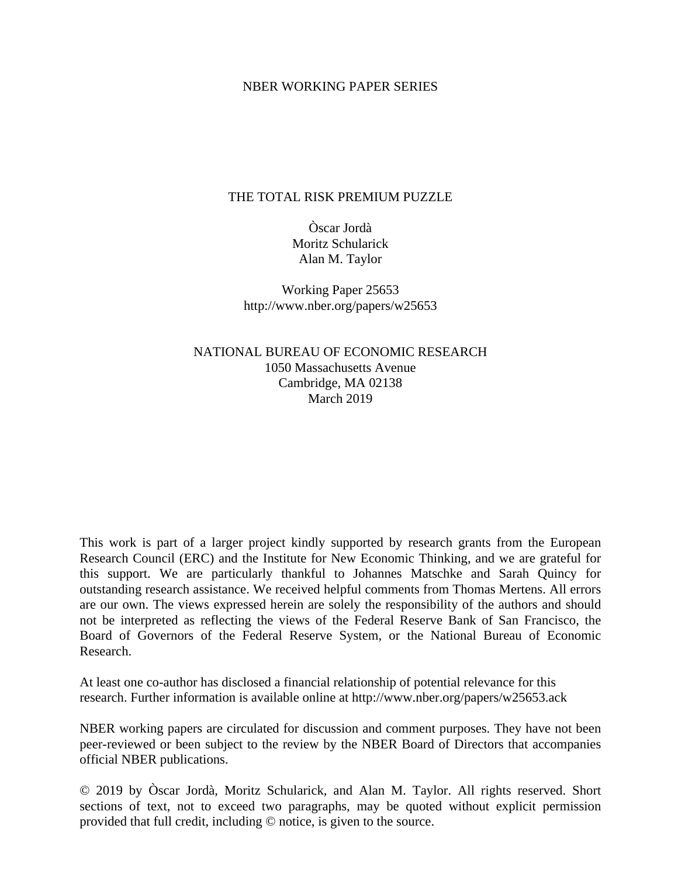#### NBER WORKING PAPER SERIES

#### THE TOTAL RISK PREMIUM PUZZLE

Òscar Jordà Moritz Schularick Alan M. Taylor

Working Paper 25653 http://www.nber.org/papers/w25653

NATIONAL BUREAU OF ECONOMIC RESEARCH 1050 Massachusetts Avenue Cambridge, MA 02138 March 2019

This work is part of a larger project kindly supported by research grants from the European Research Council (ERC) and the Institute for New Economic Thinking, and we are grateful for this support. We are particularly thankful to Johannes Matschke and Sarah Quincy for outstanding research assistance. We received helpful comments from Thomas Mertens. All errors are our own. The views expressed herein are solely the responsibility of the authors and should not be interpreted as reflecting the views of the Federal Reserve Bank of San Francisco, the Board of Governors of the Federal Reserve System, or the National Bureau of Economic Research.

At least one co-author has disclosed a financial relationship of potential relevance for this research. Further information is available online at http://www.nber.org/papers/w25653.ack

NBER working papers are circulated for discussion and comment purposes. They have not been peer-reviewed or been subject to the review by the NBER Board of Directors that accompanies official NBER publications.

© 2019 by Òscar Jordà, Moritz Schularick, and Alan M. Taylor. All rights reserved. Short sections of text, not to exceed two paragraphs, may be quoted without explicit permission provided that full credit, including © notice, is given to the source.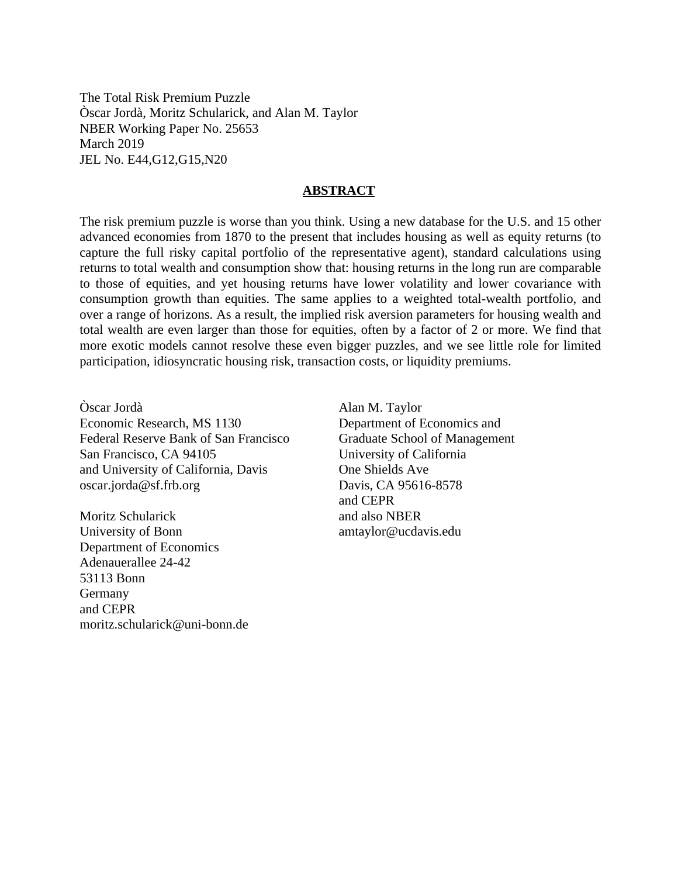The Total Risk Premium Puzzle Òscar Jordà, Moritz Schularick, and Alan M. Taylor NBER Working Paper No. 25653 March 2019 JEL No. E44,G12,G15,N20

#### **ABSTRACT**

The risk premium puzzle is worse than you think. Using a new database for the U.S. and 15 other advanced economies from 1870 to the present that includes housing as well as equity returns (to capture the full risky capital portfolio of the representative agent), standard calculations using returns to total wealth and consumption show that: housing returns in the long run are comparable to those of equities, and yet housing returns have lower volatility and lower covariance with consumption growth than equities. The same applies to a weighted total-wealth portfolio, and over a range of horizons. As a result, the implied risk aversion parameters for housing wealth and total wealth are even larger than those for equities, often by a factor of 2 or more. We find that more exotic models cannot resolve these even bigger puzzles, and we see little role for limited participation, idiosyncratic housing risk, transaction costs, or liquidity premiums.

Òscar Jordà Economic Research, MS 1130 Federal Reserve Bank of San Francisco San Francisco, CA 94105 and University of California, Davis oscar.jorda@sf.frb.org

Moritz Schularick University of Bonn Department of Economics Adenauerallee 24-42 53113 Bonn Germany and CEPR moritz.schularick@uni-bonn.de Alan M. Taylor Department of Economics and Graduate School of Management University of California One Shields Ave Davis, CA 95616-8578 and CEPR and also NBER amtaylor@ucdavis.edu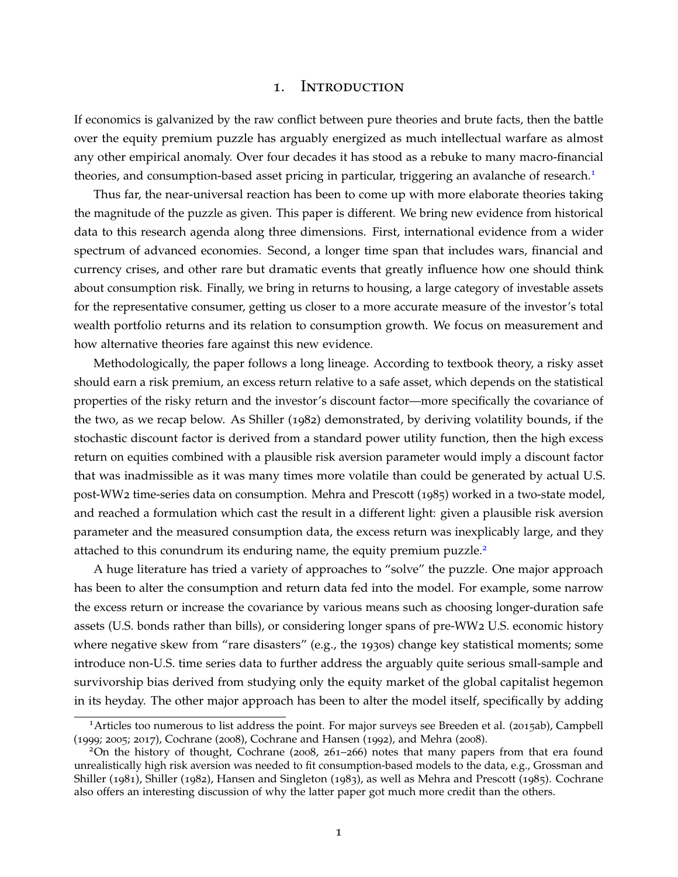#### 1. Introduction

If economics is galvanized by the raw conflict between pure theories and brute facts, then the battle over the equity premium puzzle has arguably energized as much intellectual warfare as almost any other empirical anomaly. Over four decades it has stood as a rebuke to many macro-financial theories, and consumption-based asset pricing in particular, triggering an avalanche of research.<sup>[1](#page-2-0)</sup>

Thus far, the near-universal reaction has been to come up with more elaborate theories taking the magnitude of the puzzle as given. This paper is different. We bring new evidence from historical data to this research agenda along three dimensions. First, international evidence from a wider spectrum of advanced economies. Second, a longer time span that includes wars, financial and currency crises, and other rare but dramatic events that greatly influence how one should think about consumption risk. Finally, we bring in returns to housing, a large category of investable assets for the representative consumer, getting us closer to a more accurate measure of the investor's total wealth portfolio returns and its relation to consumption growth. We focus on measurement and how alternative theories fare against this new evidence.

Methodologically, the paper follows a long lineage. According to textbook theory, a risky asset should earn a risk premium, an excess return relative to a safe asset, which depends on the statistical properties of the risky return and the investor's discount factor—more specifically the covariance of the two, as we recap below. As Shiller (1982) demonstrated, by deriving volatility bounds, if the stochastic discount factor is derived from a standard power utility function, then the high excess return on equities combined with a plausible risk aversion parameter would imply a discount factor that was inadmissible as it was many times more volatile than could be generated by actual U.S. post-WW2 time-series data on consumption. Mehra and Prescott (1985) worked in a two-state model, and reached a formulation which cast the result in a different light: given a plausible risk aversion parameter and the measured consumption data, the excess return was inexplicably large, and they attached to this conundrum its enduring name, the equity premium puzzle. $2$ 

A huge literature has tried a variety of approaches to "solve" the puzzle. One major approach has been to alter the consumption and return data fed into the model. For example, some narrow the excess return or increase the covariance by various means such as choosing longer-duration safe assets (U.S. bonds rather than bills), or considering longer spans of pre-WW2 U.S. economic history where negative skew from "rare disasters" (e.g., the 1930s) change key statistical moments; some introduce non-U.S. time series data to further address the arguably quite serious small-sample and survivorship bias derived from studying only the equity market of the global capitalist hegemon in its heyday. The other major approach has been to alter the model itself, specifically by adding

<span id="page-2-0"></span><sup>&</sup>lt;sup>1</sup> Articles too numerous to list address the point. For major surveys see Breeden et al. (2015ab), Campbell (1999; 2005; 2017), Cochrane (2008), Cochrane and Hansen (1992), and Mehra (2008).

<span id="page-2-1"></span> $2$ On the history of thought, Cochrane (2008, 261–266) notes that many papers from that era found unrealistically high risk aversion was needed to fit consumption-based models to the data, e.g., Grossman and Shiller (1981), Shiller (1982), Hansen and Singleton (1983), as well as Mehra and Prescott (1985). Cochrane also offers an interesting discussion of why the latter paper got much more credit than the others.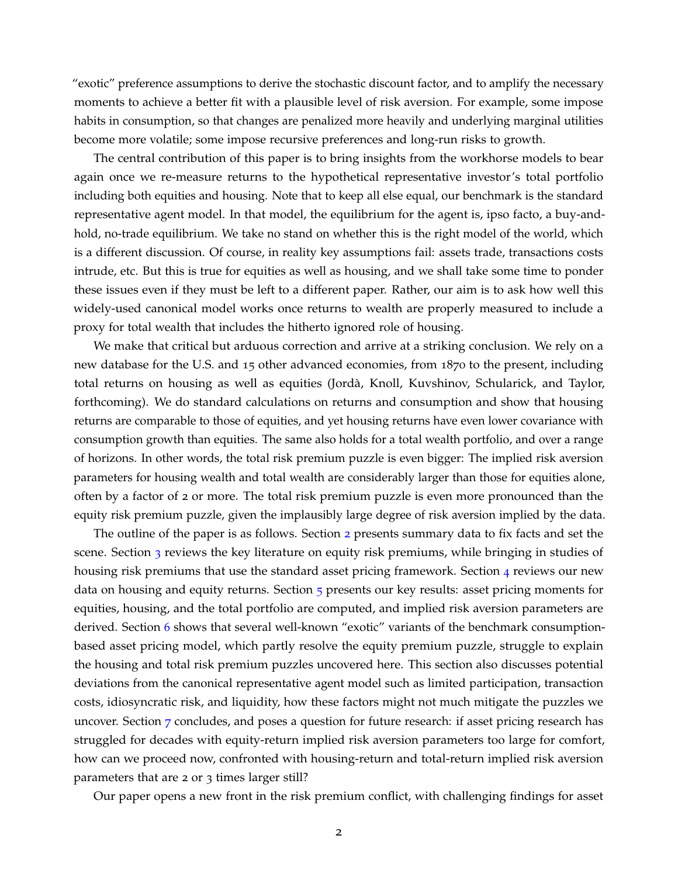"exotic" preference assumptions to derive the stochastic discount factor, and to amplify the necessary moments to achieve a better fit with a plausible level of risk aversion. For example, some impose habits in consumption, so that changes are penalized more heavily and underlying marginal utilities become more volatile; some impose recursive preferences and long-run risks to growth.

The central contribution of this paper is to bring insights from the workhorse models to bear again once we re-measure returns to the hypothetical representative investor's total portfolio including both equities and housing. Note that to keep all else equal, our benchmark is the standard representative agent model. In that model, the equilibrium for the agent is, ipso facto, a buy-andhold, no-trade equilibrium. We take no stand on whether this is the right model of the world, which is a different discussion. Of course, in reality key assumptions fail: assets trade, transactions costs intrude, etc. But this is true for equities as well as housing, and we shall take some time to ponder these issues even if they must be left to a different paper. Rather, our aim is to ask how well this widely-used canonical model works once returns to wealth are properly measured to include a proxy for total wealth that includes the hitherto ignored role of housing.

We make that critical but arduous correction and arrive at a striking conclusion. We rely on a new database for the U.S. and 15 other advanced economies, from 1870 to the present, including total returns on housing as well as equities (Jorda, Knoll, Kuvshinov, Schularick, and Taylor, ` forthcoming). We do standard calculations on returns and consumption and show that housing returns are comparable to those of equities, and yet housing returns have even lower covariance with consumption growth than equities. The same also holds for a total wealth portfolio, and over a range of horizons. In other words, the total risk premium puzzle is even bigger: The implied risk aversion parameters for housing wealth and total wealth are considerably larger than those for equities alone, often by a factor of 2 or more. The total risk premium puzzle is even more pronounced than the equity risk premium puzzle, given the implausibly large degree of risk aversion implied by the data.

The outline of the paper is as follows. Section [2](#page-4-0) presents summary data to fix facts and set the scene. Section [3](#page-6-0) reviews the key literature on equity risk premiums, while bringing in studies of housing risk premiums that use the standard asset pricing framework. Section [4](#page-11-0) reviews our new data on housing and equity returns. Section  $5$  presents our key results: asset pricing moments for equities, housing, and the total portfolio are computed, and implied risk aversion parameters are derived. Section [6](#page-27-0) shows that several well-known "exotic" variants of the benchmark consumptionbased asset pricing model, which partly resolve the equity premium puzzle, struggle to explain the housing and total risk premium puzzles uncovered here. This section also discusses potential deviations from the canonical representative agent model such as limited participation, transaction costs, idiosyncratic risk, and liquidity, how these factors might not much mitigate the puzzles we uncover. Section [7](#page-41-0) concludes, and poses a question for future research: if asset pricing research has struggled for decades with equity-return implied risk aversion parameters too large for comfort, how can we proceed now, confronted with housing-return and total-return implied risk aversion parameters that are 2 or 3 times larger still?

Our paper opens a new front in the risk premium conflict, with challenging findings for asset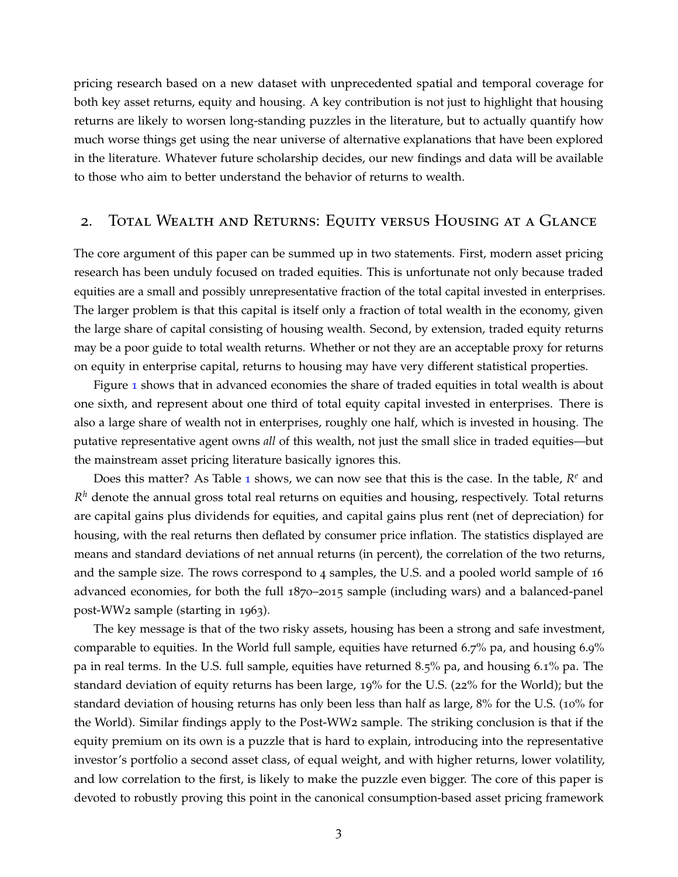pricing research based on a new dataset with unprecedented spatial and temporal coverage for both key asset returns, equity and housing. A key contribution is not just to highlight that housing returns are likely to worsen long-standing puzzles in the literature, but to actually quantify how much worse things get using the near universe of alternative explanations that have been explored in the literature. Whatever future scholarship decides, our new findings and data will be available to those who aim to better understand the behavior of returns to wealth.

#### <span id="page-4-0"></span>2. Total Wealth and Returns: Equity versus Housing at a Glance

The core argument of this paper can be summed up in two statements. First, modern asset pricing research has been unduly focused on traded equities. This is unfortunate not only because traded equities are a small and possibly unrepresentative fraction of the total capital invested in enterprises. The larger problem is that this capital is itself only a fraction of total wealth in the economy, given the large share of capital consisting of housing wealth. Second, by extension, traded equity returns may be a poor guide to total wealth returns. Whether or not they are an acceptable proxy for returns on equity in enterprise capital, returns to housing may have very different statistical properties.

Figure [1](#page-5-0) shows that in advanced economies the share of traded equities in total wealth is about one sixth, and represent about one third of total equity capital invested in enterprises. There is also a large share of wealth not in enterprises, roughly one half, which is invested in housing. The putative representative agent owns *all* of this wealth, not just the small slice in traded equities—but the mainstream asset pricing literature basically ignores this.

Does this matter? As Table [1](#page-5-1) shows, we can now see that this is the case. In the table,  $R^e$  and *R <sup>h</sup>* denote the annual gross total real returns on equities and housing, respectively. Total returns are capital gains plus dividends for equities, and capital gains plus rent (net of depreciation) for housing, with the real returns then deflated by consumer price inflation. The statistics displayed are means and standard deviations of net annual returns (in percent), the correlation of the two returns, and the sample size. The rows correspond to 4 samples, the U.S. and a pooled world sample of 16 advanced economies, for both the full 1870–2015 sample (including wars) and a balanced-panel post-WW2 sample (starting in 1963).

The key message is that of the two risky assets, housing has been a strong and safe investment, comparable to equities. In the World full sample, equities have returned 6.7% pa, and housing 6.9% pa in real terms. In the U.S. full sample, equities have returned 8.5% pa, and housing 6.1% pa. The standard deviation of equity returns has been large, 19% for the U.S. (22% for the World); but the standard deviation of housing returns has only been less than half as large, 8% for the U.S. (10% for the World). Similar findings apply to the Post-WW2 sample. The striking conclusion is that if the equity premium on its own is a puzzle that is hard to explain, introducing into the representative investor's portfolio a second asset class, of equal weight, and with higher returns, lower volatility, and low correlation to the first, is likely to make the puzzle even bigger. The core of this paper is devoted to robustly proving this point in the canonical consumption-based asset pricing framework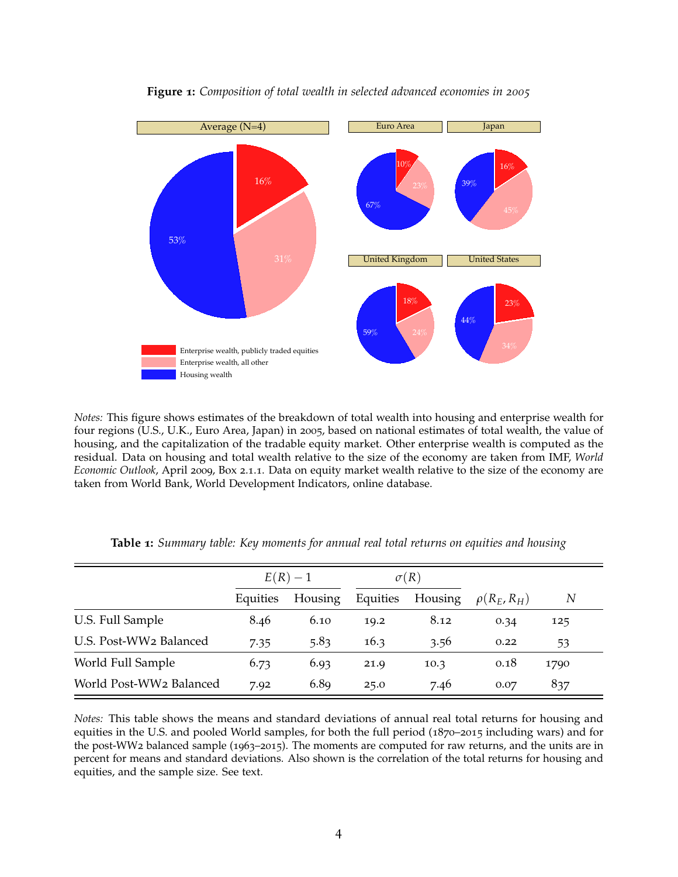<span id="page-5-0"></span>

**Figure 1:** *Composition of total wealth in selected advanced economies in 2005*

*Notes:* This figure shows estimates of the breakdown of total wealth into housing and enterprise wealth for four regions (U.S., U.K., Euro Area, Japan) in 2005, based on national estimates of total wealth, the value of housing, and the capitalization of the tradable equity market. Other enterprise wealth is computed as the residual. Data on housing and total wealth relative to the size of the economy are taken from IMF, *World Economic Outlook*, April 2009, Box 2.1.1. Data on equity market wealth relative to the size of the economy are taken from World Bank, World Development Indicators, online database.

<span id="page-5-1"></span>

|                         | $E(R)-1$ |         |          | $\sigma(R)$ |                 |      |
|-------------------------|----------|---------|----------|-------------|-----------------|------|
|                         | Equities | Housing | Equities | Housing     | $\rho(R_E,R_H)$ | N    |
| U.S. Full Sample        | 8.46     | 6.10    | 19.2     | 8.12        | 0.34            | 125  |
| U.S. Post-WW2 Balanced  | 7.35     | 5.83    | 16.3     | 3.56        | 0.22            | 53   |
| World Full Sample       | 6.73     | 6.93    | 21.9     | 10.3        | 0.18            | 1790 |
| World Post-WW2 Balanced | 7.92     | 6.89    | 25.0     | 7.46        | 0.07            | 837  |

**Table 1:** *Summary table: Key moments for annual real total returns on equities and housing*

*Notes:* This table shows the means and standard deviations of annual real total returns for housing and equities in the U.S. and pooled World samples, for both the full period (1870–2015 including wars) and for the post-WW2 balanced sample (1963–2015). The moments are computed for raw returns, and the units are in percent for means and standard deviations. Also shown is the correlation of the total returns for housing and equities, and the sample size. See text.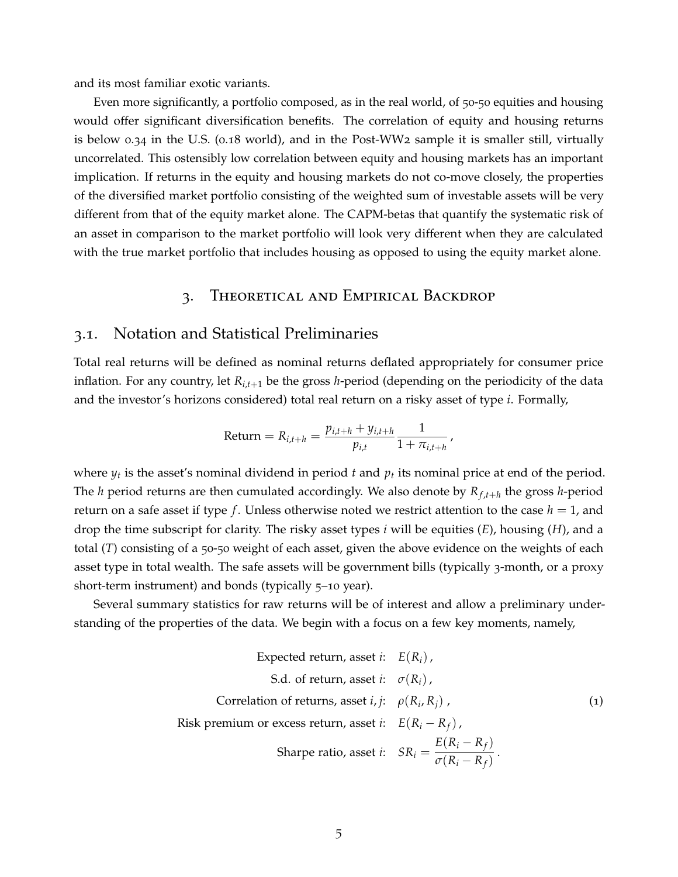and its most familiar exotic variants.

Even more significantly, a portfolio composed, as in the real world, of 50-50 equities and housing would offer significant diversification benefits. The correlation of equity and housing returns is below 0.34 in the U.S. (0.18 world), and in the Post-WW2 sample it is smaller still, virtually uncorrelated. This ostensibly low correlation between equity and housing markets has an important implication. If returns in the equity and housing markets do not co-move closely, the properties of the diversified market portfolio consisting of the weighted sum of investable assets will be very different from that of the equity market alone. The CAPM-betas that quantify the systematic risk of an asset in comparison to the market portfolio will look very different when they are calculated with the true market portfolio that includes housing as opposed to using the equity market alone.

## 3. Theoretical and Empirical Backdrop

## <span id="page-6-0"></span>3.1. Notation and Statistical Preliminaries

Total real returns will be defined as nominal returns deflated appropriately for consumer price inflation. For any country, let *Ri*,*t*+<sup>1</sup> be the gross *h*-period (depending on the periodicity of the data and the investor's horizons considered) total real return on a risky asset of type *i*. Formally,

Return = 
$$
R_{i,t+h} = \frac{p_{i,t+h} + y_{i,t+h}}{p_{i,t}} \frac{1}{1 + \pi_{i,t+h}}
$$
,

where  $y_t$  is the asset's nominal dividend in period  $t$  and  $p_t$  its nominal price at end of the period. The *h* period returns are then cumulated accordingly. We also denote by *R<sup>f</sup>* ,*t*+*<sup>h</sup>* the gross *h*-period return on a safe asset if type *f*. Unless otherwise noted we restrict attention to the case  $h = 1$ , and drop the time subscript for clarity. The risky asset types *i* will be equities (*E*), housing (*H*), and a total (*T*) consisting of a 50-50 weight of each asset, given the above evidence on the weights of each asset type in total wealth. The safe assets will be government bills (typically 3-month, or a proxy short-term instrument) and bonds (typically 5–10 year).

Several summary statistics for raw returns will be of interest and allow a preliminary understanding of the properties of the data. We begin with a focus on a few key moments, namely,

<span id="page-6-1"></span>Expected return, asset *i*: 
$$
E(R_i)
$$
,  
\nS.d. of return, asset *i*:  $\sigma(R_i)$ ,  
\nCorrelation of returns, asset *i*, *j*:  $\rho(R_i, R_j)$ ,  
\nRisk premium or excess return, asset *i*:  $E(R_i - R_f)$ ,  
\nSharpe ratio, asset *i*:  $SR_i = \frac{E(R_i - R_f)}{\sigma(R_i - R_f)}$ .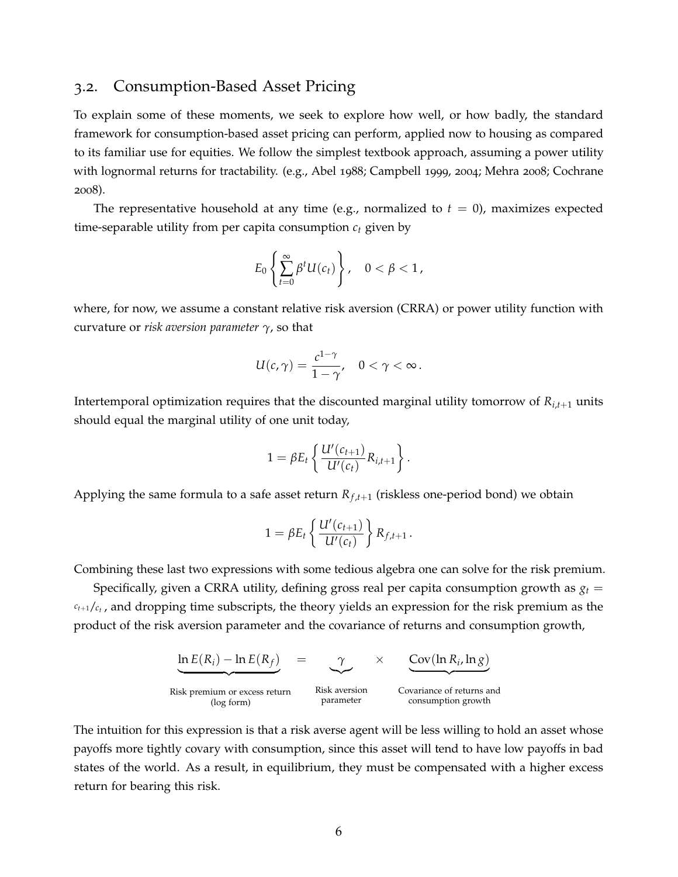## 3.2. Consumption-Based Asset Pricing

To explain some of these moments, we seek to explore how well, or how badly, the standard framework for consumption-based asset pricing can perform, applied now to housing as compared to its familiar use for equities. We follow the simplest textbook approach, assuming a power utility with lognormal returns for tractability. (e.g., Abel 1988; Campbell 1999, 2004; Mehra 2008; Cochrane 2008).

The representative household at any time (e.g., normalized to  $t = 0$ ), maximizes expected time-separable utility from per capita consumption *c<sup>t</sup>* given by

$$
E_0\left\{\sum_{t=0}^{\infty}\beta^tU(c_t)\right\},\quad 0<\beta<1\,,
$$

where, for now, we assume a constant relative risk aversion (CRRA) or power utility function with curvature or *risk aversion parameter γ*, so that

$$
U(c,\gamma)=\frac{c^{1-\gamma}}{1-\gamma}, \quad 0<\gamma<\infty.
$$

Intertemporal optimization requires that the discounted marginal utility tomorrow of  $R_{i,t+1}$  units should equal the marginal utility of one unit today,

$$
1 = \beta E_t \left\{ \frac{U'(c_{t+1})}{U'(c_t)} R_{i,t+1} \right\}.
$$

Applying the same formula to a safe asset return  $R_{f,t+1}$  (riskless one-period bond) we obtain

$$
1 = \beta E_t \left\{ \frac{U'(c_{t+1})}{U'(c_t)} \right\} R_{f,t+1}.
$$

Combining these last two expressions with some tedious algebra one can solve for the risk premium.

Specifically, given a CRRA utility, defining gross real per capita consumption growth as  $g_t =$ *ct*+1/*c<sup>t</sup>* , and dropping time subscripts, the theory yields an expression for the risk premium as the product of the risk aversion parameter and the covariance of returns and consumption growth,



The intuition for this expression is that a risk averse agent will be less willing to hold an asset whose payoffs more tightly covary with consumption, since this asset will tend to have low payoffs in bad states of the world. As a result, in equilibrium, they must be compensated with a higher excess return for bearing this risk.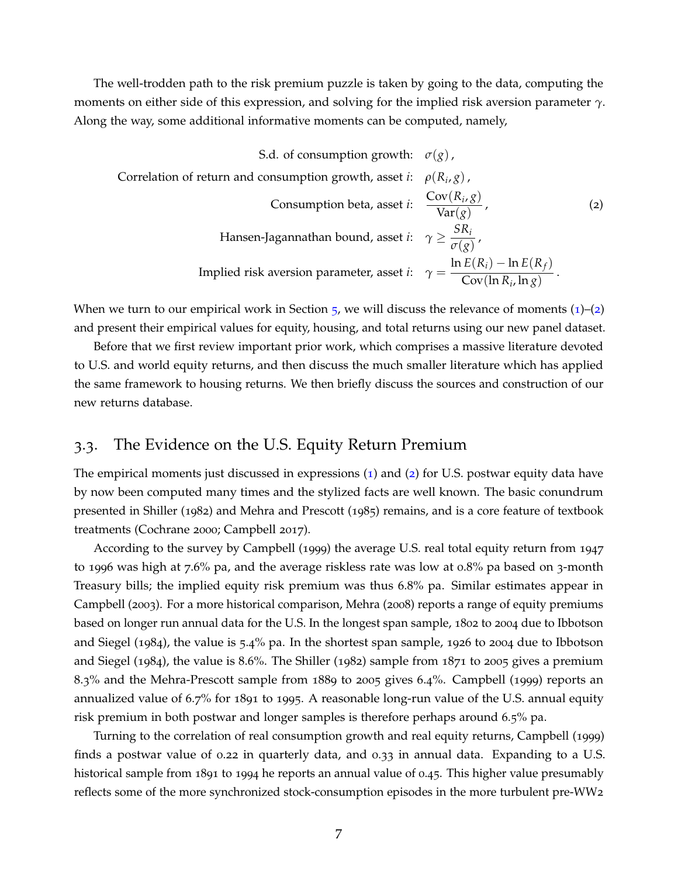The well-trodden path to the risk premium puzzle is taken by going to the data, computing the moments on either side of this expression, and solving for the implied risk aversion parameter *γ*. Along the way, some additional informative moments can be computed, namely,

<span id="page-8-0"></span>S.d. of consumption growth: *σ*(*g*),  
Correlation of return and consumption growth, asset *i*: 
$$
ρ(R_i, g)
$$
,  
Consumption beta, asset *i*:  $\frac{Cov(R_i, g)}{Var(g)}$ , (2)  
Hansen-Jagannathan bound, asset *i*:  $γ ≥ \frac{SR_i}{σ(g)}$ ,  
Implied risk aversion parameter, asset *i*:  $γ = \frac{\ln E(R_i) - \ln E(R_f)}{Cov(\ln R_i, \ln g)}$ .

When we turn to our empirical work in Section  $5$ , we will discuss the relevance of moments  $(1)$  $(1)$  $(1)$ – $(2)$  $(2)$  $(2)$ and present their empirical values for equity, housing, and total returns using our new panel dataset.

Before that we first review important prior work, which comprises a massive literature devoted to U.S. and world equity returns, and then discuss the much smaller literature which has applied the same framework to housing returns. We then briefly discuss the sources and construction of our new returns database.

## 3.3. The Evidence on the U.S. Equity Return Premium

The empirical moments just discussed in expressions ([1](#page-6-1)) and ([2](#page-8-0)) for U.S. postwar equity data have by now been computed many times and the stylized facts are well known. The basic conundrum presented in Shiller (1982) and Mehra and Prescott (1985) remains, and is a core feature of textbook treatments (Cochrane 2000; Campbell 2017).

According to the survey by Campbell (1999) the average U.S. real total equity return from 1947 to 1996 was high at 7.6% pa, and the average riskless rate was low at 0.8% pa based on 3-month Treasury bills; the implied equity risk premium was thus 6.8% pa. Similar estimates appear in Campbell (2003). For a more historical comparison, Mehra (2008) reports a range of equity premiums based on longer run annual data for the U.S. In the longest span sample, 1802 to 2004 due to Ibbotson and Siegel (1984), the value is 5.4% pa. In the shortest span sample, 1926 to 2004 due to Ibbotson and Siegel (1984), the value is 8.6%. The Shiller (1982) sample from 1871 to 2005 gives a premium 8.3% and the Mehra-Prescott sample from 1889 to 2005 gives 6.4%. Campbell (1999) reports an annualized value of 6.7% for 1891 to 1995. A reasonable long-run value of the U.S. annual equity risk premium in both postwar and longer samples is therefore perhaps around 6.5% pa.

Turning to the correlation of real consumption growth and real equity returns, Campbell (1999) finds a postwar value of 0.22 in quarterly data, and 0.33 in annual data. Expanding to a U.S. historical sample from 1891 to 1994 he reports an annual value of 0.45. This higher value presumably reflects some of the more synchronized stock-consumption episodes in the more turbulent pre-WW2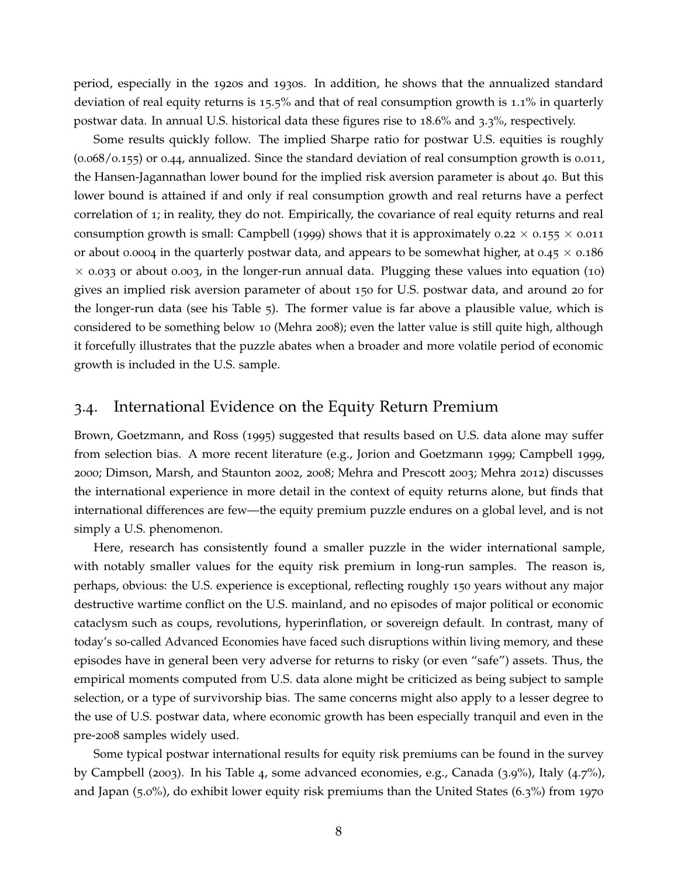period, especially in the 1920s and 1930s. In addition, he shows that the annualized standard deviation of real equity returns is 15.5% and that of real consumption growth is 1.1% in quarterly postwar data. In annual U.S. historical data these figures rise to 18.6% and 3.3%, respectively.

Some results quickly follow. The implied Sharpe ratio for postwar U.S. equities is roughly (0.068/0.155) or 0.44, annualized. Since the standard deviation of real consumption growth is 0.011, the Hansen-Jagannathan lower bound for the implied risk aversion parameter is about 40. But this lower bound is attained if and only if real consumption growth and real returns have a perfect correlation of 1; in reality, they do not. Empirically, the covariance of real equity returns and real consumption growth is small: Campbell (1999) shows that it is approximately 0.22  $\times$  0.155  $\times$  0.011 or about 0.0004 in the quarterly postwar data, and appears to be somewhat higher, at 0.45  $\times$  0.186  $\times$  0.033 or about 0.003, in the longer-run annual data. Plugging these values into equation (10) gives an implied risk aversion parameter of about 150 for U.S. postwar data, and around 20 for the longer-run data (see his Table  $5$ ). The former value is far above a plausible value, which is considered to be something below 10 (Mehra 2008); even the latter value is still quite high, although it forcefully illustrates that the puzzle abates when a broader and more volatile period of economic growth is included in the U.S. sample.

## 3.4. International Evidence on the Equity Return Premium

Brown, Goetzmann, and Ross (1995) suggested that results based on U.S. data alone may suffer from selection bias. A more recent literature (e.g., Jorion and Goetzmann 1999; Campbell 1999, 2000; Dimson, Marsh, and Staunton 2002, 2008; Mehra and Prescott 2003; Mehra 2012) discusses the international experience in more detail in the context of equity returns alone, but finds that international differences are few—the equity premium puzzle endures on a global level, and is not simply a U.S. phenomenon.

Here, research has consistently found a smaller puzzle in the wider international sample, with notably smaller values for the equity risk premium in long-run samples. The reason is, perhaps, obvious: the U.S. experience is exceptional, reflecting roughly 150 years without any major destructive wartime conflict on the U.S. mainland, and no episodes of major political or economic cataclysm such as coups, revolutions, hyperinflation, or sovereign default. In contrast, many of today's so-called Advanced Economies have faced such disruptions within living memory, and these episodes have in general been very adverse for returns to risky (or even "safe") assets. Thus, the empirical moments computed from U.S. data alone might be criticized as being subject to sample selection, or a type of survivorship bias. The same concerns might also apply to a lesser degree to the use of U.S. postwar data, where economic growth has been especially tranquil and even in the pre-2008 samples widely used.

Some typical postwar international results for equity risk premiums can be found in the survey by Campbell (2003). In his Table 4, some advanced economies, e.g., Canada (3.9%), Italy (4.7%), and Japan (5.0%), do exhibit lower equity risk premiums than the United States (6.3%) from 1970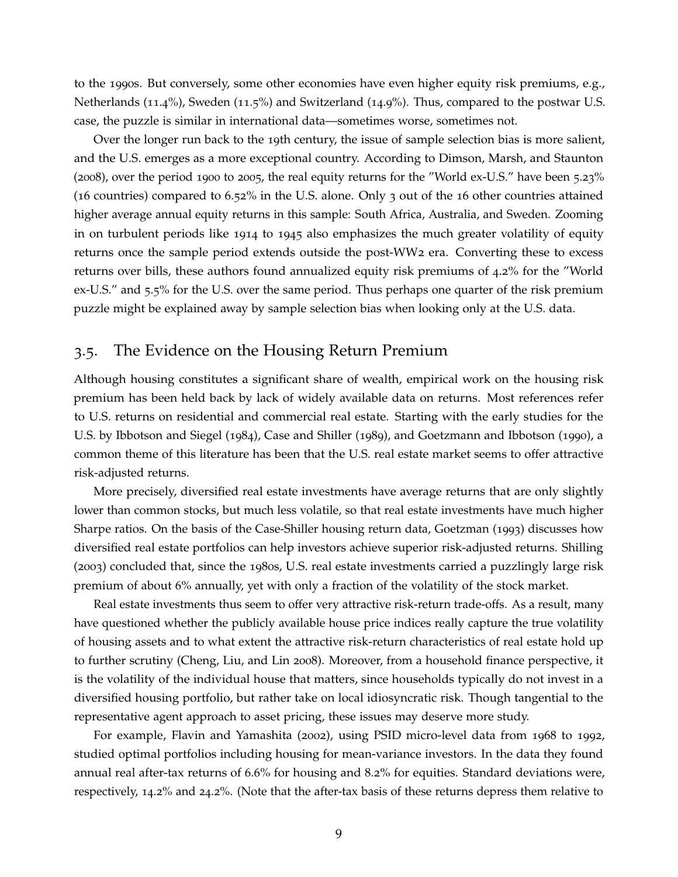to the 1990s. But conversely, some other economies have even higher equity risk premiums, e.g., Netherlands (11.4%), Sweden (11.5%) and Switzerland (14.9%). Thus, compared to the postwar U.S. case, the puzzle is similar in international data—sometimes worse, sometimes not.

Over the longer run back to the 19th century, the issue of sample selection bias is more salient, and the U.S. emerges as a more exceptional country. According to Dimson, Marsh, and Staunton (2008), over the period 1900 to 2005, the real equity returns for the "World ex-U.S." have been 5.23% (16 countries) compared to 6.52% in the U.S. alone. Only 3 out of the 16 other countries attained higher average annual equity returns in this sample: South Africa, Australia, and Sweden. Zooming in on turbulent periods like 1914 to 1945 also emphasizes the much greater volatility of equity returns once the sample period extends outside the post-WW2 era. Converting these to excess returns over bills, these authors found annualized equity risk premiums of 4.2% for the "World ex-U.S." and 5.5% for the U.S. over the same period. Thus perhaps one quarter of the risk premium puzzle might be explained away by sample selection bias when looking only at the U.S. data.

## 3.5. The Evidence on the Housing Return Premium

Although housing constitutes a significant share of wealth, empirical work on the housing risk premium has been held back by lack of widely available data on returns. Most references refer to U.S. returns on residential and commercial real estate. Starting with the early studies for the U.S. by Ibbotson and Siegel (1984), Case and Shiller (1989), and Goetzmann and Ibbotson (1990), a common theme of this literature has been that the U.S. real estate market seems to offer attractive risk-adjusted returns.

More precisely, diversified real estate investments have average returns that are only slightly lower than common stocks, but much less volatile, so that real estate investments have much higher Sharpe ratios. On the basis of the Case-Shiller housing return data, Goetzman (1993) discusses how diversified real estate portfolios can help investors achieve superior risk-adjusted returns. Shilling (2003) concluded that, since the 1980s, U.S. real estate investments carried a puzzlingly large risk premium of about 6% annually, yet with only a fraction of the volatility of the stock market.

Real estate investments thus seem to offer very attractive risk-return trade-offs. As a result, many have questioned whether the publicly available house price indices really capture the true volatility of housing assets and to what extent the attractive risk-return characteristics of real estate hold up to further scrutiny (Cheng, Liu, and Lin 2008). Moreover, from a household finance perspective, it is the volatility of the individual house that matters, since households typically do not invest in a diversified housing portfolio, but rather take on local idiosyncratic risk. Though tangential to the representative agent approach to asset pricing, these issues may deserve more study.

For example, Flavin and Yamashita (2002), using PSID micro-level data from 1968 to 1992, studied optimal portfolios including housing for mean-variance investors. In the data they found annual real after-tax returns of 6.6% for housing and 8.2% for equities. Standard deviations were, respectively, 14.2% and 24.2%. (Note that the after-tax basis of these returns depress them relative to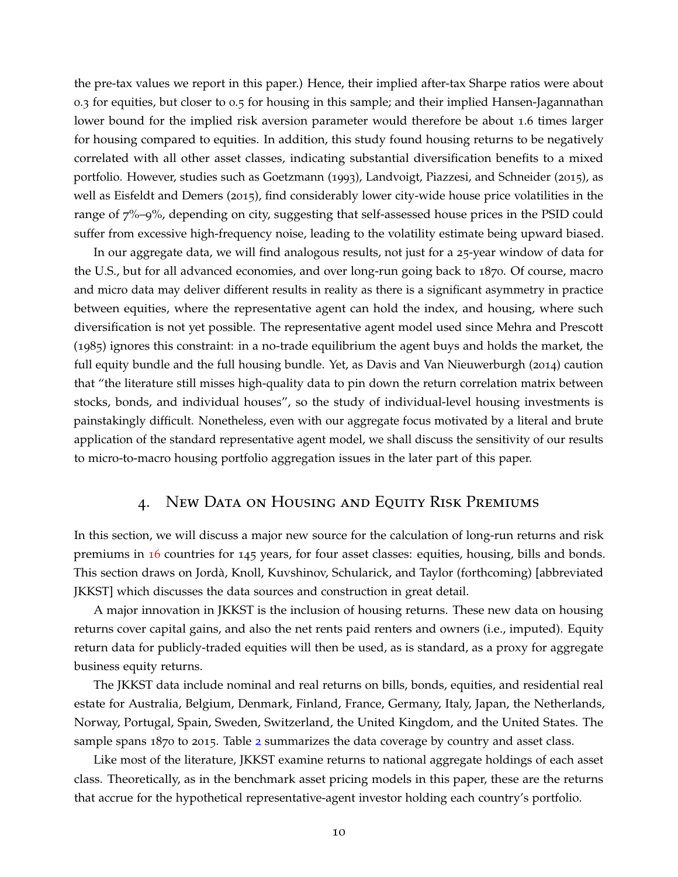the pre-tax values we report in this paper.) Hence, their implied after-tax Sharpe ratios were about 0.3 for equities, but closer to 0.5 for housing in this sample; and their implied Hansen-Jagannathan lower bound for the implied risk aversion parameter would therefore be about 1.6 times larger for housing compared to equities. In addition, this study found housing returns to be negatively correlated with all other asset classes, indicating substantial diversification benefits to a mixed portfolio. However, studies such as Goetzmann (1993), Landvoigt, Piazzesi, and Schneider (2015), as well as Eisfeldt and Demers (2015), find considerably lower city-wide house price volatilities in the range of 7%–9%, depending on city, suggesting that self-assessed house prices in the PSID could suffer from excessive high-frequency noise, leading to the volatility estimate being upward biased.

In our aggregate data, we will find analogous results, not just for a 25-year window of data for the U.S., but for all advanced economies, and over long-run going back to 1870. Of course, macro and micro data may deliver different results in reality as there is a significant asymmetry in practice between equities, where the representative agent can hold the index, and housing, where such diversification is not yet possible. The representative agent model used since Mehra and Prescott (1985) ignores this constraint: in a no-trade equilibrium the agent buys and holds the market, the full equity bundle and the full housing bundle. Yet, as Davis and Van Nieuwerburgh (2014) caution that "the literature still misses high-quality data to pin down the return correlation matrix between stocks, bonds, and individual houses", so the study of individual-level housing investments is painstakingly difficult. Nonetheless, even with our aggregate focus motivated by a literal and brute application of the standard representative agent model, we shall discuss the sensitivity of our results to micro-to-macro housing portfolio aggregation issues in the later part of this paper.

## 4. New Data on Housing and Equity Risk Premiums

<span id="page-11-0"></span>In this section, we will discuss a major new source for the calculation of long-run returns and risk premiums in 16 countries for 145 years, for four asset classes: equities, housing, bills and bonds. This section draws on Jorda, Knoll, Kuvshinov, Schularick, and Taylor (forthcoming) [abbreviated ` JKKST] which discusses the data sources and construction in great detail.

A major innovation in JKKST is the inclusion of housing returns. These new data on housing returns cover capital gains, and also the net rents paid renters and owners (i.e., imputed). Equity return data for publicly-traded equities will then be used, as is standard, as a proxy for aggregate business equity returns.

The JKKST data include nominal and real returns on bills, bonds, equities, and residential real estate for Australia, Belgium, Denmark, Finland, France, Germany, Italy, Japan, the Netherlands, Norway, Portugal, Spain, Sweden, Switzerland, the United Kingdom, and the United States. The sample spans 1870 to 2015. Table [2](#page-12-0) summarizes the data coverage by country and asset class.

Like most of the literature, JKKST examine returns to national aggregate holdings of each asset class. Theoretically, as in the benchmark asset pricing models in this paper, these are the returns that accrue for the hypothetical representative-agent investor holding each country's portfolio.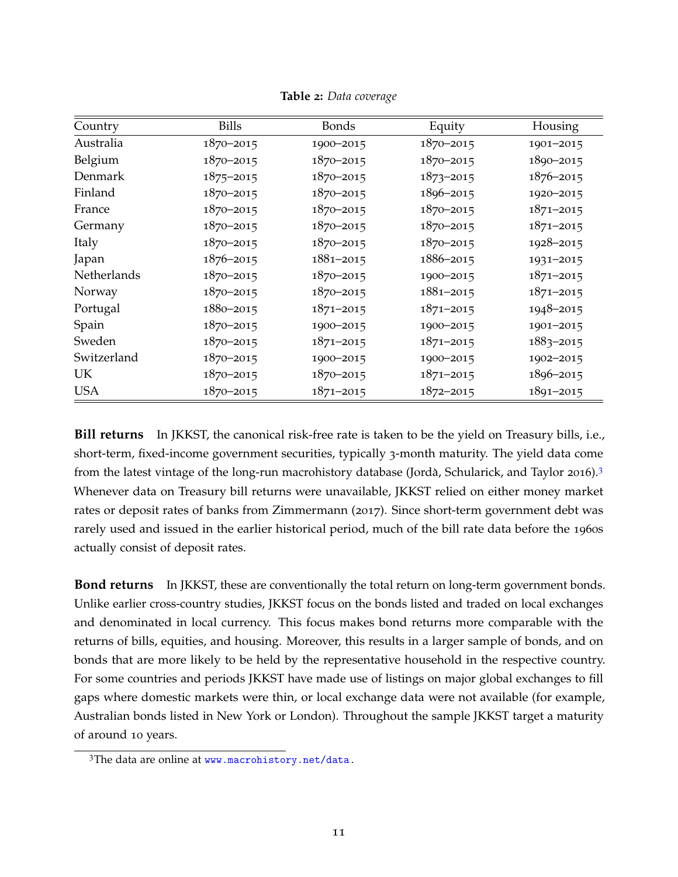<span id="page-12-0"></span>

| Country            | <b>Bills</b>  | <b>Bonds</b>  | Equity        | Housing       |
|--------------------|---------------|---------------|---------------|---------------|
| Australia          | $1870 - 2015$ | 1900-2015     | $1870 - 2015$ | 1901-2015     |
| Belgium            | $1870 - 2015$ | 1870-2015     | $1870 - 2015$ | 1890-2015     |
| Denmark            | $1875 - 2015$ | 1870-2015     | $1873 - 2015$ | 1876-2015     |
| Finland            | $1870 - 2015$ | 1870-2015     | 1896-2015     | 1920-2015     |
| France             | $1870 - 2015$ | $1870 - 2015$ | $1870 - 2015$ | $1871 - 2015$ |
| Germany            | $1870 - 2015$ | $1870 - 2015$ | $1870 - 2015$ | $1871 - 2015$ |
| Italy              | $1870 - 2015$ | $1870 - 2015$ | $1870 - 2015$ | 1928-2015     |
| Japan              | $1876 - 2015$ | $1881 - 2015$ | 1886-2015     | 1931-2015     |
| <b>Netherlands</b> | $1870 - 2015$ | 1870-2015     | 1900-2015     | $1871 - 2015$ |
| Norway             | $1870 - 2015$ | $1870 - 2015$ | $1881 - 2015$ | $1871 - 2015$ |
| Portugal           | 1880-2015     | $1871 - 2015$ | $1871 - 2015$ | 1948-2015     |
| Spain              | $1870 - 2015$ | 1900-2015     | 1900-2015     | 1901-2015     |
| Sweden             | $1870 - 2015$ | $1871 - 2015$ | $1871 - 2015$ | 1883-2015     |
| Switzerland        | $1870 - 2015$ | 1900-2015     | 1900-2015     | 1902-2015     |
| UK.                | $1870 - 2015$ | 1870-2015     | $1871 - 2015$ | 1896-2015     |
| <b>USA</b>         | $1870 - 2015$ | 1871-2015     | $1872 - 2015$ | 1891-2015     |

**Table 2:** *Data coverage*

**Bill returns** In JKKST, the canonical risk-free rate is taken to be the yield on Treasury bills, i.e., short-term, fixed-income government securities, typically 3-month maturity. The yield data come from the latest vintage of the long-run macrohistory database (Jordà, Schularick, and Taylor 2016).<sup>[3](#page-12-1)</sup> Whenever data on Treasury bill returns were unavailable, JKKST relied on either money market rates or deposit rates of banks from Zimmermann (2017). Since short-term government debt was rarely used and issued in the earlier historical period, much of the bill rate data before the 1960s actually consist of deposit rates.

**Bond returns** In JKKST, these are conventionally the total return on long-term government bonds. Unlike earlier cross-country studies, JKKST focus on the bonds listed and traded on local exchanges and denominated in local currency. This focus makes bond returns more comparable with the returns of bills, equities, and housing. Moreover, this results in a larger sample of bonds, and on bonds that are more likely to be held by the representative household in the respective country. For some countries and periods JKKST have made use of listings on major global exchanges to fill gaps where domestic markets were thin, or local exchange data were not available (for example, Australian bonds listed in New York or London). Throughout the sample JKKST target a maturity of around 10 years.

<span id="page-12-1"></span><sup>3</sup>The data are online at <www.macrohistory.net/data> .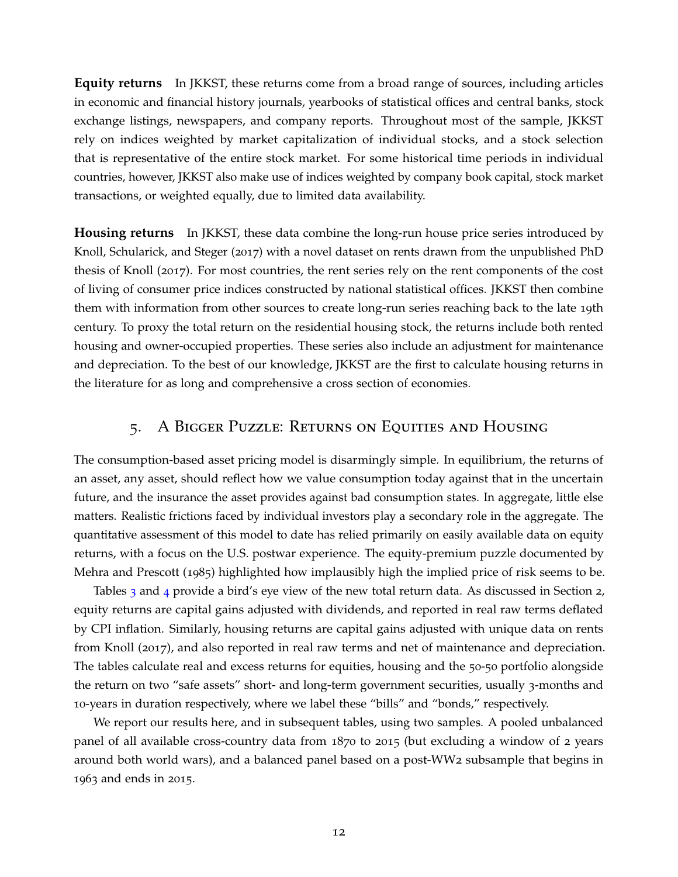**Equity returns** In JKKST, these returns come from a broad range of sources, including articles in economic and financial history journals, yearbooks of statistical offices and central banks, stock exchange listings, newspapers, and company reports. Throughout most of the sample, JKKST rely on indices weighted by market capitalization of individual stocks, and a stock selection that is representative of the entire stock market. For some historical time periods in individual countries, however, JKKST also make use of indices weighted by company book capital, stock market transactions, or weighted equally, due to limited data availability.

**Housing returns** In JKKST, these data combine the long-run house price series introduced by Knoll, Schularick, and Steger (2017) with a novel dataset on rents drawn from the unpublished PhD thesis of Knoll (2017). For most countries, the rent series rely on the rent components of the cost of living of consumer price indices constructed by national statistical offices. JKKST then combine them with information from other sources to create long-run series reaching back to the late 19th century. To proxy the total return on the residential housing stock, the returns include both rented housing and owner-occupied properties. These series also include an adjustment for maintenance and depreciation. To the best of our knowledge, JKKST are the first to calculate housing returns in the literature for as long and comprehensive a cross section of economies.

## <span id="page-13-0"></span>5. A Bigger Puzzle: Returns on Equities and Housing

The consumption-based asset pricing model is disarmingly simple. In equilibrium, the returns of an asset, any asset, should reflect how we value consumption today against that in the uncertain future, and the insurance the asset provides against bad consumption states. In aggregate, little else matters. Realistic frictions faced by individual investors play a secondary role in the aggregate. The quantitative assessment of this model to date has relied primarily on easily available data on equity returns, with a focus on the U.S. postwar experience. The equity-premium puzzle documented by Mehra and Prescott (1985) highlighted how implausibly high the implied price of risk seems to be.

Tables [3](#page-14-0) and [4](#page-14-1) provide a bird's eye view of the new total return data. As discussed in Section 2, equity returns are capital gains adjusted with dividends, and reported in real raw terms deflated by CPI inflation. Similarly, housing returns are capital gains adjusted with unique data on rents from Knoll (2017), and also reported in real raw terms and net of maintenance and depreciation. The tables calculate real and excess returns for equities, housing and the 50-50 portfolio alongside the return on two "safe assets" short- and long-term government securities, usually 3-months and 10-years in duration respectively, where we label these "bills" and "bonds," respectively.

We report our results here, and in subsequent tables, using two samples. A pooled unbalanced panel of all available cross-country data from 1870 to 2015 (but excluding a window of 2 years around both world wars), and a balanced panel based on a post-WW2 subsample that begins in 1963 and ends in 2015.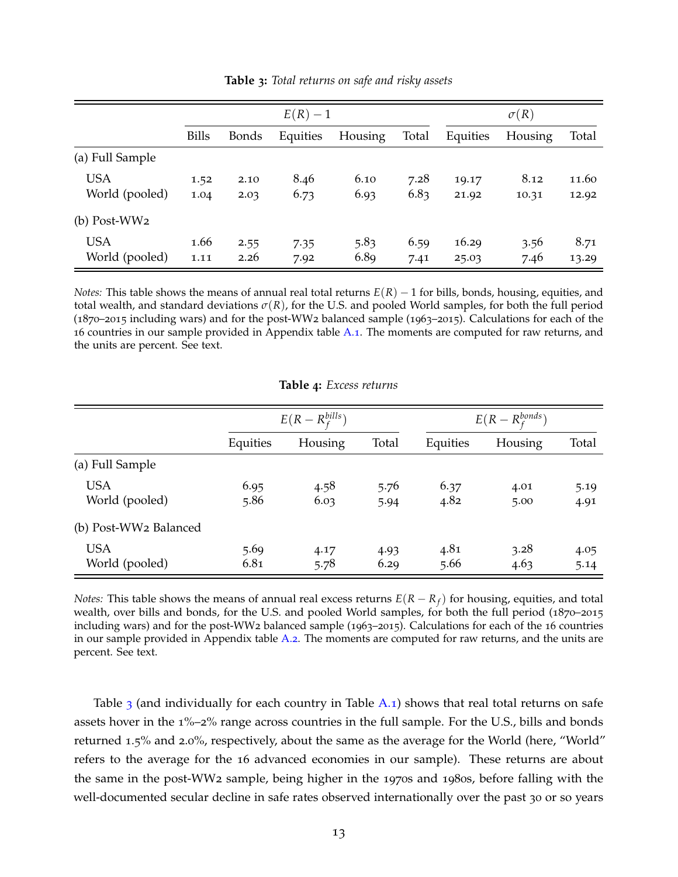<span id="page-14-0"></span>

|                              |              | $E(R)-1$     |              |              |              | $\sigma(R)$    |               |                |
|------------------------------|--------------|--------------|--------------|--------------|--------------|----------------|---------------|----------------|
|                              | <b>Bills</b> | <b>Bonds</b> | Equities     | Housing      | Total        | Equities       | Housing       | Total          |
| (a) Full Sample              |              |              |              |              |              |                |               |                |
| <b>USA</b><br>World (pooled) | 1.52<br>1.04 | 2.10<br>2.03 | 8.46<br>6.73 | 6.10<br>6.93 | 7.28<br>6.83 | 19.17<br>21.92 | 8.12<br>10.31 | 11.60<br>12.92 |
| $(b)$ Post-WW <sub>2</sub>   |              |              |              |              |              |                |               |                |
| <b>USA</b><br>World (pooled) | 1.66<br>1.11 | 2.55<br>2.26 | 7.35<br>7.92 | 5.83<br>6.89 | 6.59<br>7.41 | 16.29<br>25.03 | 3.56<br>7.46  | 8.71<br>13.29  |

**Table 3:** *Total returns on safe and risky assets*

*Notes:* This table shows the means of annual real total returns  $E(R) − 1$  for bills, bonds, housing, equities, and total wealth, and standard deviations  $\sigma(R)$ , for the U.S. and pooled World samples, for both the full period (1870–2015 including wars) and for the post-WW2 balanced sample (1963–2015). Calculations for each of the 16 countries in our sample provided in Appendix table [A.](#page-50-0)1. The moments are computed for raw returns, and the units are percent. See text.

**Table 4:** *Excess returns*

<span id="page-14-1"></span>

|                              |              | $E(R - R_f^{bills})$ |              |              | $E(R - R_f^{bonds})$ |              |  |
|------------------------------|--------------|----------------------|--------------|--------------|----------------------|--------------|--|
|                              | Equities     | Housing              | Total        | Equities     | Housing              | Total        |  |
| (a) Full Sample              |              |                      |              |              |                      |              |  |
| <b>USA</b><br>World (pooled) | 6.95<br>5.86 | 4.58<br>6.03         | 5.76<br>5.94 | 6.37<br>4.82 | 4.01<br>5.00         | 5.19<br>4.91 |  |
| (b) Post-WW2 Balanced        |              |                      |              |              |                      |              |  |
| <b>USA</b><br>World (pooled) | 5.69<br>6.81 | 4.17<br>5.78         | 4.93<br>6.29 | 4.81<br>5.66 | 3.28<br>4.63         | 4.05<br>5.14 |  |

*Notes:* This table shows the means of annual real excess returns *E*(*R* − *R<sup>f</sup>* ) for housing, equities, and total wealth, over bills and bonds, for the U.S. and pooled World samples, for both the full period (1870–2015 including wars) and for the post-WW2 balanced sample (1963–2015). Calculations for each of the 16 countries in our sample provided in Appendix table [A.](#page-51-0)2. The moments are computed for raw returns, and the units are percent. See text.

Table  $3$  (and individually for each country in Table [A.](#page-50-0)1) shows that real total returns on safe assets hover in the 1%–2% range across countries in the full sample. For the U.S., bills and bonds returned 1.5% and 2.0%, respectively, about the same as the average for the World (here, "World" refers to the average for the 16 advanced economies in our sample). These returns are about the same in the post-WW2 sample, being higher in the 1970s and 1980s, before falling with the well-documented secular decline in safe rates observed internationally over the past 30 or so years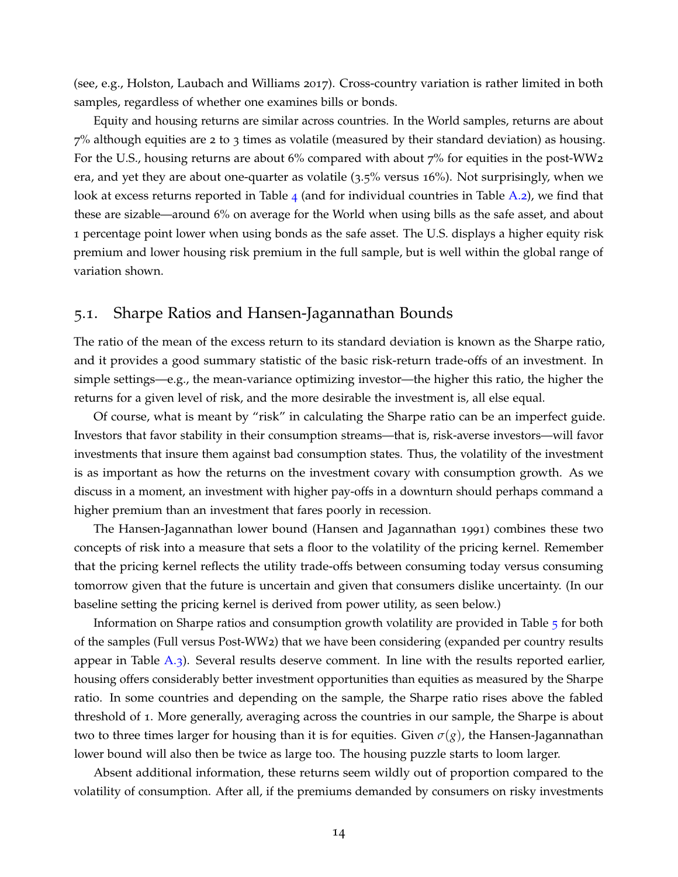(see, e.g., Holston, Laubach and Williams 2017). Cross-country variation is rather limited in both samples, regardless of whether one examines bills or bonds.

Equity and housing returns are similar across countries. In the World samples, returns are about  $7\%$  although equities are 2 to 3 times as volatile (measured by their standard deviation) as housing. For the U.S., housing returns are about 6% compared with about 7% for equities in the post-WW2 era, and yet they are about one-quarter as volatile (3.5% versus 16%). Not surprisingly, when we look at excess returns reported in Table  $_4$  $_4$  (and for individual countries in Table [A.](#page-51-0)2), we find that these are sizable—around 6% on average for the World when using bills as the safe asset, and about 1 percentage point lower when using bonds as the safe asset. The U.S. displays a higher equity risk premium and lower housing risk premium in the full sample, but is well within the global range of variation shown.

## 5.1. Sharpe Ratios and Hansen-Jagannathan Bounds

The ratio of the mean of the excess return to its standard deviation is known as the Sharpe ratio, and it provides a good summary statistic of the basic risk-return trade-offs of an investment. In simple settings—e.g., the mean-variance optimizing investor—the higher this ratio, the higher the returns for a given level of risk, and the more desirable the investment is, all else equal.

Of course, what is meant by "risk" in calculating the Sharpe ratio can be an imperfect guide. Investors that favor stability in their consumption streams—that is, risk-averse investors—will favor investments that insure them against bad consumption states. Thus, the volatility of the investment is as important as how the returns on the investment covary with consumption growth. As we discuss in a moment, an investment with higher pay-offs in a downturn should perhaps command a higher premium than an investment that fares poorly in recession.

The Hansen-Jagannathan lower bound (Hansen and Jagannathan 1991) combines these two concepts of risk into a measure that sets a floor to the volatility of the pricing kernel. Remember that the pricing kernel reflects the utility trade-offs between consuming today versus consuming tomorrow given that the future is uncertain and given that consumers dislike uncertainty. (In our baseline setting the pricing kernel is derived from power utility, as seen below.)

Information on Sharpe ratios and consumption growth volatility are provided in Table [5](#page-16-0) for both of the samples (Full versus Post-WW2) that we have been considering (expanded per country results appear in Table [A.](#page-52-0)3). Several results deserve comment. In line with the results reported earlier, housing offers considerably better investment opportunities than equities as measured by the Sharpe ratio. In some countries and depending on the sample, the Sharpe ratio rises above the fabled threshold of 1. More generally, averaging across the countries in our sample, the Sharpe is about two to three times larger for housing than it is for equities. Given  $\sigma(g)$ , the Hansen-Jagannathan lower bound will also then be twice as large too. The housing puzzle starts to loom larger.

Absent additional information, these returns seem wildly out of proportion compared to the volatility of consumption. After all, if the premiums demanded by consumers on risky investments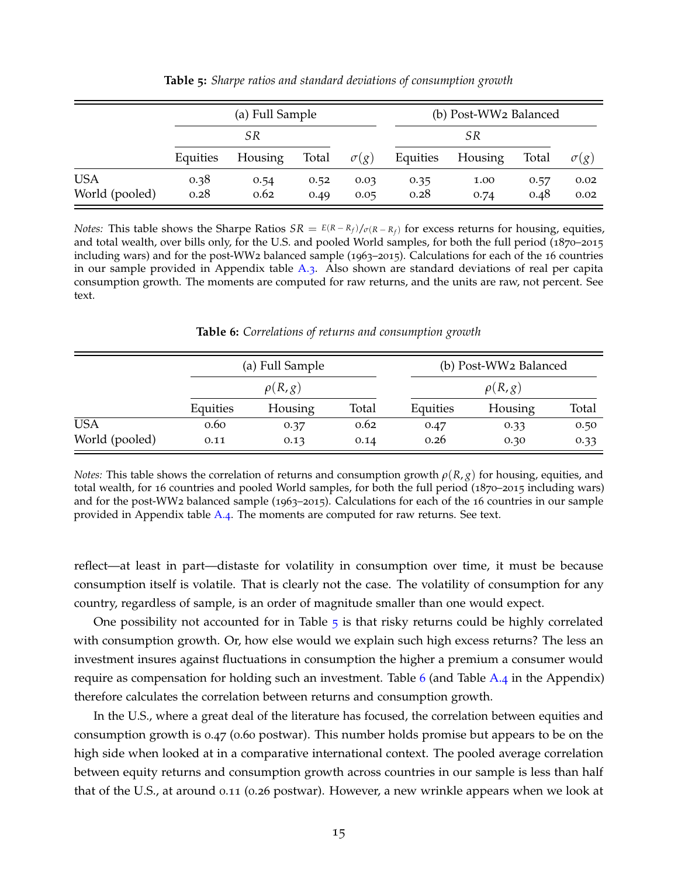<span id="page-16-0"></span>

|                              |              | (a) Full Sample |              |              |              | (b) Post-WW2 Balanced |              |              |  |
|------------------------------|--------------|-----------------|--------------|--------------|--------------|-----------------------|--------------|--------------|--|
|                              |              | SR              |              |              |              |                       |              |              |  |
|                              | Equities     | Housing         | Total        | $\sigma(g)$  | Equities     | Housing               | Total        | $\sigma(g)$  |  |
| <b>USA</b><br>World (pooled) | 0.38<br>0.28 | 0.54<br>0.62    | 0.52<br>0.49 | 0.03<br>0.05 | 0.35<br>0.28 | 1.00<br>0.74          | 0.57<br>0.48 | 0.02<br>0.02 |  |

**Table 5:** *Sharpe ratios and standard deviations of consumption growth*

*Notes:* This table shows the Sharpe Ratios  $SR = E(R - R_f)/\sigma(R - R_f)$  for excess returns for housing, equities, and total wealth, over bills only, for the U.S. and pooled World samples, for both the full period (1870–2015 including wars) and for the post-WW2 balanced sample (1963–2015). Calculations for each of the 16 countries in our sample provided in Appendix table [A.](#page-52-0)3. Also shown are standard deviations of real per capita consumption growth. The moments are computed for raw returns, and the units are raw, not percent. See text.

**Table 6:** *Correlations of returns and consumption growth*

<span id="page-16-1"></span>

|                |          | (a) Full Sample |       | (b) Post-WW2 Balanced |         |       |  |
|----------------|----------|-----------------|-------|-----------------------|---------|-------|--|
|                |          | $\rho(R,g)$     |       | $\rho(R,g)$           |         |       |  |
|                | Equities | Housing         | Total | Equities              | Housing | Total |  |
| <b>USA</b>     | 0.60     | 0.37            | 0.62  | 0.47                  | 0.33    | 0.50  |  |
| World (pooled) | 0.11     | 0.13<br>0.14    |       |                       | 0.30    | 0.33  |  |

*Notes:* This table shows the correlation of returns and consumption growth  $\rho(R, g)$  for housing, equities, and total wealth, for 16 countries and pooled World samples, for both the full period (1870–2015 including wars) and for the post-WW2 balanced sample (1963–2015). Calculations for each of the 16 countries in our sample provided in Appendix table [A.](#page-53-0)4. The moments are computed for raw returns. See text.

reflect—at least in part—distaste for volatility in consumption over time, it must be because consumption itself is volatile. That is clearly not the case. The volatility of consumption for any country, regardless of sample, is an order of magnitude smaller than one would expect.

One possibility not accounted for in Table [5](#page-16-0) is that risky returns could be highly correlated with consumption growth. Or, how else would we explain such high excess returns? The less an investment insures against fluctuations in consumption the higher a premium a consumer would require as compensation for holding such an investment. Table  $6$  (and Table [A.](#page-53-0)4 in the Appendix) therefore calculates the correlation between returns and consumption growth.

In the U.S., where a great deal of the literature has focused, the correlation between equities and consumption growth is 0.47 (0.60 postwar). This number holds promise but appears to be on the high side when looked at in a comparative international context. The pooled average correlation between equity returns and consumption growth across countries in our sample is less than half that of the U.S., at around 0.11 (0.26 postwar). However, a new wrinkle appears when we look at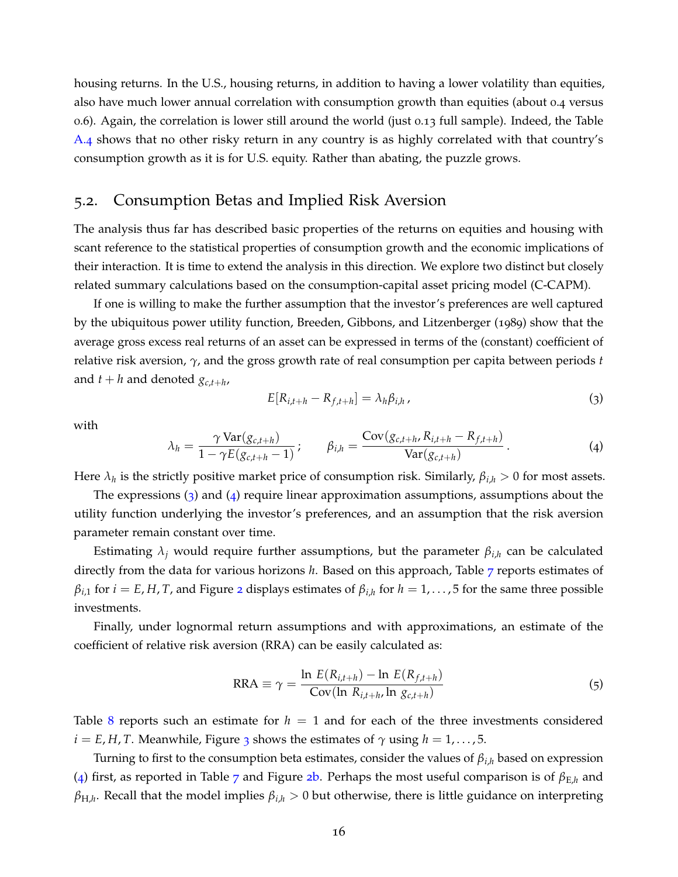housing returns. In the U.S., housing returns, in addition to having a lower volatility than equities, also have much lower annual correlation with consumption growth than equities (about 0.4 versus 0.6). Again, the correlation is lower still around the world (just 0.13 full sample). Indeed, the Table [A.](#page-53-0)4 shows that no other risky return in any country is as highly correlated with that country's consumption growth as it is for U.S. equity. Rather than abating, the puzzle grows.

## 5.2. Consumption Betas and Implied Risk Aversion

The analysis thus far has described basic properties of the returns on equities and housing with scant reference to the statistical properties of consumption growth and the economic implications of their interaction. It is time to extend the analysis in this direction. We explore two distinct but closely related summary calculations based on the consumption-capital asset pricing model (C-CAPM).

If one is willing to make the further assumption that the investor's preferences are well captured by the ubiquitous power utility function, Breeden, Gibbons, and Litzenberger (1989) show that the average gross excess real returns of an asset can be expressed in terms of the (constant) coefficient of relative risk aversion, *γ*, and the gross growth rate of real consumption per capita between periods *t* and  $t + h$  and denoted  $g_{c,t+h}$ ,

<span id="page-17-0"></span>
$$
E[R_{i,t+h} - R_{f,t+h}] = \lambda_h \beta_{i,h}, \qquad (3)
$$

<span id="page-17-1"></span>with

$$
\lambda_h = \frac{\gamma \text{Var}(g_{c,t+h})}{1 - \gamma E(g_{c,t+h} - 1)}; \qquad \beta_{i,h} = \frac{\text{Cov}(g_{c,t+h}, R_{i,t+h} - R_{f,t+h})}{\text{Var}(g_{c,t+h})}.
$$
\n(4)

Here  $\lambda_h$  is the strictly positive market price of consumption risk. Similarly,  $\beta_{i,h} > 0$  for most assets.

The expressions  $(3)$  $(3)$  $(3)$  and  $(4)$  $(4)$  $(4)$  require linear approximation assumptions, assumptions about the utility function underlying the investor's preferences, and an assumption that the risk aversion parameter remain constant over time.

Estimating  $\lambda_j$  would require further assumptions, but the parameter  $\beta_{i,h}$  can be calculated directly from the data for various horizons *h*. Based on this approach, Table [7](#page-19-0) reports estimates of  $\beta_{i,1}$  for  $i = E$ , *H*, *T*, and Figure [2](#page-19-1) displays estimates of  $\beta_{i,h}$  for  $h = 1, \ldots, 5$  for the same three possible investments.

Finally, under lognormal return assumptions and with approximations, an estimate of the coefficient of relative risk aversion (RRA) can be easily calculated as:

<span id="page-17-2"></span>
$$
RRA \equiv \gamma = \frac{\ln E(R_{i,t+h}) - \ln E(R_{f,t+h})}{\text{Cov}(\ln R_{i,t+h}, \ln g_{c,t+h})}
$$
(5)

Table [8](#page-20-0) reports such an estimate for *h* = 1 and for each of the three investments considered  $i = E, H, T$ . Meanwhile, Figure [3](#page-20-1) shows the estimates of  $\gamma$  using  $h = 1, \ldots, 5$ .

Turning to first to the consumption beta estimates, consider the values of *βi*,*<sup>h</sup>* based on expression ([4](#page-17-1)) first, as reported in Table [7](#page-19-0) and Figure 2[b.](#page-19-1) Perhaps the most useful comparison is of *β*E,*<sup>h</sup>* and *β*<sub>H,*h*</sub>. Recall that the model implies  $β_{i,h} > 0$  but otherwise, there is little guidance on interpreting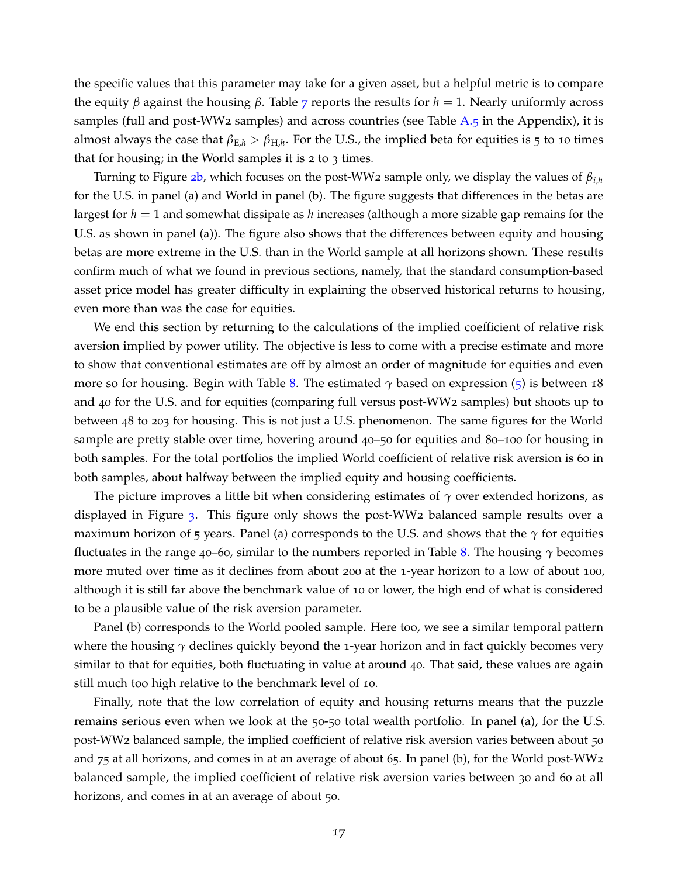the specific values that this parameter may take for a given asset, but a helpful metric is to compare the equity *β* against the housing *β*. Table *[7](#page-19-0)* reports the results for *h* = 1. Nearly uniformly across samples (full and post-WW2 samples) and across countries (see Table  $A_5$  in the Appendix), it is almost always the case that  $\beta_{E,h} > \beta_{H,h}$ . For the U.S., the implied beta for equities is 5 to 10 times that for housing; in the World samples it is  $2$  to  $3$  times.

Turning to Figure 2[b,](#page-19-1) which focuses on the post-WW2 sample only, we display the values of *βi*,*<sup>h</sup>* for the U.S. in panel (a) and World in panel (b). The figure suggests that differences in the betas are largest for *h* = 1 and somewhat dissipate as *h* increases (although a more sizable gap remains for the U.S. as shown in panel (a)). The figure also shows that the differences between equity and housing betas are more extreme in the U.S. than in the World sample at all horizons shown. These results confirm much of what we found in previous sections, namely, that the standard consumption-based asset price model has greater difficulty in explaining the observed historical returns to housing, even more than was the case for equities.

We end this section by returning to the calculations of the implied coefficient of relative risk aversion implied by power utility. The objective is less to come with a precise estimate and more to show that conventional estimates are off by almost an order of magnitude for equities and even more so for housing. Begin with Table [8](#page-20-0). The estimated *γ* based on expression ([5](#page-17-2)) is between 18 and 40 for the U.S. and for equities (comparing full versus post-WW2 samples) but shoots up to between 48 to 203 for housing. This is not just a U.S. phenomenon. The same figures for the World sample are pretty stable over time, hovering around 40–50 for equities and 80–100 for housing in both samples. For the total portfolios the implied World coefficient of relative risk aversion is 60 in both samples, about halfway between the implied equity and housing coefficients.

The picture improves a little bit when considering estimates of  $\gamma$  over extended horizons, as displayed in Figure [3](#page-20-1). This figure only shows the post-WW2 balanced sample results over a maximum horizon of 5 years. Panel (a) corresponds to the U.S. and shows that the *γ* for equities fluctuates in the range 40–60, similar to the numbers reported in Table [8](#page-20-0). The housing *γ* becomes more muted over time as it declines from about 200 at the 1-year horizon to a low of about 100, although it is still far above the benchmark value of 10 or lower, the high end of what is considered to be a plausible value of the risk aversion parameter.

Panel (b) corresponds to the World pooled sample. Here too, we see a similar temporal pattern where the housing *γ* declines quickly beyond the 1-year horizon and in fact quickly becomes very similar to that for equities, both fluctuating in value at around 40. That said, these values are again still much too high relative to the benchmark level of 10.

Finally, note that the low correlation of equity and housing returns means that the puzzle remains serious even when we look at the 50-50 total wealth portfolio. In panel (a), for the U.S. post-WW2 balanced sample, the implied coefficient of relative risk aversion varies between about 50 and 75 at all horizons, and comes in at an average of about 65. In panel (b), for the World post-WW2 balanced sample, the implied coefficient of relative risk aversion varies between 30 and 60 at all horizons, and comes in at an average of about 50.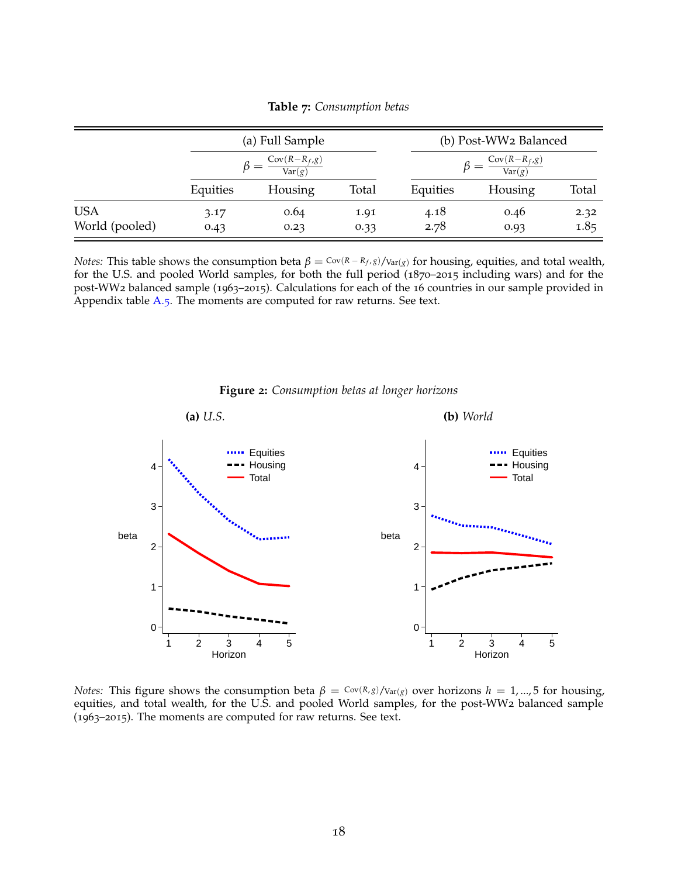<span id="page-19-0"></span>

|                              |              | (a) Full Sample                                     |       |              | (b) Post-WW2 Balanced                                    |              |  |  |
|------------------------------|--------------|-----------------------------------------------------|-------|--------------|----------------------------------------------------------|--------------|--|--|
|                              |              | $\beta = \frac{\text{Cov}(R-R_f,g)}{\text{Var}(g)}$ |       |              | $\beta = \frac{\text{Cov}(R - R_{f}, g)}{\text{Var}(g)}$ |              |  |  |
|                              | Equities     | Housing                                             | Total | Equities     | Housing                                                  | Total        |  |  |
| <b>USA</b><br>World (pooled) | 3.17<br>0.43 | 0.64<br>1.91<br>0.23<br>0.33                        |       | 4.18<br>2.78 | 0.46<br>0.93                                             | 2.32<br>1.85 |  |  |

**Table 7:** *Consumption betas*

*Notes:* This table shows the consumption beta  $\beta = \text{Cov}(R - R_f, g) / \text{Var}(g)$  for housing, equities, and total wealth, for the U.S. and pooled World samples, for both the full period (1870–2015 including wars) and for the post-WW2 balanced sample (1963–2015). Calculations for each of the 16 countries in our sample provided in Appendix table [A.](#page-54-0)5. The moments are computed for raw returns. See text.

<span id="page-19-1"></span>

**Figure 2:** *Consumption betas at longer horizons*

*Notes:* This figure shows the consumption beta  $\beta = \frac{\text{Cov}(R,g)}{\text{Var}(g)}$  over horizons  $h = 1, ..., 5$  for housing, equities, and total wealth, for the U.S. and pooled World samples, for the post-WW2 balanced sample (1963–2015). The moments are computed for raw returns. See text.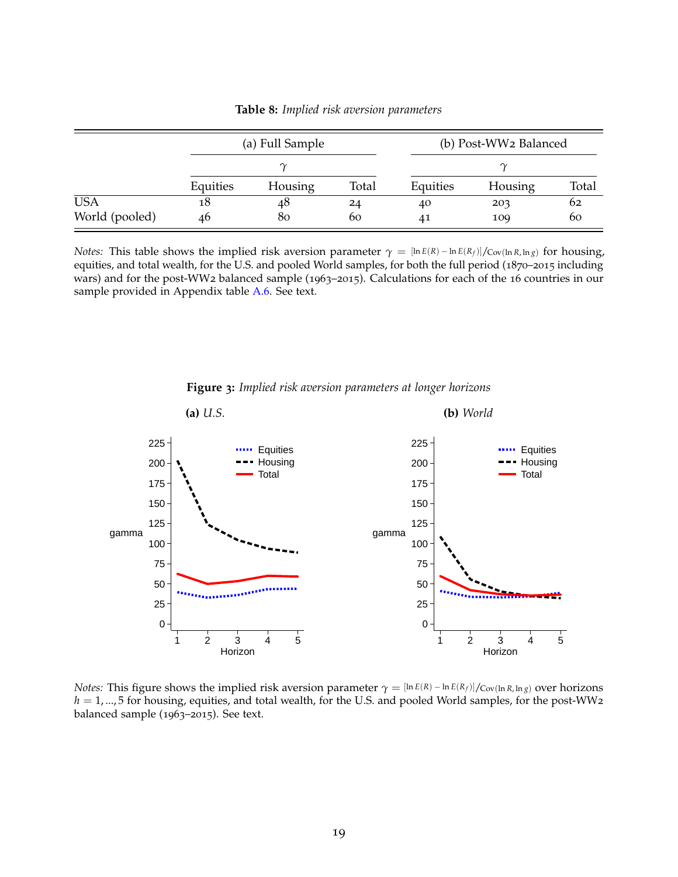<span id="page-20-0"></span>

|                |          | (a) Full Sample |       |          | (b) Post-WW2 Balanced |       |  |  |
|----------------|----------|-----------------|-------|----------|-----------------------|-------|--|--|
|                |          |                 |       |          | $\sim$                |       |  |  |
|                | Equities | Housing         | Total | Equities | Housing               | Total |  |  |
| <b>USA</b>     | 18       | 48              | 24    | 40       | 203                   | 62    |  |  |
| World (pooled) | 46       | 80<br>60        |       |          | 109                   | 60    |  |  |

**Table 8:** *Implied risk aversion parameters*

*Notes:* This table shows the implied risk aversion parameter  $\gamma = [\ln E(R) - \ln E(R_f)]/Cov(\ln R, \ln g)$  for housing, equities, and total wealth, for the U.S. and pooled World samples, for both the full period (1870–2015 including wars) and for the post-WW2 balanced sample (1963–2015). Calculations for each of the 16 countries in our sample provided in Appendix table [A.](#page-55-0)6. See text.

<span id="page-20-1"></span>

**Figure 3:** *Implied risk aversion parameters at longer horizons*

*Notes:* This figure shows the implied risk aversion parameter  $γ = [ln E(R) - ln E(R_f)]/C_0(ln R, ln g)$  over horizons *h* = 1, ..., 5 for housing, equities, and total wealth, for the U.S. and pooled World samples, for the post-WW2 balanced sample (1963–2015). See text.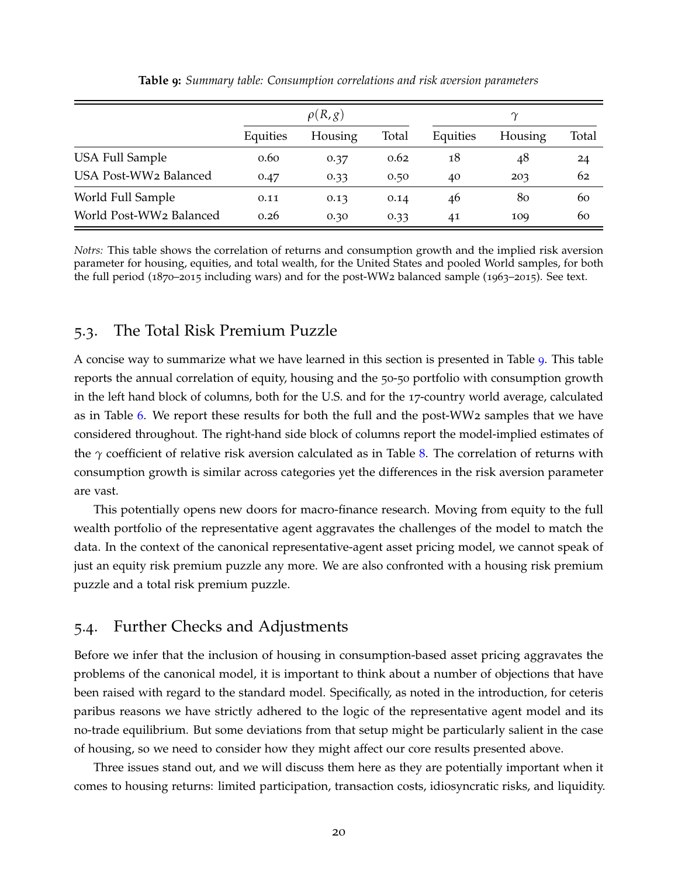<span id="page-21-0"></span>

|                         |          | $\rho(R,g)$ |       | $\gamma$ |         |       |  |
|-------------------------|----------|-------------|-------|----------|---------|-------|--|
|                         | Equities | Housing     | Total | Equities | Housing | Total |  |
| <b>USA Full Sample</b>  | 0.60     | 0.37        | 0.62  | 18       | 48      | 24    |  |
| USA Post-WW2 Balanced   | 0.47     | 0.33        | 0.50  | 40       | 203     | 62    |  |
| World Full Sample       | 0.11     | 0.13        | 0.14  | 46       | 80      | 60    |  |
| World Post-WW2 Balanced | 0.26     | 0.30        | 0.33  | 41       | 109     | 60    |  |

**Table 9:** *Summary table: Consumption correlations and risk aversion parameters*

*Notrs:* This table shows the correlation of returns and consumption growth and the implied risk aversion parameter for housing, equities, and total wealth, for the United States and pooled World samples, for both the full period (1870–2015 including wars) and for the post-WW2 balanced sample (1963–2015). See text.

## 5.3. The Total Risk Premium Puzzle

A concise way to summarize what we have learned in this section is presented in Table [9](#page-21-0). This table reports the annual correlation of equity, housing and the 50-50 portfolio with consumption growth in the left hand block of columns, both for the U.S. and for the 17-country world average, calculated as in Table [6](#page-16-1). We report these results for both the full and the post-WW2 samples that we have considered throughout. The right-hand side block of columns report the model-implied estimates of the *γ* coefficient of relative risk aversion calculated as in Table [8](#page-20-0). The correlation of returns with consumption growth is similar across categories yet the differences in the risk aversion parameter are vast.

This potentially opens new doors for macro-finance research. Moving from equity to the full wealth portfolio of the representative agent aggravates the challenges of the model to match the data. In the context of the canonical representative-agent asset pricing model, we cannot speak of just an equity risk premium puzzle any more. We are also confronted with a housing risk premium puzzle and a total risk premium puzzle.

## 5.4. Further Checks and Adjustments

Before we infer that the inclusion of housing in consumption-based asset pricing aggravates the problems of the canonical model, it is important to think about a number of objections that have been raised with regard to the standard model. Specifically, as noted in the introduction, for ceteris paribus reasons we have strictly adhered to the logic of the representative agent model and its no-trade equilibrium. But some deviations from that setup might be particularly salient in the case of housing, so we need to consider how they might affect our core results presented above.

Three issues stand out, and we will discuss them here as they are potentially important when it comes to housing returns: limited participation, transaction costs, idiosyncratic risks, and liquidity.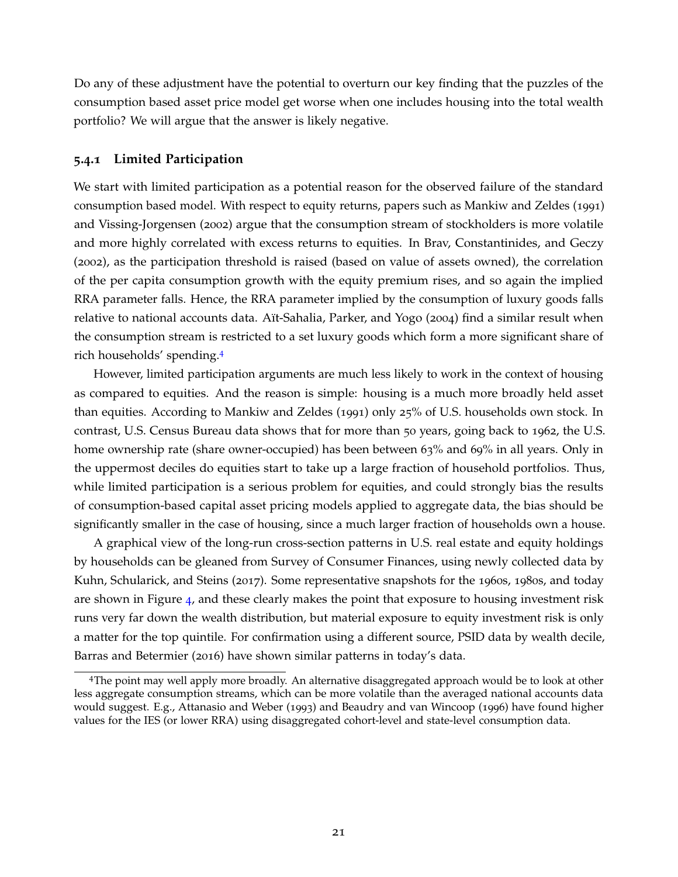Do any of these adjustment have the potential to overturn our key finding that the puzzles of the consumption based asset price model get worse when one includes housing into the total wealth portfolio? We will argue that the answer is likely negative.

#### **5.4.1 Limited Participation**

We start with limited participation as a potential reason for the observed failure of the standard consumption based model. With respect to equity returns, papers such as Mankiw and Zeldes (1991) and Vissing-Jorgensen (2002) argue that the consumption stream of stockholders is more volatile and more highly correlated with excess returns to equities. In Brav, Constantinides, and Geczy (2002), as the participation threshold is raised (based on value of assets owned), the correlation of the per capita consumption growth with the equity premium rises, and so again the implied RRA parameter falls. Hence, the RRA parameter implied by the consumption of luxury goods falls relative to national accounts data. Aït-Sahalia, Parker, and Yogo (2004) find a similar result when the consumption stream is restricted to a set luxury goods which form a more significant share of rich households' spending.[4](#page-22-0)

However, limited participation arguments are much less likely to work in the context of housing as compared to equities. And the reason is simple: housing is a much more broadly held asset than equities. According to Mankiw and Zeldes (1991) only 25% of U.S. households own stock. In contrast, U.S. Census Bureau data shows that for more than 50 years, going back to 1962, the U.S. home ownership rate (share owner-occupied) has been between 63% and 69% in all years. Only in the uppermost deciles do equities start to take up a large fraction of household portfolios. Thus, while limited participation is a serious problem for equities, and could strongly bias the results of consumption-based capital asset pricing models applied to aggregate data, the bias should be significantly smaller in the case of housing, since a much larger fraction of households own a house.

A graphical view of the long-run cross-section patterns in U.S. real estate and equity holdings by households can be gleaned from Survey of Consumer Finances, using newly collected data by Kuhn, Schularick, and Steins (2017). Some representative snapshots for the 1960s, 1980s, and today are shown in Figure [4](#page-23-0), and these clearly makes the point that exposure to housing investment risk runs very far down the wealth distribution, but material exposure to equity investment risk is only a matter for the top quintile. For confirmation using a different source, PSID data by wealth decile, Barras and Betermier (2016) have shown similar patterns in today's data.

<span id="page-22-0"></span><sup>4</sup>The point may well apply more broadly. An alternative disaggregated approach would be to look at other less aggregate consumption streams, which can be more volatile than the averaged national accounts data would suggest. E.g., Attanasio and Weber (1993) and Beaudry and van Wincoop (1996) have found higher values for the IES (or lower RRA) using disaggregated cohort-level and state-level consumption data.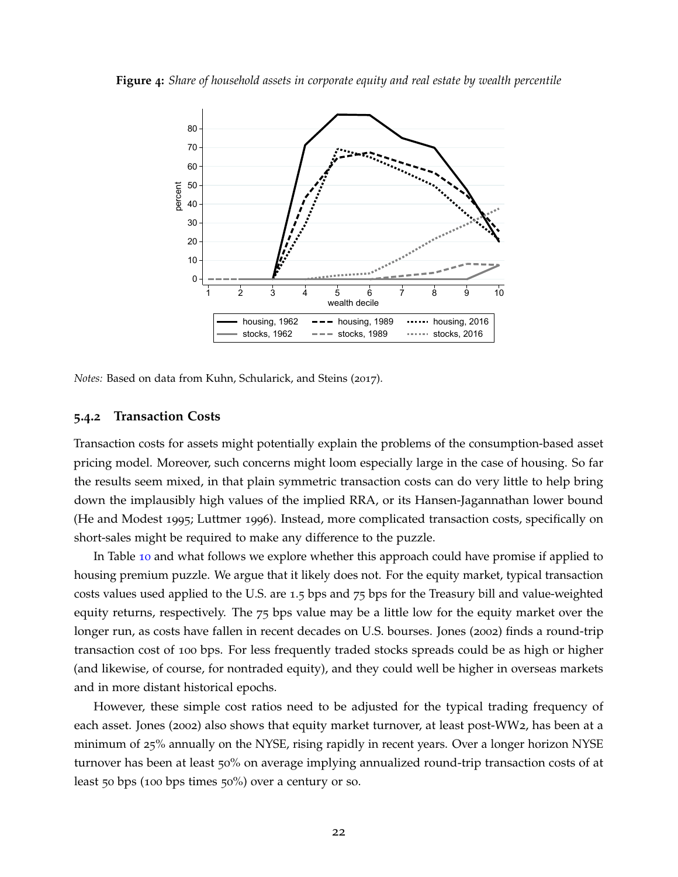<span id="page-23-0"></span>**Figure 4:** *Share of household assets in corporate equity and real estate by wealth percentile*



*Notes:* Based on data from Kuhn, Schularick, and Steins (2017).

#### **5.4.2 Transaction Costs**

Transaction costs for assets might potentially explain the problems of the consumption-based asset pricing model. Moreover, such concerns might loom especially large in the case of housing. So far the results seem mixed, in that plain symmetric transaction costs can do very little to help bring down the implausibly high values of the implied RRA, or its Hansen-Jagannathan lower bound (He and Modest 1995; Luttmer 1996). Instead, more complicated transaction costs, specifically on short-sales might be required to make any difference to the puzzle.

In Table [10](#page-24-0) and what follows we explore whether this approach could have promise if applied to housing premium puzzle. We argue that it likely does not. For the equity market, typical transaction costs values used applied to the U.S. are 1.5 bps and 75 bps for the Treasury bill and value-weighted equity returns, respectively. The 75 bps value may be a little low for the equity market over the longer run, as costs have fallen in recent decades on U.S. bourses. Jones (2002) finds a round-trip transaction cost of 100 bps. For less frequently traded stocks spreads could be as high or higher (and likewise, of course, for nontraded equity), and they could well be higher in overseas markets and in more distant historical epochs.

However, these simple cost ratios need to be adjusted for the typical trading frequency of each asset. Jones (2002) also shows that equity market turnover, at least post-WW2, has been at a minimum of 25% annually on the NYSE, rising rapidly in recent years. Over a longer horizon NYSE turnover has been at least 50% on average implying annualized round-trip transaction costs of at least 50 bps (100 bps times 50%) over a century or so.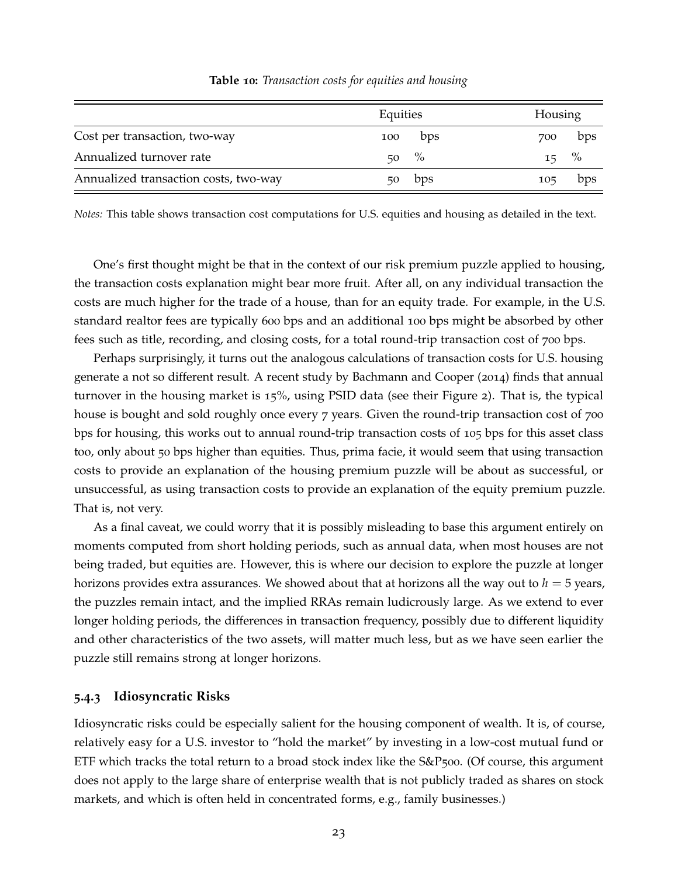<span id="page-24-0"></span>

|                                       | Equities |                  | Housing |      |
|---------------------------------------|----------|------------------|---------|------|
| Cost per transaction, two-way         | 100      | bps              | 700     | bps  |
| Annualized turnover rate              |          | $50 \frac{9}{6}$ | 15.     | $\%$ |
| Annualized transaction costs, two-way |          | bps              | 105     | bps  |

**Table 10:** *Transaction costs for equities and housing*

*Notes:* This table shows transaction cost computations for U.S. equities and housing as detailed in the text.

One's first thought might be that in the context of our risk premium puzzle applied to housing, the transaction costs explanation might bear more fruit. After all, on any individual transaction the costs are much higher for the trade of a house, than for an equity trade. For example, in the U.S. standard realtor fees are typically 600 bps and an additional 100 bps might be absorbed by other fees such as title, recording, and closing costs, for a total round-trip transaction cost of 700 bps.

Perhaps surprisingly, it turns out the analogous calculations of transaction costs for U.S. housing generate a not so different result. A recent study by Bachmann and Cooper (2014) finds that annual turnover in the housing market is 15%, using PSID data (see their Figure 2). That is, the typical house is bought and sold roughly once every 7 years. Given the round-trip transaction cost of 700 bps for housing, this works out to annual round-trip transaction costs of 105 bps for this asset class too, only about 50 bps higher than equities. Thus, prima facie, it would seem that using transaction costs to provide an explanation of the housing premium puzzle will be about as successful, or unsuccessful, as using transaction costs to provide an explanation of the equity premium puzzle. That is, not very.

As a final caveat, we could worry that it is possibly misleading to base this argument entirely on moments computed from short holding periods, such as annual data, when most houses are not being traded, but equities are. However, this is where our decision to explore the puzzle at longer horizons provides extra assurances. We showed about that at horizons all the way out to  $h = 5$  years, the puzzles remain intact, and the implied RRAs remain ludicrously large. As we extend to ever longer holding periods, the differences in transaction frequency, possibly due to different liquidity and other characteristics of the two assets, will matter much less, but as we have seen earlier the puzzle still remains strong at longer horizons.

#### **5.4.3 Idiosyncratic Risks**

Idiosyncratic risks could be especially salient for the housing component of wealth. It is, of course, relatively easy for a U.S. investor to "hold the market" by investing in a low-cost mutual fund or ETF which tracks the total return to a broad stock index like the  $S\&P_5$ 00. (Of course, this argument does not apply to the large share of enterprise wealth that is not publicly traded as shares on stock markets, and which is often held in concentrated forms, e.g., family businesses.)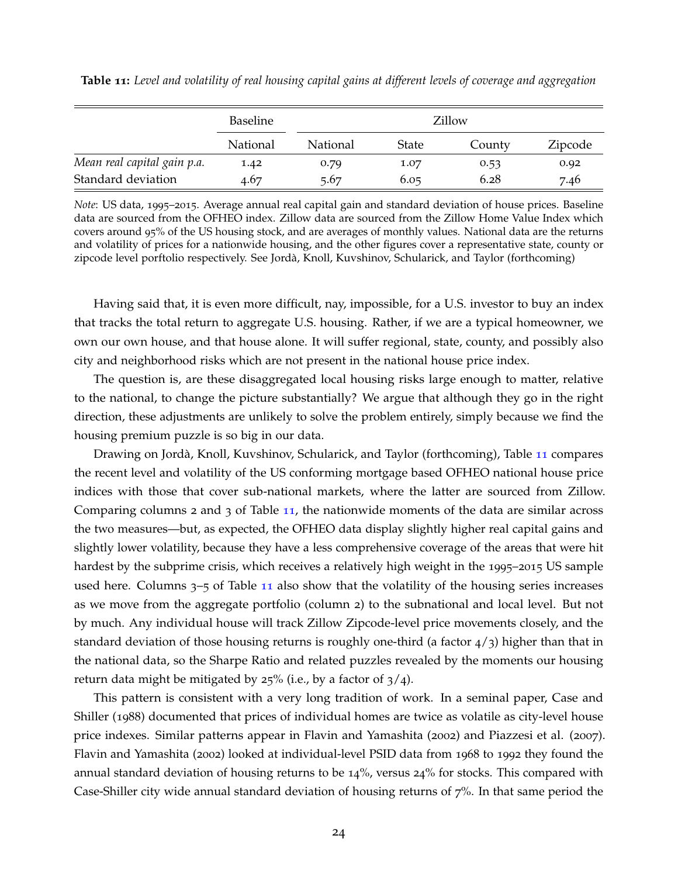|                             | <b>Baseline</b> |          |              | Zillow |         |  |
|-----------------------------|-----------------|----------|--------------|--------|---------|--|
|                             | National        | National | <b>State</b> | County | Zipcode |  |
| Mean real capital gain p.a. | 1.42            | 0.79     | 1.07         | 0.53   | 0.92    |  |
| Standard deviation          | 4.67            | 5.67     | 6.05         | 6.28   | 7.46    |  |

<span id="page-25-0"></span>**Table 11:** *Level and volatility of real housing capital gains at different levels of coverage and aggregation*

*Note*: US data, 1995–2015. Average annual real capital gain and standard deviation of house prices. Baseline data are sourced from the OFHEO index. Zillow data are sourced from the Zillow Home Value Index which covers around 95% of the US housing stock, and are averages of monthly values. National data are the returns and volatility of prices for a nationwide housing, and the other figures cover a representative state, county or zipcode level porftolio respectively. See Jorda, Knoll, Kuvshinov, Schularick, and Taylor (forthcoming) `

Having said that, it is even more difficult, nay, impossible, for a U.S. investor to buy an index that tracks the total return to aggregate U.S. housing. Rather, if we are a typical homeowner, we own our own house, and that house alone. It will suffer regional, state, county, and possibly also city and neighborhood risks which are not present in the national house price index.

The question is, are these disaggregated local housing risks large enough to matter, relative to the national, to change the picture substantially? We argue that although they go in the right direction, these adjustments are unlikely to solve the problem entirely, simply because we find the housing premium puzzle is so big in our data.

Drawing on Jordà, Knoll, Kuvshinov, Schularick, and Taylor (forthcoming), Table [11](#page-25-0) compares the recent level and volatility of the US conforming mortgage based OFHEO national house price indices with those that cover sub-national markets, where the latter are sourced from Zillow. Comparing columns 2 and 3 of Table [11](#page-25-0), the nationwide moments of the data are similar across the two measures—but, as expected, the OFHEO data display slightly higher real capital gains and slightly lower volatility, because they have a less comprehensive coverage of the areas that were hit hardest by the subprime crisis, which receives a relatively high weight in the 1995–2015 US sample used here. Columns  $3-5$  of Table [11](#page-25-0) also show that the volatility of the housing series increases as we move from the aggregate portfolio (column 2) to the subnational and local level. But not by much. Any individual house will track Zillow Zipcode-level price movements closely, and the standard deviation of those housing returns is roughly one-third (a factor  $\frac{4}{3}$ ) higher than that in the national data, so the Sharpe Ratio and related puzzles revealed by the moments our housing return data might be mitigated by  $25\%$  (i.e., by a factor of  $3/4$ ).

This pattern is consistent with a very long tradition of work. In a seminal paper, Case and Shiller (1988) documented that prices of individual homes are twice as volatile as city-level house price indexes. Similar patterns appear in Flavin and Yamashita (2002) and Piazzesi et al. (2007). Flavin and Yamashita (2002) looked at individual-level PSID data from 1968 to 1992 they found the annual standard deviation of housing returns to be 14%, versus 24% for stocks. This compared with Case-Shiller city wide annual standard deviation of housing returns of 7%. In that same period the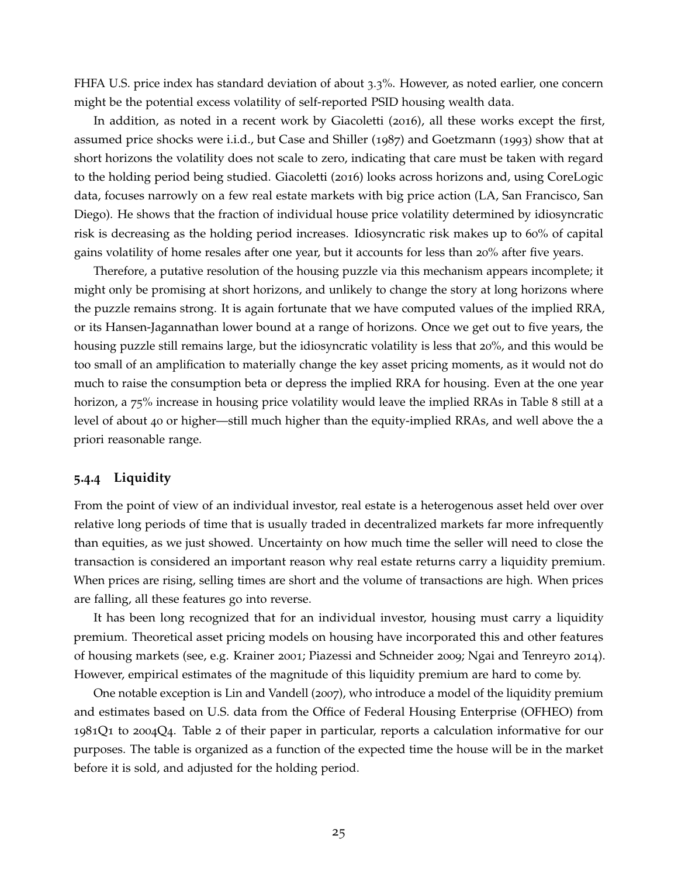FHFA U.S. price index has standard deviation of about 3.3%. However, as noted earlier, one concern might be the potential excess volatility of self-reported PSID housing wealth data.

In addition, as noted in a recent work by Giacoletti (2016), all these works except the first, assumed price shocks were i.i.d., but Case and Shiller (1987) and Goetzmann (1993) show that at short horizons the volatility does not scale to zero, indicating that care must be taken with regard to the holding period being studied. Giacoletti (2016) looks across horizons and, using CoreLogic data, focuses narrowly on a few real estate markets with big price action (LA, San Francisco, San Diego). He shows that the fraction of individual house price volatility determined by idiosyncratic risk is decreasing as the holding period increases. Idiosyncratic risk makes up to 60% of capital gains volatility of home resales after one year, but it accounts for less than 20% after five years.

Therefore, a putative resolution of the housing puzzle via this mechanism appears incomplete; it might only be promising at short horizons, and unlikely to change the story at long horizons where the puzzle remains strong. It is again fortunate that we have computed values of the implied RRA, or its Hansen-Jagannathan lower bound at a range of horizons. Once we get out to five years, the housing puzzle still remains large, but the idiosyncratic volatility is less that 20%, and this would be too small of an amplification to materially change the key asset pricing moments, as it would not do much to raise the consumption beta or depress the implied RRA for housing. Even at the one year horizon, a 75% increase in housing price volatility would leave the implied RRAs in Table 8 still at a level of about 40 or higher—still much higher than the equity-implied RRAs, and well above the a priori reasonable range.

#### **5.4.4 Liquidity**

From the point of view of an individual investor, real estate is a heterogenous asset held over over relative long periods of time that is usually traded in decentralized markets far more infrequently than equities, as we just showed. Uncertainty on how much time the seller will need to close the transaction is considered an important reason why real estate returns carry a liquidity premium. When prices are rising, selling times are short and the volume of transactions are high. When prices are falling, all these features go into reverse.

It has been long recognized that for an individual investor, housing must carry a liquidity premium. Theoretical asset pricing models on housing have incorporated this and other features of housing markets (see, e.g. Krainer 2001; Piazessi and Schneider 2009; Ngai and Tenreyro 2014). However, empirical estimates of the magnitude of this liquidity premium are hard to come by.

One notable exception is Lin and Vandell (2007), who introduce a model of the liquidity premium and estimates based on U.S. data from the Office of Federal Housing Enterprise (OFHEO) from 1981Q1 to 2004Q4. Table 2 of their paper in particular, reports a calculation informative for our purposes. The table is organized as a function of the expected time the house will be in the market before it is sold, and adjusted for the holding period.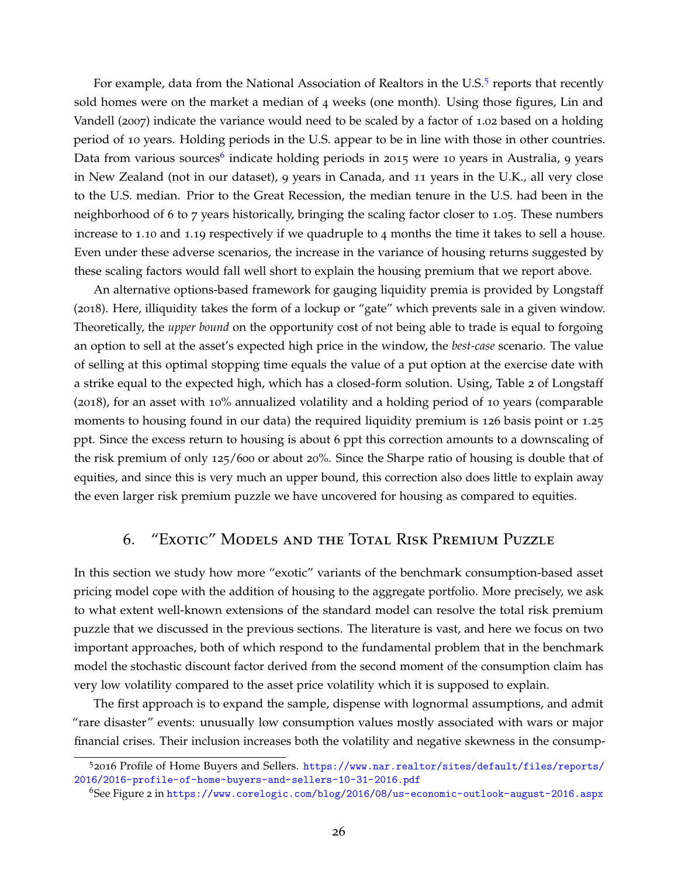For example, data from the National Association of Realtors in the U.S.<sup>[5](#page-27-1)</sup> reports that recently sold homes were on the market a median of 4 weeks (one month). Using those figures, Lin and Vandell (2007) indicate the variance would need to be scaled by a factor of 1.02 based on a holding period of 10 years. Holding periods in the U.S. appear to be in line with those in other countries. Data from various sources<sup>[6](#page-27-2)</sup> indicate holding periods in 2015 were 10 years in Australia, 9 years in New Zealand (not in our dataset), 9 years in Canada, and 11 years in the U.K., all very close to the U.S. median. Prior to the Great Recession, the median tenure in the U.S. had been in the neighborhood of 6 to 7 years historically, bringing the scaling factor closer to 1.05. These numbers increase to 1.10 and 1.19 respectively if we quadruple to 4 months the time it takes to sell a house. Even under these adverse scenarios, the increase in the variance of housing returns suggested by these scaling factors would fall well short to explain the housing premium that we report above.

An alternative options-based framework for gauging liquidity premia is provided by Longstaff (2018). Here, illiquidity takes the form of a lockup or "gate" which prevents sale in a given window. Theoretically, the *upper bound* on the opportunity cost of not being able to trade is equal to forgoing an option to sell at the asset's expected high price in the window, the *best-case* scenario. The value of selling at this optimal stopping time equals the value of a put option at the exercise date with a strike equal to the expected high, which has a closed-form solution. Using, Table 2 of Longstaff (2018), for an asset with 10% annualized volatility and a holding period of 10 years (comparable moments to housing found in our data) the required liquidity premium is 126 basis point or 1.25 ppt. Since the excess return to housing is about 6 ppt this correction amounts to a downscaling of the risk premium of only 125/600 or about 20%. Since the Sharpe ratio of housing is double that of equities, and since this is very much an upper bound, this correction also does little to explain away the even larger risk premium puzzle we have uncovered for housing as compared to equities.

## <span id="page-27-0"></span>6. "Exotic" Models and the Total Risk Premium Puzzle

In this section we study how more "exotic" variants of the benchmark consumption-based asset pricing model cope with the addition of housing to the aggregate portfolio. More precisely, we ask to what extent well-known extensions of the standard model can resolve the total risk premium puzzle that we discussed in the previous sections. The literature is vast, and here we focus on two important approaches, both of which respond to the fundamental problem that in the benchmark model the stochastic discount factor derived from the second moment of the consumption claim has very low volatility compared to the asset price volatility which it is supposed to explain.

The first approach is to expand the sample, dispense with lognormal assumptions, and admit "rare disaster" events: unusually low consumption values mostly associated with wars or major financial crises. Their inclusion increases both the volatility and negative skewness in the consump-

<span id="page-27-1"></span><sup>5</sup>2016 Profile of Home Buyers and Sellers. [https://www.nar.realtor/sites/default/files/reports/](https://www.nar.realtor/sites/default/files/reports/2016/2016-profile-of-home-buyers-and-sellers-10-31-2016.pdf) [2016/2016-profile-of-home-buyers-and-sellers-10-31-2016.pdf](https://www.nar.realtor/sites/default/files/reports/2016/2016-profile-of-home-buyers-and-sellers-10-31-2016.pdf)

<span id="page-27-2"></span><sup>6</sup>See Figure 2 in <https://www.corelogic.com/blog/2016/08/us-economic-outlook-august-2016.aspx>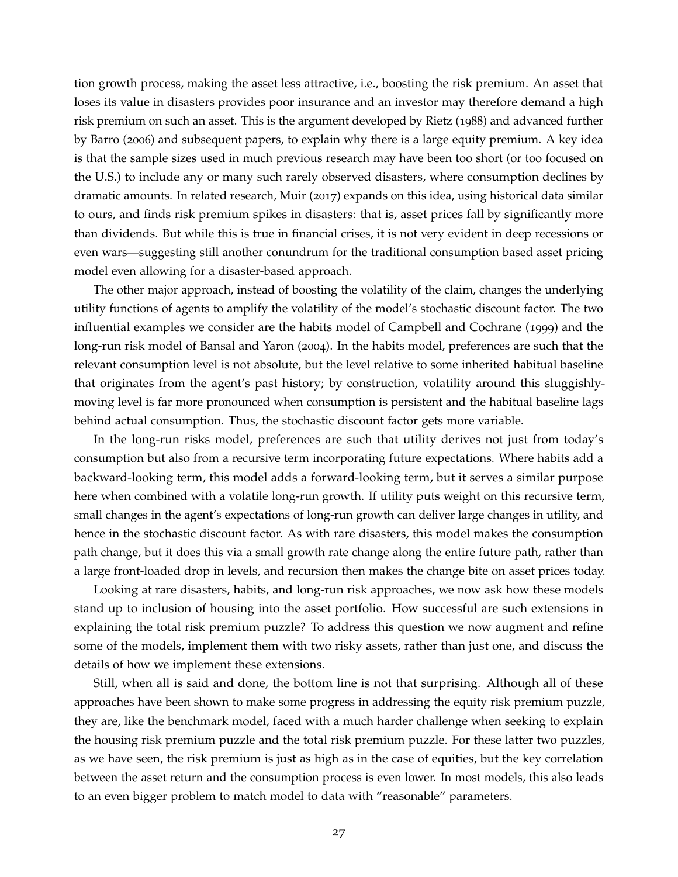tion growth process, making the asset less attractive, i.e., boosting the risk premium. An asset that loses its value in disasters provides poor insurance and an investor may therefore demand a high risk premium on such an asset. This is the argument developed by Rietz (1988) and advanced further by Barro (2006) and subsequent papers, to explain why there is a large equity premium. A key idea is that the sample sizes used in much previous research may have been too short (or too focused on the U.S.) to include any or many such rarely observed disasters, where consumption declines by dramatic amounts. In related research, Muir (2017) expands on this idea, using historical data similar to ours, and finds risk premium spikes in disasters: that is, asset prices fall by significantly more than dividends. But while this is true in financial crises, it is not very evident in deep recessions or even wars—suggesting still another conundrum for the traditional consumption based asset pricing model even allowing for a disaster-based approach.

The other major approach, instead of boosting the volatility of the claim, changes the underlying utility functions of agents to amplify the volatility of the model's stochastic discount factor. The two influential examples we consider are the habits model of Campbell and Cochrane (1999) and the long-run risk model of Bansal and Yaron (2004). In the habits model, preferences are such that the relevant consumption level is not absolute, but the level relative to some inherited habitual baseline that originates from the agent's past history; by construction, volatility around this sluggishlymoving level is far more pronounced when consumption is persistent and the habitual baseline lags behind actual consumption. Thus, the stochastic discount factor gets more variable.

In the long-run risks model, preferences are such that utility derives not just from today's consumption but also from a recursive term incorporating future expectations. Where habits add a backward-looking term, this model adds a forward-looking term, but it serves a similar purpose here when combined with a volatile long-run growth. If utility puts weight on this recursive term, small changes in the agent's expectations of long-run growth can deliver large changes in utility, and hence in the stochastic discount factor. As with rare disasters, this model makes the consumption path change, but it does this via a small growth rate change along the entire future path, rather than a large front-loaded drop in levels, and recursion then makes the change bite on asset prices today.

Looking at rare disasters, habits, and long-run risk approaches, we now ask how these models stand up to inclusion of housing into the asset portfolio. How successful are such extensions in explaining the total risk premium puzzle? To address this question we now augment and refine some of the models, implement them with two risky assets, rather than just one, and discuss the details of how we implement these extensions.

Still, when all is said and done, the bottom line is not that surprising. Although all of these approaches have been shown to make some progress in addressing the equity risk premium puzzle, they are, like the benchmark model, faced with a much harder challenge when seeking to explain the housing risk premium puzzle and the total risk premium puzzle. For these latter two puzzles, as we have seen, the risk premium is just as high as in the case of equities, but the key correlation between the asset return and the consumption process is even lower. In most models, this also leads to an even bigger problem to match model to data with "reasonable" parameters.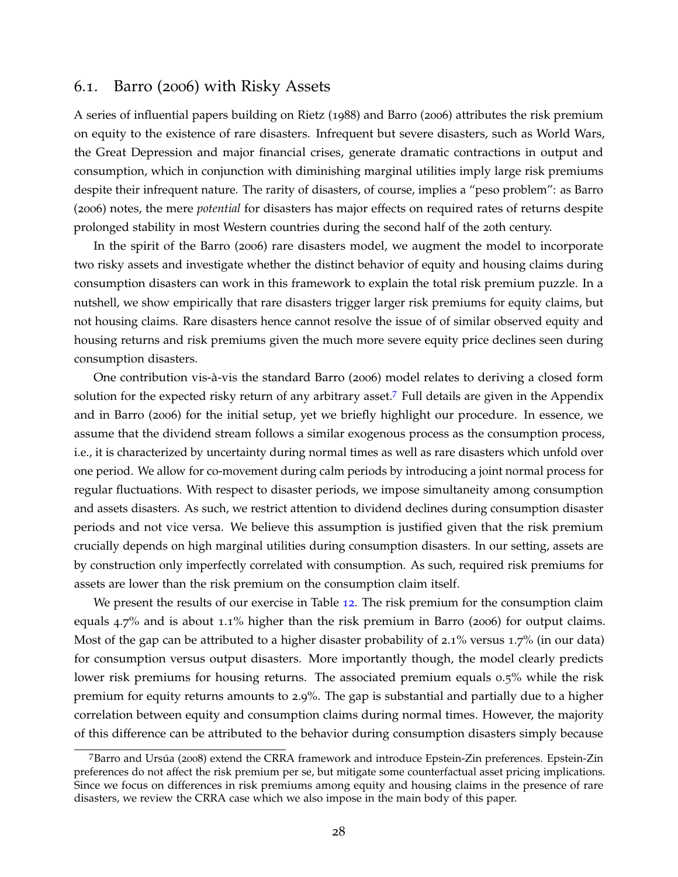## 6.1. Barro (2006) with Risky Assets

A series of influential papers building on Rietz (1988) and Barro (2006) attributes the risk premium on equity to the existence of rare disasters. Infrequent but severe disasters, such as World Wars, the Great Depression and major financial crises, generate dramatic contractions in output and consumption, which in conjunction with diminishing marginal utilities imply large risk premiums despite their infrequent nature. The rarity of disasters, of course, implies a "peso problem": as Barro (2006) notes, the mere *potential* for disasters has major effects on required rates of returns despite prolonged stability in most Western countries during the second half of the 20th century.

In the spirit of the Barro (2006) rare disasters model, we augment the model to incorporate two risky assets and investigate whether the distinct behavior of equity and housing claims during consumption disasters can work in this framework to explain the total risk premium puzzle. In a nutshell, we show empirically that rare disasters trigger larger risk premiums for equity claims, but not housing claims. Rare disasters hence cannot resolve the issue of of similar observed equity and housing returns and risk premiums given the much more severe equity price declines seen during consumption disasters.

One contribution vis-à-vis the standard Barro (2006) model relates to deriving a closed form solution for the expected risky return of any arbitrary asset.[7](#page-29-0) Full details are given in the Appendix and in Barro (2006) for the initial setup, yet we briefly highlight our procedure. In essence, we assume that the dividend stream follows a similar exogenous process as the consumption process, i.e., it is characterized by uncertainty during normal times as well as rare disasters which unfold over one period. We allow for co-movement during calm periods by introducing a joint normal process for regular fluctuations. With respect to disaster periods, we impose simultaneity among consumption and assets disasters. As such, we restrict attention to dividend declines during consumption disaster periods and not vice versa. We believe this assumption is justified given that the risk premium crucially depends on high marginal utilities during consumption disasters. In our setting, assets are by construction only imperfectly correlated with consumption. As such, required risk premiums for assets are lower than the risk premium on the consumption claim itself.

We present the results of our exercise in Table [12](#page-30-0). The risk premium for the consumption claim equals 4.7% and is about 1.1% higher than the risk premium in Barro (2006) for output claims. Most of the gap can be attributed to a higher disaster probability of 2.1% versus 1.7% (in our data) for consumption versus output disasters. More importantly though, the model clearly predicts lower risk premiums for housing returns. The associated premium equals 0.5% while the risk premium for equity returns amounts to 2.9%. The gap is substantial and partially due to a higher correlation between equity and consumption claims during normal times. However, the majority of this difference can be attributed to the behavior during consumption disasters simply because

<span id="page-29-0"></span><sup>&</sup>lt;sup>7</sup>Barro and Ursúa (2008) extend the CRRA framework and introduce Epstein-Zin preferences. Epstein-Zin preferences do not affect the risk premium per se, but mitigate some counterfactual asset pricing implications. Since we focus on differences in risk premiums among equity and housing claims in the presence of rare disasters, we review the CRRA case which we also impose in the main body of this paper.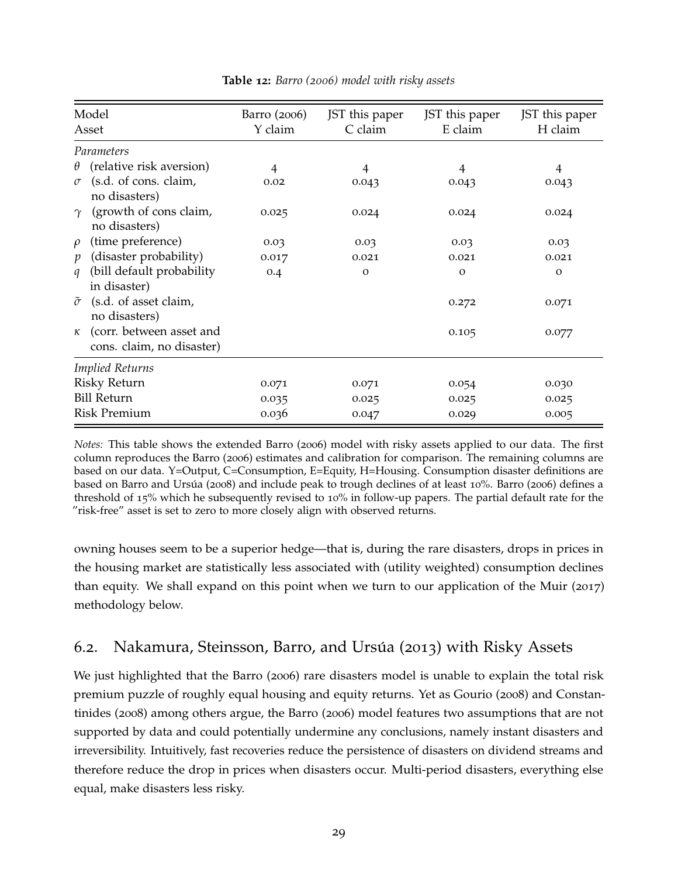<span id="page-30-0"></span>

| Model<br>Asset   |                                                       | Barro (2006)<br>Y claim | JST this paper<br>C claim | JST this paper<br>E claim | JST this paper<br>H claim |
|------------------|-------------------------------------------------------|-------------------------|---------------------------|---------------------------|---------------------------|
|                  | Parameters                                            |                         |                           |                           |                           |
| $\theta$         | (relative risk aversion)                              | 4                       | 4                         | 4                         | 4                         |
| $\sigma$         | (s.d. of cons. claim,<br>no disasters)                | 0.02                    | 0.043                     | 0.043                     | 0.043                     |
| $\gamma$         | (growth of cons claim,<br>no disasters)               | 0.025                   | 0.024                     | 0.024                     | 0.024                     |
| $\rho$           | (time preference)                                     | 0.03                    | 0.03                      | 0.03                      | 0.03                      |
| $\mathcal{V}$    | (disaster probability)                                | 0.017                   | 0.021                     | 0.021                     | 0.021                     |
| $\boldsymbol{q}$ | (bill default probability<br>in disaster)             | 0.4                     | $\Omega$                  | $\Omega$                  | $\Omega$                  |
| $\tilde{\sigma}$ | (s.d. of asset claim,<br>no disasters)                |                         |                           | 0.272                     | 0.071                     |
| $\kappa$         | (corr. between asset and<br>cons. claim, no disaster) |                         |                           | 0.105                     | 0.077                     |
|                  | <b>Implied Returns</b>                                |                         |                           |                           |                           |
|                  | Risky Return                                          | 0.071                   | 0.071                     | 0.054                     | 0.030                     |
|                  | <b>Bill Return</b>                                    | 0.035                   | 0.025                     | 0.025                     | 0.025                     |
|                  | <b>Risk Premium</b>                                   | 0.036                   | 0.047                     | 0.029                     | 0.005                     |

**Table 12:** *Barro (2006) model with risky assets*

*Notes:* This table shows the extended Barro (2006) model with risky assets applied to our data. The first column reproduces the Barro (2006) estimates and calibration for comparison. The remaining columns are based on our data. Y=Output, C=Consumption, E=Equity, H=Housing. Consumption disaster definitions are based on Barro and Ursúa (2008) and include peak to trough declines of at least 10%. Barro (2006) defines a threshold of 15% which he subsequently revised to 10% in follow-up papers. The partial default rate for the "risk-free" asset is set to zero to more closely align with observed returns.

owning houses seem to be a superior hedge—that is, during the rare disasters, drops in prices in the housing market are statistically less associated with (utility weighted) consumption declines than equity. We shall expand on this point when we turn to our application of the Muir (2017) methodology below.

# 6.2. Nakamura, Steinsson, Barro, and Ursúa (2013) with Risky Assets

We just highlighted that the Barro (2006) rare disasters model is unable to explain the total risk premium puzzle of roughly equal housing and equity returns. Yet as Gourio (2008) and Constantinides (2008) among others argue, the Barro (2006) model features two assumptions that are not supported by data and could potentially undermine any conclusions, namely instant disasters and irreversibility. Intuitively, fast recoveries reduce the persistence of disasters on dividend streams and therefore reduce the drop in prices when disasters occur. Multi-period disasters, everything else equal, make disasters less risky.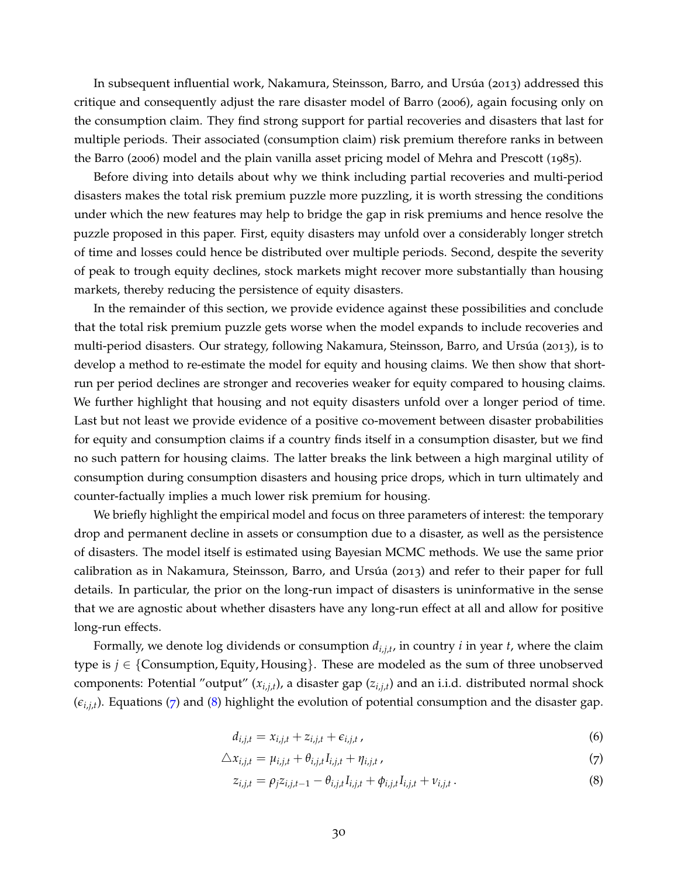In subsequent influential work, Nakamura, Steinsson, Barro, and Ursúa (2013) addressed this critique and consequently adjust the rare disaster model of Barro (2006), again focusing only on the consumption claim. They find strong support for partial recoveries and disasters that last for multiple periods. Their associated (consumption claim) risk premium therefore ranks in between the Barro (2006) model and the plain vanilla asset pricing model of Mehra and Prescott (1985).

Before diving into details about why we think including partial recoveries and multi-period disasters makes the total risk premium puzzle more puzzling, it is worth stressing the conditions under which the new features may help to bridge the gap in risk premiums and hence resolve the puzzle proposed in this paper. First, equity disasters may unfold over a considerably longer stretch of time and losses could hence be distributed over multiple periods. Second, despite the severity of peak to trough equity declines, stock markets might recover more substantially than housing markets, thereby reducing the persistence of equity disasters.

In the remainder of this section, we provide evidence against these possibilities and conclude that the total risk premium puzzle gets worse when the model expands to include recoveries and multi-period disasters. Our strategy, following Nakamura, Steinsson, Barro, and Ursúa (2013), is to develop a method to re-estimate the model for equity and housing claims. We then show that shortrun per period declines are stronger and recoveries weaker for equity compared to housing claims. We further highlight that housing and not equity disasters unfold over a longer period of time. Last but not least we provide evidence of a positive co-movement between disaster probabilities for equity and consumption claims if a country finds itself in a consumption disaster, but we find no such pattern for housing claims. The latter breaks the link between a high marginal utility of consumption during consumption disasters and housing price drops, which in turn ultimately and counter-factually implies a much lower risk premium for housing.

We briefly highlight the empirical model and focus on three parameters of interest: the temporary drop and permanent decline in assets or consumption due to a disaster, as well as the persistence of disasters. The model itself is estimated using Bayesian MCMC methods. We use the same prior calibration as in Nakamura, Steinsson, Barro, and Ursúa (2013) and refer to their paper for full details. In particular, the prior on the long-run impact of disasters is uninformative in the sense that we are agnostic about whether disasters have any long-run effect at all and allow for positive long-run effects.

Formally, we denote log dividends or consumption *di*,*j*,*<sup>t</sup>* , in country *i* in year *t*, where the claim type is *j* ∈ {Consumption, Equity, Housing}. These are modeled as the sum of three unobserved components: Potential "output" (*xi*,*j*,*<sup>t</sup>* ), a disaster gap (*zi*,*j*,*<sup>t</sup>* ) and an i.i.d. distributed normal shock  $(\epsilon_{i,j,t})$ . Equations ([7](#page-31-0)) and ([8](#page-31-1)) highlight the evolution of potential consumption and the disaster gap.

<span id="page-31-1"></span><span id="page-31-0"></span>
$$
d_{i,j,t} = x_{i,j,t} + z_{i,j,t} + \epsilon_{i,j,t},
$$
\n<sup>(6)</sup>

$$
\triangle x_{i,j,t} = \mu_{i,j,t} + \theta_{i,j,t} I_{i,j,t} + \eta_{i,j,t} \tag{7}
$$

$$
z_{i,j,t} = \rho_j z_{i,j,t-1} - \theta_{i,j,t} I_{i,j,t} + \phi_{i,j,t} I_{i,j,t} + \nu_{i,j,t}.
$$
 (8)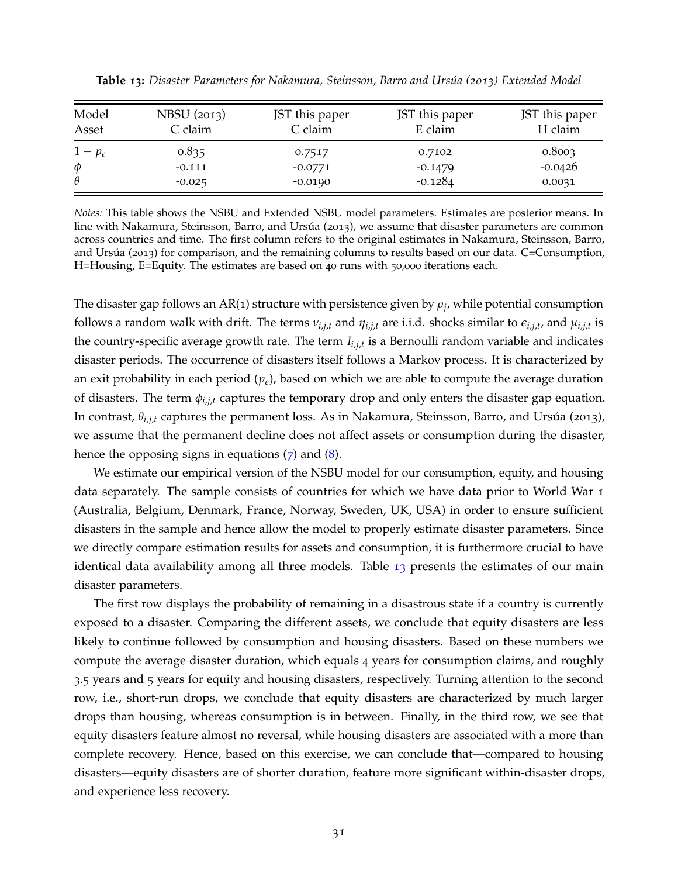| Model<br>Asset | NBSU (2013)<br>C claim | JST this paper<br>C claim | JST this paper<br>E claim | JST this paper<br>H claim |
|----------------|------------------------|---------------------------|---------------------------|---------------------------|
| $1-p_e$        | 0.835                  | 0.7517                    | 0.7102                    | 0.8003                    |
| $\phi$         | $-0.111$               | $-0.0771$                 | $-0.1479$                 | $-0.0426$                 |
| $\theta$       | $-0.025$               | $-0.0190$                 | $-0.1284$                 | 0.0031                    |

<span id="page-32-0"></span>**Table 13:** *Disaster Parameters for Nakamura, Steinsson, Barro and Ursua ( ´ 2013) Extended Model*

*Notes:* This table shows the NSBU and Extended NSBU model parameters. Estimates are posterior means. In line with Nakamura, Steinsson, Barro, and Ursúa (2013), we assume that disaster parameters are common across countries and time. The first column refers to the original estimates in Nakamura, Steinsson, Barro, and Ursúa ( $2013$ ) for comparison, and the remaining columns to results based on our data. C=Consumption, H=Housing, E=Equity. The estimates are based on 40 runs with 50,000 iterations each.

The disaster gap follows an AR(1) structure with persistence given by  $\rho_j$ , while potential consumption follows a random walk with drift. The terms  $v_{i,j,t}$  and  $\eta_{i,j,t}$  are i.i.d. shocks similar to  $\epsilon_{i,j,t}$ , and  $\mu_{i,j,t}$  is the country-specific average growth rate. The term *Ii*,*j*,*<sup>t</sup>* is a Bernoulli random variable and indicates disaster periods. The occurrence of disasters itself follows a Markov process. It is characterized by an exit probability in each period (*pe*), based on which we are able to compute the average duration of disasters. The term *φi*,*j*,*<sup>t</sup>* captures the temporary drop and only enters the disaster gap equation. In contrast,  $θ$ <sub>*i,j,t*</sub> captures the permanent loss. As in Nakamura, Steinsson, Barro, and Ursúa (2013), we assume that the permanent decline does not affect assets or consumption during the disaster, hence the opposing signs in equations  $(7)$  $(7)$  $(7)$  and  $(8)$  $(8)$  $(8)$ .

We estimate our empirical version of the NSBU model for our consumption, equity, and housing data separately. The sample consists of countries for which we have data prior to World War 1 (Australia, Belgium, Denmark, France, Norway, Sweden, UK, USA) in order to ensure sufficient disasters in the sample and hence allow the model to properly estimate disaster parameters. Since we directly compare estimation results for assets and consumption, it is furthermore crucial to have identical data availability among all three models. Table  $13$  presents the estimates of our main disaster parameters.

The first row displays the probability of remaining in a disastrous state if a country is currently exposed to a disaster. Comparing the different assets, we conclude that equity disasters are less likely to continue followed by consumption and housing disasters. Based on these numbers we compute the average disaster duration, which equals 4 years for consumption claims, and roughly 3.5 years and 5 years for equity and housing disasters, respectively. Turning attention to the second row, i.e., short-run drops, we conclude that equity disasters are characterized by much larger drops than housing, whereas consumption is in between. Finally, in the third row, we see that equity disasters feature almost no reversal, while housing disasters are associated with a more than complete recovery. Hence, based on this exercise, we can conclude that—compared to housing disasters—equity disasters are of shorter duration, feature more significant within-disaster drops, and experience less recovery.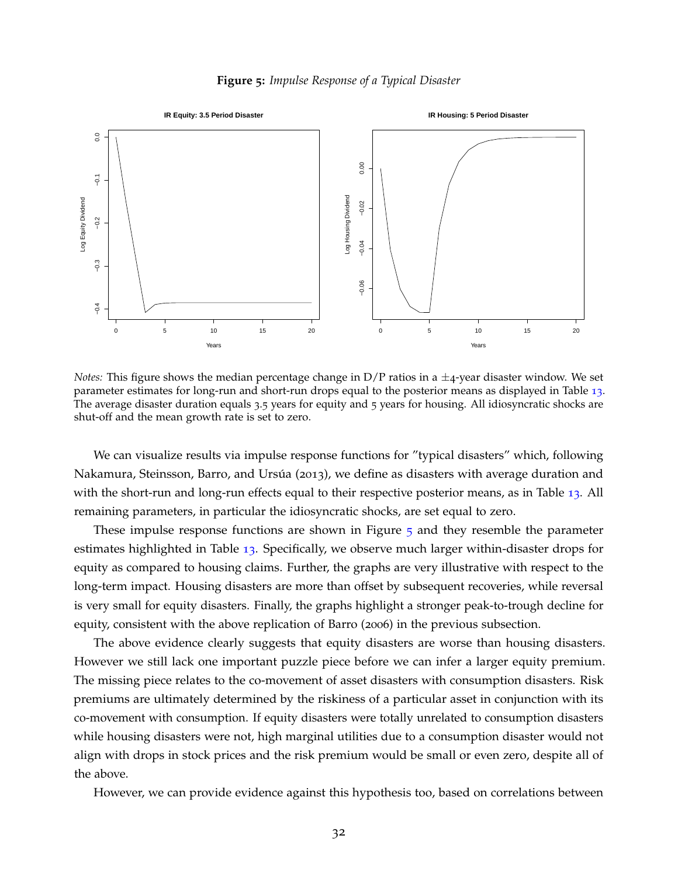

<span id="page-33-0"></span>

*Notes:* This figure shows the median percentage change in  $D/P$  ratios in a  $\pm$ 4-year disaster window. We set parameter estimates for long-run and short-run drops equal to the posterior means as displayed in Table [13](#page-32-0). The average disaster duration equals 3.5 years for equity and 5 years for housing. All idiosyncratic shocks are shut-off and the mean growth rate is set to zero.

We can visualize results via impulse response functions for "typical disasters" which, following Nakamura, Steinsson, Barro, and Ursúa (2013), we define as disasters with average duration and with the short-run and long-run effects equal to their respective posterior means, as in Table [13](#page-32-0). All remaining parameters, in particular the idiosyncratic shocks, are set equal to zero.

These impulse response functions are shown in Figure  $\frac{1}{5}$  $\frac{1}{5}$  $\frac{1}{5}$  and they resemble the parameter estimates highlighted in Table [13](#page-32-0). Specifically, we observe much larger within-disaster drops for equity as compared to housing claims. Further, the graphs are very illustrative with respect to the long-term impact. Housing disasters are more than offset by subsequent recoveries, while reversal is very small for equity disasters. Finally, the graphs highlight a stronger peak-to-trough decline for equity, consistent with the above replication of Barro (2006) in the previous subsection.

The above evidence clearly suggests that equity disasters are worse than housing disasters. However we still lack one important puzzle piece before we can infer a larger equity premium. The missing piece relates to the co-movement of asset disasters with consumption disasters. Risk premiums are ultimately determined by the riskiness of a particular asset in conjunction with its co-movement with consumption. If equity disasters were totally unrelated to consumption disasters while housing disasters were not, high marginal utilities due to a consumption disaster would not align with drops in stock prices and the risk premium would be small or even zero, despite all of the above.

However, we can provide evidence against this hypothesis too, based on correlations between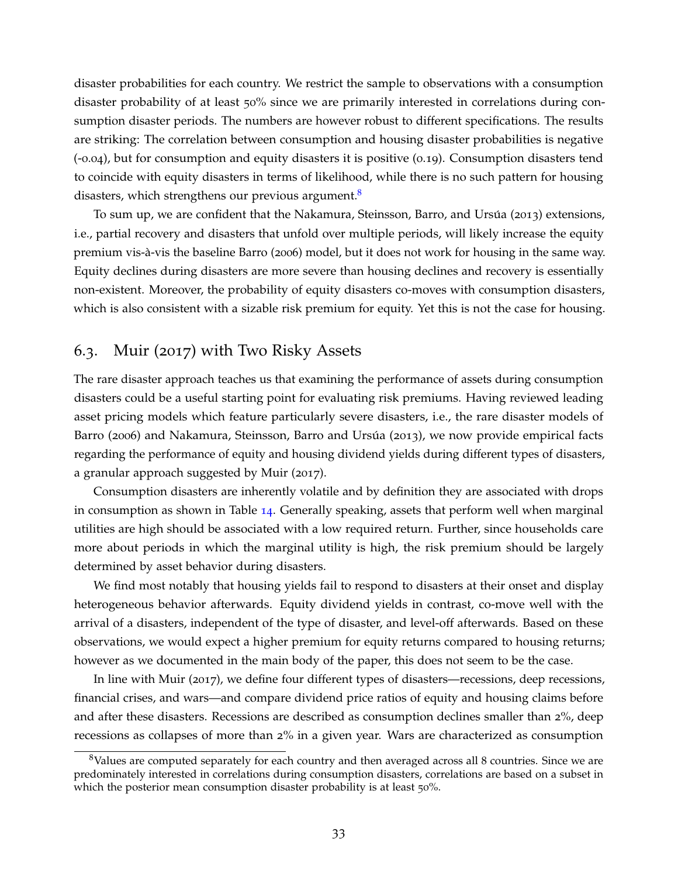disaster probabilities for each country. We restrict the sample to observations with a consumption disaster probability of at least 50% since we are primarily interested in correlations during consumption disaster periods. The numbers are however robust to different specifications. The results are striking: The correlation between consumption and housing disaster probabilities is negative (-0.04), but for consumption and equity disasters it is positive (0.19). Consumption disasters tend to coincide with equity disasters in terms of likelihood, while there is no such pattern for housing disasters, which strengthens our previous argument.<sup>[8](#page-34-0)</sup>

To sum up, we are confident that the Nakamura, Steinsson, Barro, and Ursúa (2013) extensions, i.e., partial recovery and disasters that unfold over multiple periods, will likely increase the equity premium vis-à-vis the baseline Barro (2006) model, but it does not work for housing in the same way. Equity declines during disasters are more severe than housing declines and recovery is essentially non-existent. Moreover, the probability of equity disasters co-moves with consumption disasters, which is also consistent with a sizable risk premium for equity. Yet this is not the case for housing.

## 6.3. Muir (2017) with Two Risky Assets

The rare disaster approach teaches us that examining the performance of assets during consumption disasters could be a useful starting point for evaluating risk premiums. Having reviewed leading asset pricing models which feature particularly severe disasters, i.e., the rare disaster models of Barro (2006) and Nakamura, Steinsson, Barro and Ursúa (2013), we now provide empirical facts regarding the performance of equity and housing dividend yields during different types of disasters, a granular approach suggested by Muir (2017).

Consumption disasters are inherently volatile and by definition they are associated with drops in consumption as shown in Table [14](#page-35-0). Generally speaking, assets that perform well when marginal utilities are high should be associated with a low required return. Further, since households care more about periods in which the marginal utility is high, the risk premium should be largely determined by asset behavior during disasters.

We find most notably that housing yields fail to respond to disasters at their onset and display heterogeneous behavior afterwards. Equity dividend yields in contrast, co-move well with the arrival of a disasters, independent of the type of disaster, and level-off afterwards. Based on these observations, we would expect a higher premium for equity returns compared to housing returns; however as we documented in the main body of the paper, this does not seem to be the case.

In line with Muir (2017), we define four different types of disasters—recessions, deep recessions, financial crises, and wars—and compare dividend price ratios of equity and housing claims before and after these disasters. Recessions are described as consumption declines smaller than 2%, deep recessions as collapses of more than 2% in a given year. Wars are characterized as consumption

<span id="page-34-0"></span><sup>&</sup>lt;sup>8</sup>Values are computed separately for each country and then averaged across all 8 countries. Since we are predominately interested in correlations during consumption disasters, correlations are based on a subset in which the posterior mean consumption disaster probability is at least 50%.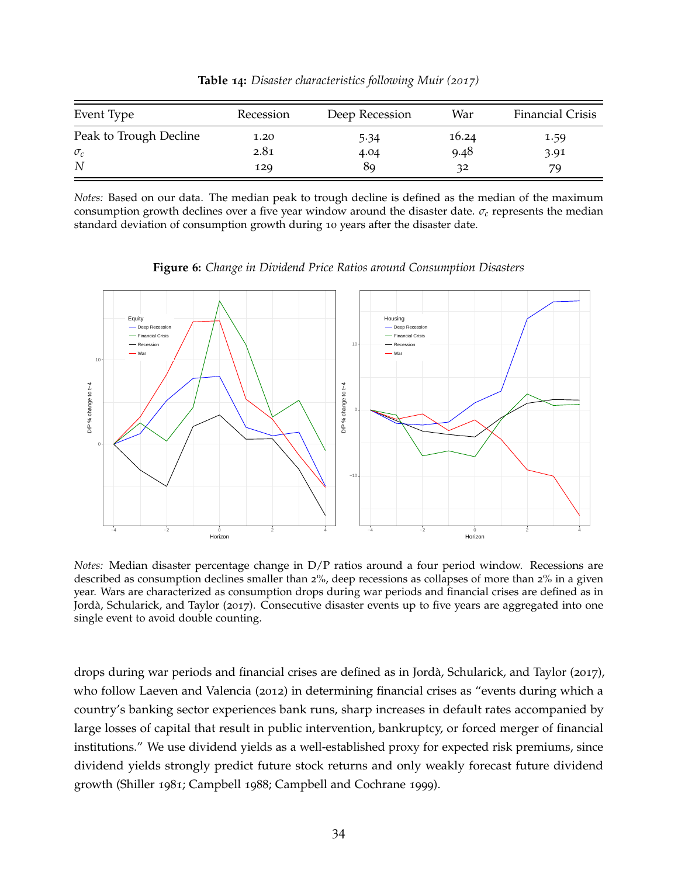<span id="page-35-0"></span>

| Event Type             | Recession | Deep Recession | War   | <b>Financial Crisis</b> |
|------------------------|-----------|----------------|-------|-------------------------|
| Peak to Trough Decline | 1.20      | 5.34           | 16.24 | 1.59                    |
| $\sigma_c$             | 2.81      | 4.04           | 9.48  | 3.91                    |
| N                      | 129       | 89             | 32    | 79                      |

**Table 14:** *Disaster characteristics following Muir (2017)*

*Notes:* Based on our data. The median peak to trough decline is defined as the median of the maximum consumption growth declines over a five year window around the disaster date.  $\sigma_c$  represents the median standard deviation of consumption growth during 10 years after the disaster date.

<span id="page-35-1"></span>

**Figure 6:** *Change in Dividend Price Ratios around Consumption Disasters*

*Notes:* Median disaster percentage change in D/P ratios around a four period window. Recessions are described as consumption declines smaller than 2%, deep recessions as collapses of more than 2% in a given year. Wars are characterized as consumption drops during war periods and financial crises are defined as in Jordà, Schularick, and Taylor (2017). Consecutive disaster events up to five years are aggregated into one single event to avoid double counting.

drops during war periods and financial crises are defined as in Jordà, Schularick, and Taylor (2017), who follow Laeven and Valencia (2012) in determining financial crises as "events during which a country's banking sector experiences bank runs, sharp increases in default rates accompanied by large losses of capital that result in public intervention, bankruptcy, or forced merger of financial institutions." We use dividend yields as a well-established proxy for expected risk premiums, since dividend yields strongly predict future stock returns and only weakly forecast future dividend growth (Shiller 1981; Campbell 1988; Campbell and Cochrane 1999).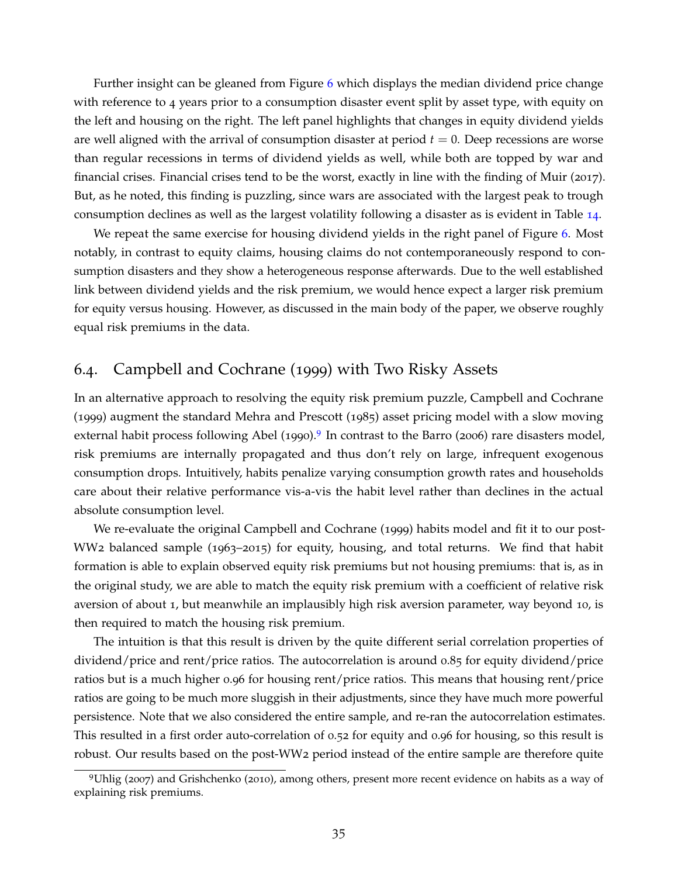Further insight can be gleaned from Figure [6](#page-35-1) which displays the median dividend price change with reference to 4 years prior to a consumption disaster event split by asset type, with equity on the left and housing on the right. The left panel highlights that changes in equity dividend yields are well aligned with the arrival of consumption disaster at period  $t = 0$ . Deep recessions are worse than regular recessions in terms of dividend yields as well, while both are topped by war and financial crises. Financial crises tend to be the worst, exactly in line with the finding of Muir (2017). But, as he noted, this finding is puzzling, since wars are associated with the largest peak to trough consumption declines as well as the largest volatility following a disaster as is evident in Table [14](#page-35-0).

We repeat the same exercise for housing dividend yields in the right panel of Figure [6](#page-35-1). Most notably, in contrast to equity claims, housing claims do not contemporaneously respond to consumption disasters and they show a heterogeneous response afterwards. Due to the well established link between dividend yields and the risk premium, we would hence expect a larger risk premium for equity versus housing. However, as discussed in the main body of the paper, we observe roughly equal risk premiums in the data.

# 6.4. Campbell and Cochrane (1999) with Two Risky Assets

In an alternative approach to resolving the equity risk premium puzzle, Campbell and Cochrane (1999) augment the standard Mehra and Prescott (1985) asset pricing model with a slow moving external habit process following Abel (1[9](#page-36-0)90).<sup>9</sup> In contrast to the Barro (2006) rare disasters model, risk premiums are internally propagated and thus don't rely on large, infrequent exogenous consumption drops. Intuitively, habits penalize varying consumption growth rates and households care about their relative performance vis-a-vis the habit level rather than declines in the actual absolute consumption level.

We re-evaluate the original Campbell and Cochrane (1999) habits model and fit it to our post-WW2 balanced sample (1963–2015) for equity, housing, and total returns. We find that habit formation is able to explain observed equity risk premiums but not housing premiums: that is, as in the original study, we are able to match the equity risk premium with a coefficient of relative risk aversion of about 1, but meanwhile an implausibly high risk aversion parameter, way beyond 10, is then required to match the housing risk premium.

The intuition is that this result is driven by the quite different serial correlation properties of dividend/price and rent/price ratios. The autocorrelation is around 0.85 for equity dividend/price ratios but is a much higher 0.96 for housing rent/price ratios. This means that housing rent/price ratios are going to be much more sluggish in their adjustments, since they have much more powerful persistence. Note that we also considered the entire sample, and re-ran the autocorrelation estimates. This resulted in a first order auto-correlation of 0.52 for equity and 0.96 for housing, so this result is robust. Our results based on the post-WW2 period instead of the entire sample are therefore quite

<span id="page-36-0"></span><sup>9</sup>Uhlig (2007) and Grishchenko (2010), among others, present more recent evidence on habits as a way of explaining risk premiums.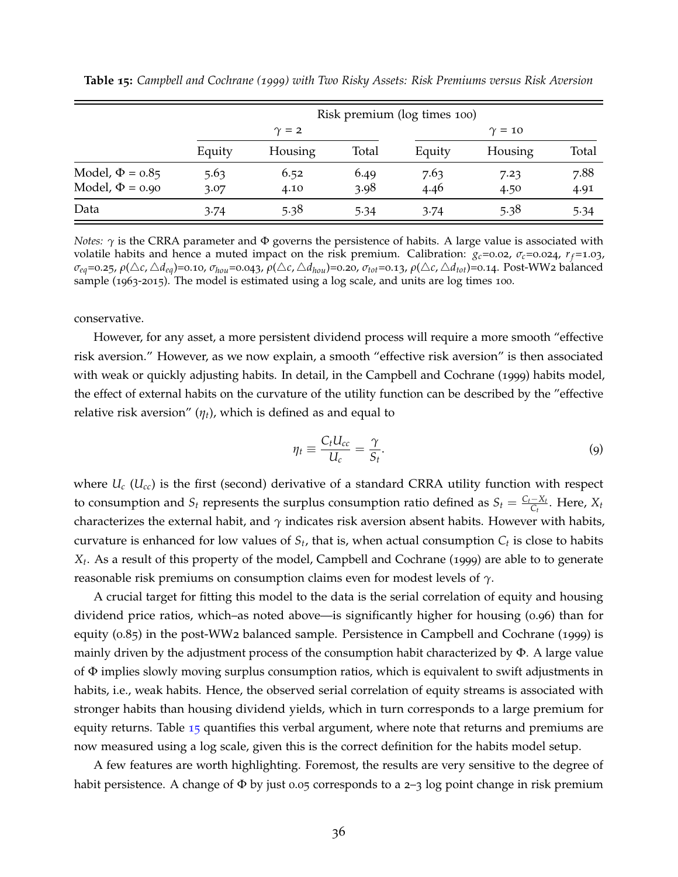|                                              | Risk premium (log times 100) |                |              |               |              |              |  |  |  |
|----------------------------------------------|------------------------------|----------------|--------------|---------------|--------------|--------------|--|--|--|
|                                              | $\gamma = 2$                 |                |              | $\gamma = 10$ |              |              |  |  |  |
|                                              | Equity                       | <b>Housing</b> | Total        | Equity        | Housing      | Total        |  |  |  |
| Model, $\Phi = 0.85$<br>Model, $\Phi$ = 0.90 | 5.63<br>3.07                 | 6.52<br>4.10   | 6.49<br>3.98 | 7.63<br>4.46  | 7.23<br>4.50 | 7.88<br>4.91 |  |  |  |
| Data                                         | 3.74                         | 5.38           | 5.34         | 3.74          | 5.38         | 5.34         |  |  |  |

<span id="page-37-0"></span>**Table 15:** *Campbell and Cochrane (1999) with Two Risky Assets: Risk Premiums versus Risk Aversion*

*Notes:*  $\gamma$  is the CRRA parameter and  $\Phi$  governs the persistence of habits. A large value is associated with volatile habits and hence a muted impact on the risk premium. Calibration:  $g_c$ =0.02,  $\sigma_c$ =0.024,  $r_f$ =1.03,  $\sigma_{eq}$ =0.25,  $\rho(\triangle c, \triangle d_{eq})$ =0.10,  $\sigma_{hou}$ =0.043,  $\rho(\triangle c, \triangle d_{hou})$ =0.20,  $\sigma_{tot}$ =0.13,  $\rho(\triangle c, \triangle d_{tot})$ =0.14. Post-WW2 balanced sample (1963-2015). The model is estimated using a log scale, and units are log times 100.

conservative.

However, for any asset, a more persistent dividend process will require a more smooth "effective risk aversion." However, as we now explain, a smooth "effective risk aversion" is then associated with weak or quickly adjusting habits. In detail, in the Campbell and Cochrane (1999) habits model, the effect of external habits on the curvature of the utility function can be described by the "effective relative risk aversion"  $(\eta_t)$ , which is defined as and equal to

$$
\eta_t \equiv \frac{C_t U_{cc}}{U_c} = \frac{\gamma}{S_t}.\tag{9}
$$

where *U<sup>c</sup>* (*Ucc*) is the first (second) derivative of a standard CRRA utility function with respect to consumption and  $S_t$  represents the surplus consumption ratio defined as  $S_t = \frac{C_t - X_t}{C_t}$  $\frac{-X_t}{C_t}$ . Here,  $X_t$ characterizes the external habit, and *γ* indicates risk aversion absent habits. However with habits, curvature is enhanced for low values of  $S_t$ , that is, when actual consumption  $C_t$  is close to habits *Xt* . As a result of this property of the model, Campbell and Cochrane (1999) are able to to generate reasonable risk premiums on consumption claims even for modest levels of *γ*.

A crucial target for fitting this model to the data is the serial correlation of equity and housing dividend price ratios, which–as noted above—is significantly higher for housing (0.96) than for equity (0.85) in the post-WW2 balanced sample. Persistence in Campbell and Cochrane (1999) is mainly driven by the adjustment process of the consumption habit characterized by  $\Phi$ . A large value of Φ implies slowly moving surplus consumption ratios, which is equivalent to swift adjustments in habits, i.e., weak habits. Hence, the observed serial correlation of equity streams is associated with stronger habits than housing dividend yields, which in turn corresponds to a large premium for equity returns. Table [15](#page-37-0) quantifies this verbal argument, where note that returns and premiums are now measured using a log scale, given this is the correct definition for the habits model setup.

A few features are worth highlighting. Foremost, the results are very sensitive to the degree of habit persistence. A change of  $\Phi$  by just 0.05 corresponds to a 2-3 log point change in risk premium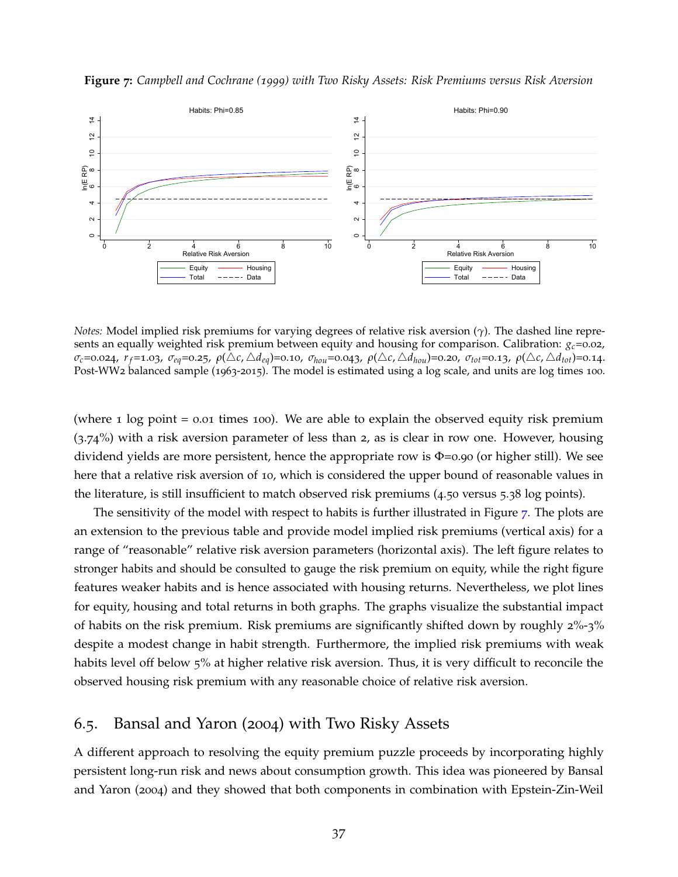

<span id="page-38-0"></span>**Figure 7:** *Campbell and Cochrane (1999) with Two Risky Assets: Risk Premiums versus Risk Aversion*

*Notes:* Model implied risk premiums for varying degrees of relative risk aversion ( $\gamma$ ). The dashed line represents an equally weighted risk premium between equity and housing for comparison. Calibration: *gc*=0.02,  $\sigma_c$ =0.024,  $r_f$ =1.03,  $\sigma_{eq}$ =0.25,  $\rho(\triangle c, \triangle d_{eq})$ =0.10,  $\sigma_{hou}$ =0.043,  $\rho(\triangle c, \triangle d_{hou})$ =0.20,  $\sigma_{tot}$ =0.13,  $\rho(\triangle c, \triangle d_{tot})$ =0.14. Post-WW2 balanced sample (1963-2015). The model is estimated using a log scale, and units are log times 100.

(where  $\mu$  log point = 0.01 times 100). We are able to explain the observed equity risk premium (3.74%) with a risk aversion parameter of less than 2, as is clear in row one. However, housing dividend yields are more persistent, hence the appropriate row is Φ=0.90 (or higher still). We see here that a relative risk aversion of 10, which is considered the upper bound of reasonable values in the literature, is still insufficient to match observed risk premiums (4.50 versus 5.38 log points).

The sensitivity of the model with respect to habits is further illustrated in Figure [7](#page-38-0). The plots are an extension to the previous table and provide model implied risk premiums (vertical axis) for a range of "reasonable" relative risk aversion parameters (horizontal axis). The left figure relates to stronger habits and should be consulted to gauge the risk premium on equity, while the right figure features weaker habits and is hence associated with housing returns. Nevertheless, we plot lines for equity, housing and total returns in both graphs. The graphs visualize the substantial impact of habits on the risk premium. Risk premiums are significantly shifted down by roughly 2%-3% despite a modest change in habit strength. Furthermore, the implied risk premiums with weak habits level off below 5% at higher relative risk aversion. Thus, it is very difficult to reconcile the observed housing risk premium with any reasonable choice of relative risk aversion.

# 6.5. Bansal and Yaron (2004) with Two Risky Assets

A different approach to resolving the equity premium puzzle proceeds by incorporating highly persistent long-run risk and news about consumption growth. This idea was pioneered by Bansal and Yaron (2004) and they showed that both components in combination with Epstein-Zin-Weil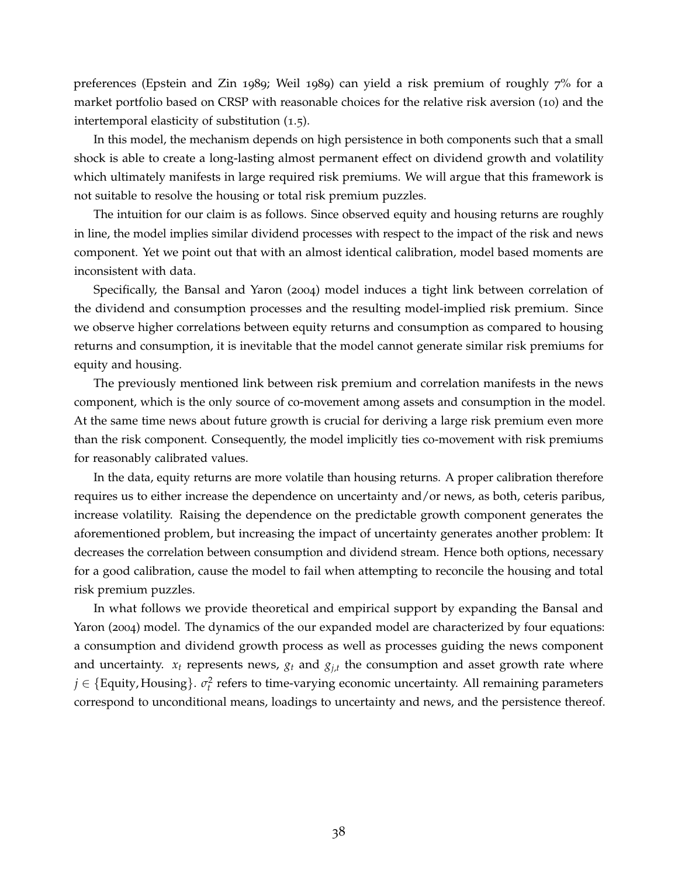preferences (Epstein and Zin 1989; Weil 1989) can yield a risk premium of roughly 7% for a market portfolio based on CRSP with reasonable choices for the relative risk aversion (10) and the intertemporal elasticity of substitution (1.5).

In this model, the mechanism depends on high persistence in both components such that a small shock is able to create a long-lasting almost permanent effect on dividend growth and volatility which ultimately manifests in large required risk premiums. We will argue that this framework is not suitable to resolve the housing or total risk premium puzzles.

The intuition for our claim is as follows. Since observed equity and housing returns are roughly in line, the model implies similar dividend processes with respect to the impact of the risk and news component. Yet we point out that with an almost identical calibration, model based moments are inconsistent with data.

Specifically, the Bansal and Yaron (2004) model induces a tight link between correlation of the dividend and consumption processes and the resulting model-implied risk premium. Since we observe higher correlations between equity returns and consumption as compared to housing returns and consumption, it is inevitable that the model cannot generate similar risk premiums for equity and housing.

The previously mentioned link between risk premium and correlation manifests in the news component, which is the only source of co-movement among assets and consumption in the model. At the same time news about future growth is crucial for deriving a large risk premium even more than the risk component. Consequently, the model implicitly ties co-movement with risk premiums for reasonably calibrated values.

In the data, equity returns are more volatile than housing returns. A proper calibration therefore requires us to either increase the dependence on uncertainty and/or news, as both, ceteris paribus, increase volatility. Raising the dependence on the predictable growth component generates the aforementioned problem, but increasing the impact of uncertainty generates another problem: It decreases the correlation between consumption and dividend stream. Hence both options, necessary for a good calibration, cause the model to fail when attempting to reconcile the housing and total risk premium puzzles.

In what follows we provide theoretical and empirical support by expanding the Bansal and Yaron (2004) model. The dynamics of the our expanded model are characterized by four equations: a consumption and dividend growth process as well as processes guiding the news component and uncertainty. *x<sup>t</sup>* represents news, *g<sup>t</sup>* and *gj*,*<sup>t</sup>* the consumption and asset growth rate where  $j \in \{$  Equity, Housing $\}$ .  $\sigma_t^2$  refers to time-varying economic uncertainty. All remaining parameters correspond to unconditional means, loadings to uncertainty and news, and the persistence thereof.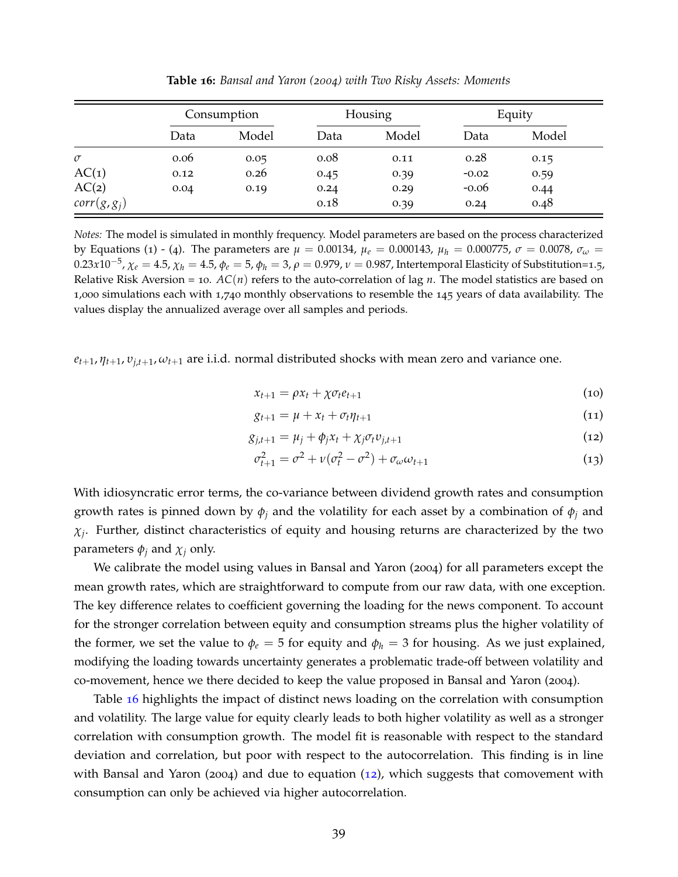<span id="page-40-0"></span>

|                | Consumption |       |      | Housing |         | Equity |
|----------------|-------------|-------|------|---------|---------|--------|
|                | Data        | Model | Data | Model   | Data    | Model  |
| $\sigma$       | 0.06        | 0.05  | 0.08 | 0.11    | 0.28    | 0.15   |
| AC(1)          | 0.12        | 0.26  | 0.45 | 0.39    | $-0.02$ | 0.59   |
| AC(2)          | 0.04        | 0.19  | 0.24 | 0.29    | $-0.06$ | 0.44   |
| $corr(g, g_i)$ |             |       | 0.18 | 0.39    | 0.24    | 0.48   |

**Table 16:** *Bansal and Yaron (2004) with Two Risky Assets: Moments*

*Notes:* The model is simulated in monthly frequency. Model parameters are based on the process characterized by Equations (1) - (4). The parameters are  $\mu = 0.00134$ ,  $\mu_e = 0.000143$ ,  $\mu_h = 0.000775$ ,  $\sigma = 0.0078$ ,  $\sigma_\omega =$ 0.23*x*10−<sup>5</sup> , *χ<sup>e</sup>* = 4.5, *χ<sup>h</sup>* = 4.5, *φ<sup>e</sup>* = 5, *φ<sup>h</sup>* = 3, *ρ* = 0.979, *ν* = 0.987, Intertemporal Elasticity of Substitution=1.5, Relative Risk Aversion = 10.  $AC(n)$  refers to the auto-correlation of lag *n*. The model statistics are based on 1,000 simulations each with 1,740 monthly observations to resemble the 145 years of data availability. The values display the annualized average over all samples and periods.

 $e_{t+1}$ ,  $\eta_{t+1}$ ,  $v_{i,t+1}$ ,  $\omega_{t+1}$  are i.i.d. normal distributed shocks with mean zero and variance one.

$$
x_{t+1} = \rho x_t + \chi \sigma_t e_{t+1} \tag{10}
$$

<span id="page-40-1"></span>
$$
g_{t+1} = \mu + x_t + \sigma_t \eta_{t+1} \tag{11}
$$

$$
g_{j,t+1} = \mu_j + \phi_j x_t + \chi_j \sigma_t v_{j,t+1}
$$
\n
$$
(12)
$$

$$
\sigma_{t+1}^2 = \sigma^2 + \nu(\sigma_t^2 - \sigma^2) + \sigma_\omega \omega_{t+1}
$$
\n(13)

With idiosyncratic error terms, the co-variance between dividend growth rates and consumption growth rates is pinned down by  $\phi_i$  and the volatility for each asset by a combination of  $\phi_i$  and *χj* . Further, distinct characteristics of equity and housing returns are characterized by the two parameters  $\phi_i$  and  $\chi_i$  only.

We calibrate the model using values in Bansal and Yaron (2004) for all parameters except the mean growth rates, which are straightforward to compute from our raw data, with one exception. The key difference relates to coefficient governing the loading for the news component. To account for the stronger correlation between equity and consumption streams plus the higher volatility of the former, we set the value to  $\phi_e = 5$  for equity and  $\phi_h = 3$  for housing. As we just explained, modifying the loading towards uncertainty generates a problematic trade-off between volatility and co-movement, hence we there decided to keep the value proposed in Bansal and Yaron (2004).

Table [16](#page-40-0) highlights the impact of distinct news loading on the correlation with consumption and volatility. The large value for equity clearly leads to both higher volatility as well as a stronger correlation with consumption growth. The model fit is reasonable with respect to the standard deviation and correlation, but poor with respect to the autocorrelation. This finding is in line with Bansal and Yaron (2004) and due to equation  $(12)$  $(12)$  $(12)$ , which suggests that comovement with consumption can only be achieved via higher autocorrelation.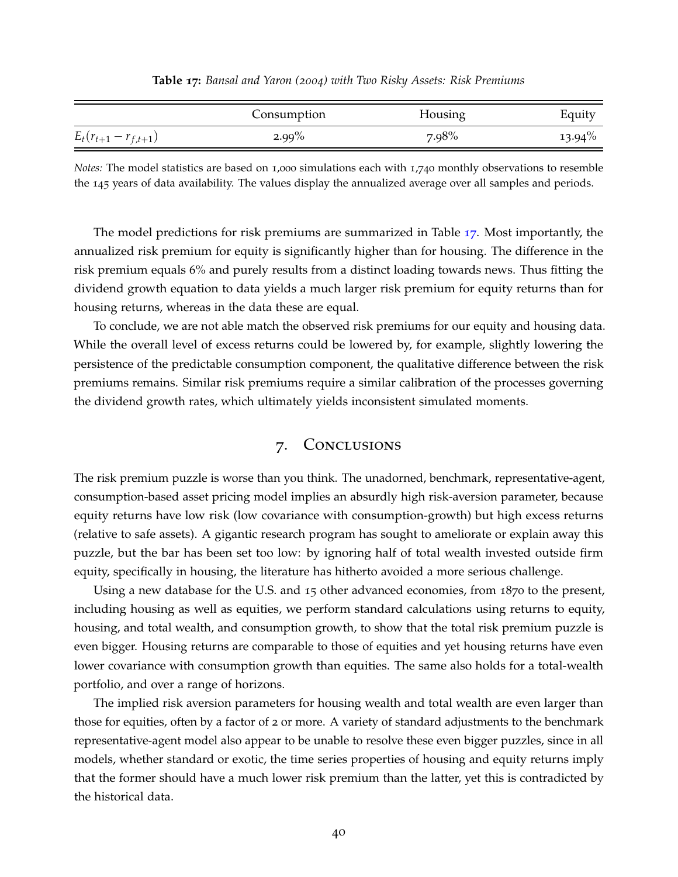<span id="page-41-1"></span>

|                            | Consumption | Housing | Equity    |
|----------------------------|-------------|---------|-----------|
| $E_t(r_{t+1} - r_{f,t+1})$ | $2.99\%$    | 7.98%   | $13.94\%$ |

*Notes:* The model statistics are based on 1,000 simulations each with 1,740 monthly observations to resemble the 145 years of data availability. The values display the annualized average over all samples and periods.

The model predictions for risk premiums are summarized in Table [17](#page-41-1). Most importantly, the annualized risk premium for equity is significantly higher than for housing. The difference in the risk premium equals 6% and purely results from a distinct loading towards news. Thus fitting the dividend growth equation to data yields a much larger risk premium for equity returns than for housing returns, whereas in the data these are equal.

To conclude, we are not able match the observed risk premiums for our equity and housing data. While the overall level of excess returns could be lowered by, for example, slightly lowering the persistence of the predictable consumption component, the qualitative difference between the risk premiums remains. Similar risk premiums require a similar calibration of the processes governing the dividend growth rates, which ultimately yields inconsistent simulated moments.

## 7. Conclusions

<span id="page-41-0"></span>The risk premium puzzle is worse than you think. The unadorned, benchmark, representative-agent, consumption-based asset pricing model implies an absurdly high risk-aversion parameter, because equity returns have low risk (low covariance with consumption-growth) but high excess returns (relative to safe assets). A gigantic research program has sought to ameliorate or explain away this puzzle, but the bar has been set too low: by ignoring half of total wealth invested outside firm equity, specifically in housing, the literature has hitherto avoided a more serious challenge.

Using a new database for the U.S. and 15 other advanced economies, from 1870 to the present, including housing as well as equities, we perform standard calculations using returns to equity, housing, and total wealth, and consumption growth, to show that the total risk premium puzzle is even bigger. Housing returns are comparable to those of equities and yet housing returns have even lower covariance with consumption growth than equities. The same also holds for a total-wealth portfolio, and over a range of horizons.

The implied risk aversion parameters for housing wealth and total wealth are even larger than those for equities, often by a factor of 2 or more. A variety of standard adjustments to the benchmark representative-agent model also appear to be unable to resolve these even bigger puzzles, since in all models, whether standard or exotic, the time series properties of housing and equity returns imply that the former should have a much lower risk premium than the latter, yet this is contradicted by the historical data.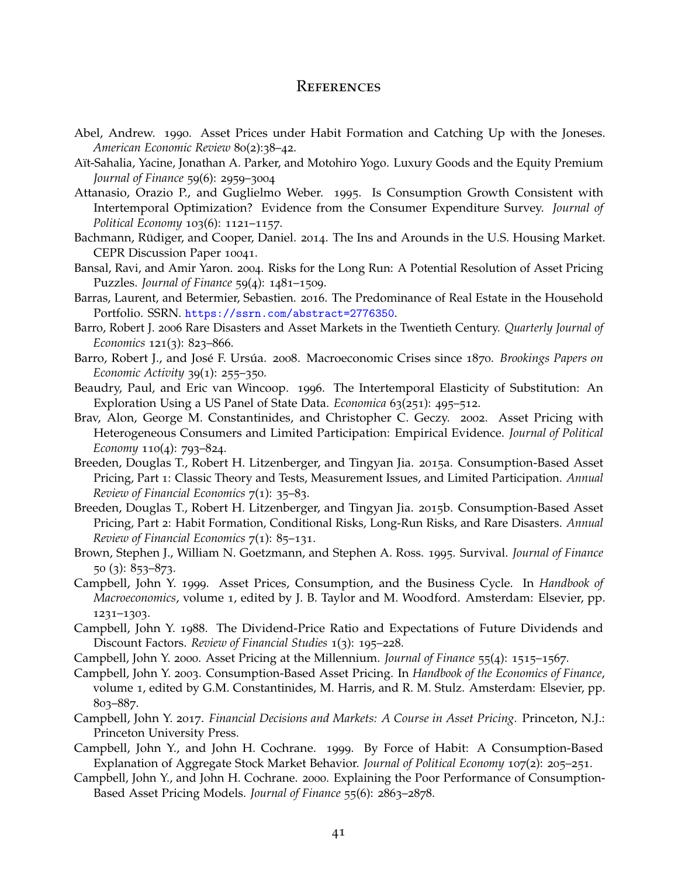#### **REFERENCES**

- Abel, Andrew. 1990. Asset Prices under Habit Formation and Catching Up with the Joneses. *American Economic Review* 80(2):38–42.
- Aït-Sahalia, Yacine, Jonathan A. Parker, and Motohiro Yogo. Luxury Goods and the Equity Premium *Journal of Finance* 59(6): 2959–3004
- Attanasio, Orazio P., and Guglielmo Weber. 1995. Is Consumption Growth Consistent with Intertemporal Optimization? Evidence from the Consumer Expenditure Survey. *Journal of Political Economy* 103(6): 1121–1157.
- Bachmann, Rüdiger, and Cooper, Daniel. 2014. The Ins and Arounds in the U.S. Housing Market. CEPR Discussion Paper 10041.
- Bansal, Ravi, and Amir Yaron. 2004. Risks for the Long Run: A Potential Resolution of Asset Pricing Puzzles. *Journal of Finance* 59(4): 1481–1509.
- Barras, Laurent, and Betermier, Sebastien. 2016. The Predominance of Real Estate in the Household Portfolio. SSRN. <https://ssrn.com/abstract=2776350>.
- Barro, Robert J. 2006 Rare Disasters and Asset Markets in the Twentieth Century. *Quarterly Journal of Economics* 121(3): 823–866.
- Barro, Robert J., and José F. Ursúa. 2008. Macroeconomic Crises since 1870. *Brookings Papers on Economic Activity* 39(1): 255–350.
- Beaudry, Paul, and Eric van Wincoop. 1996. The Intertemporal Elasticity of Substitution: An Exploration Using a US Panel of State Data. *Economica* 63(251): 495–512.
- Brav, Alon, George M. Constantinides, and Christopher C. Geczy. 2002. Asset Pricing with Heterogeneous Consumers and Limited Participation: Empirical Evidence. *Journal of Political Economy* 110(4): 793–824.
- Breeden, Douglas T., Robert H. Litzenberger, and Tingyan Jia. 2015a. Consumption-Based Asset Pricing, Part 1: Classic Theory and Tests, Measurement Issues, and Limited Participation. *Annual Review of Financial Economics* 7(1): 35–83.
- Breeden, Douglas T., Robert H. Litzenberger, and Tingyan Jia. 2015b. Consumption-Based Asset Pricing, Part 2: Habit Formation, Conditional Risks, Long-Run Risks, and Rare Disasters. *Annual Review of Financial Economics* 7(1): 85–131.
- Brown, Stephen J., William N. Goetzmann, and Stephen A. Ross. 1995. Survival. *Journal of Finance* 50 (3): 853–873.
- Campbell, John Y. 1999. Asset Prices, Consumption, and the Business Cycle. In *Handbook of Macroeconomics*, volume 1, edited by J. B. Taylor and M. Woodford. Amsterdam: Elsevier, pp. 1231–1303.
- Campbell, John Y. 1988. The Dividend-Price Ratio and Expectations of Future Dividends and Discount Factors. *Review of Financial Studies* 1(3): 195–228.
- Campbell, John Y. 2000. Asset Pricing at the Millennium. *Journal of Finance* 55(4): 1515–1567.
- Campbell, John Y. 2003. Consumption-Based Asset Pricing. In *Handbook of the Economics of Finance*, volume 1, edited by G.M. Constantinides, M. Harris, and R. M. Stulz. Amsterdam: Elsevier, pp. 803–887.
- Campbell, John Y. 2017. *Financial Decisions and Markets: A Course in Asset Pricing.* Princeton, N.J.: Princeton University Press.
- Campbell, John Y., and John H. Cochrane. 1999. By Force of Habit: A Consumption-Based Explanation of Aggregate Stock Market Behavior. *Journal of Political Economy* 107(2): 205–251.
- Campbell, John Y., and John H. Cochrane. 2000. Explaining the Poor Performance of Consumption-Based Asset Pricing Models. *Journal of Finance* 55(6): 2863–2878.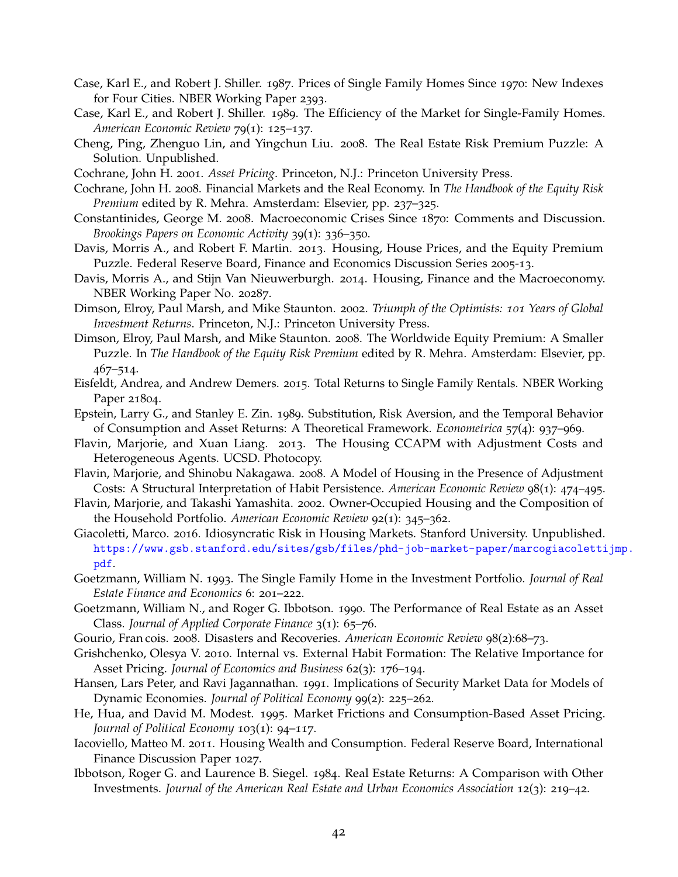- Case, Karl E., and Robert J. Shiller. 1987. Prices of Single Family Homes Since 1970: New Indexes for Four Cities. NBER Working Paper 2393.
- Case, Karl E., and Robert J. Shiller. 1989. The Efficiency of the Market for Single-Family Homes. *American Economic Review* 79(1): 125–137.
- Cheng, Ping, Zhenguo Lin, and Yingchun Liu. 2008. The Real Estate Risk Premium Puzzle: A Solution. Unpublished.
- Cochrane, John H. 2001. *Asset Pricing*. Princeton, N.J.: Princeton University Press.
- Cochrane, John H. 2008. Financial Markets and the Real Economy. In *The Handbook of the Equity Risk Premium* edited by R. Mehra. Amsterdam: Elsevier, pp. 237–325.
- Constantinides, George M. 2008. Macroeconomic Crises Since 1870: Comments and Discussion. *Brookings Papers on Economic Activity* 39(1): 336–350.
- Davis, Morris A., and Robert F. Martin. 2013. Housing, House Prices, and the Equity Premium Puzzle. Federal Reserve Board, Finance and Economics Discussion Series 2005-13.
- Davis, Morris A., and Stijn Van Nieuwerburgh. 2014. Housing, Finance and the Macroeconomy. NBER Working Paper No. 20287.
- Dimson, Elroy, Paul Marsh, and Mike Staunton. 2002. *Triumph of the Optimists: 101 Years of Global Investment Returns*. Princeton, N.J.: Princeton University Press.
- Dimson, Elroy, Paul Marsh, and Mike Staunton. 2008. The Worldwide Equity Premium: A Smaller Puzzle. In *The Handbook of the Equity Risk Premium* edited by R. Mehra. Amsterdam: Elsevier, pp. 467–514.
- Eisfeldt, Andrea, and Andrew Demers. 2015. Total Returns to Single Family Rentals. NBER Working Paper 21804.
- Epstein, Larry G., and Stanley E. Zin. 1989. Substitution, Risk Aversion, and the Temporal Behavior of Consumption and Asset Returns: A Theoretical Framework. *Econometrica* 57(4): 937–969.
- Flavin, Marjorie, and Xuan Liang. 2013. The Housing CCAPM with Adjustment Costs and Heterogeneous Agents. UCSD. Photocopy.
- Flavin, Marjorie, and Shinobu Nakagawa. 2008. A Model of Housing in the Presence of Adjustment Costs: A Structural Interpretation of Habit Persistence. *American Economic Review* 98(1): 474–495.
- Flavin, Marjorie, and Takashi Yamashita. 2002. Owner-Occupied Housing and the Composition of the Household Portfolio. *American Economic Review* 92(1): 345–362.
- Giacoletti, Marco. 2016. Idiosyncratic Risk in Housing Markets. Stanford University. Unpublished. [https://www.gsb.stanford.edu/sites/gsb/files/phd-job-market-paper/marcogiacoletti](https://www.gsb.stanford.edu/sites/gsb/files/phd-job-market-paper/marcogiacolettijmp.pdf)jmp. [pdf](https://www.gsb.stanford.edu/sites/gsb/files/phd-job-market-paper/marcogiacolettijmp.pdf).
- Goetzmann, William N. 1993. The Single Family Home in the Investment Portfolio. *Journal of Real Estate Finance and Economics* 6: 201–222.
- Goetzmann, William N., and Roger G. Ibbotson. 1990. The Performance of Real Estate as an Asset Class. *Journal of Applied Corporate Finance* 3(1): 65–76.
- Gourio, Fran cois. 2008. Disasters and Recoveries. *American Economic Review* 98(2):68–73.
- Grishchenko, Olesya V. 2010. Internal vs. External Habit Formation: The Relative Importance for Asset Pricing. *Journal of Economics and Business* 62(3): 176–194.
- Hansen, Lars Peter, and Ravi Jagannathan. 1991. Implications of Security Market Data for Models of Dynamic Economies. *Journal of Political Economy* 99(2): 225–262.
- He, Hua, and David M. Modest. 1995. Market Frictions and Consumption-Based Asset Pricing. *Journal of Political Economy* 103(1): 94–117.
- Iacoviello, Matteo M. 2011. Housing Wealth and Consumption. Federal Reserve Board, International Finance Discussion Paper 1027.
- Ibbotson, Roger G. and Laurence B. Siegel. 1984. Real Estate Returns: A Comparison with Other Investments. *Journal of the American Real Estate and Urban Economics Association* 12(3): 219–42.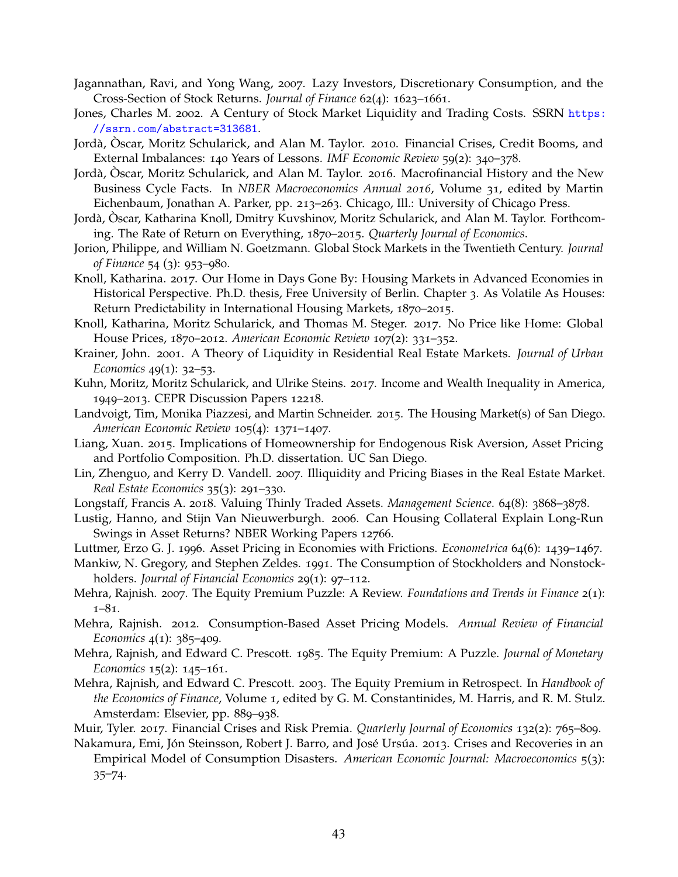- Jagannathan, Ravi, and Yong Wang, 2007. Lazy Investors, Discretionary Consumption, and the Cross-Section of Stock Returns. *Journal of Finance* 62(4): 1623–1661.
- Jones, Charles M. 2002. A Century of Stock Market Liquidity and Trading Costs. SSRN [https:](https://ssrn.com/abstract=313681) [//ssrn.com/abstract=313681](https://ssrn.com/abstract=313681).
- Jordà, Òscar, Moritz Schularick, and Alan M. Taylor. 2010. Financial Crises, Credit Booms, and External Imbalances: 140 Years of Lessons. *IMF Economic Review* 59(2): 340–378.
- Jordà, Oscar, Moritz Schularick, and Alan M. Taylor. 2016. Macrofinancial History and the New Business Cycle Facts. In *NBER Macroeconomics Annual 2016*, Volume 31, edited by Martin Eichenbaum, Jonathan A. Parker, pp. 213–263. Chicago, Ill.: University of Chicago Press.
- Jordà, Òscar, Katharina Knoll, Dmitry Kuvshinov, Moritz Schularick, and Alan M. Taylor. Forthcoming. The Rate of Return on Everything, 1870–2015. *Quarterly Journal of Economics*.
- Jorion, Philippe, and William N. Goetzmann. Global Stock Markets in the Twentieth Century. *Journal of Finance* 54 (3): 953–980.
- Knoll, Katharina. 2017. Our Home in Days Gone By: Housing Markets in Advanced Economies in Historical Perspective. Ph.D. thesis, Free University of Berlin. Chapter 3. As Volatile As Houses: Return Predictability in International Housing Markets, 1870–2015.
- Knoll, Katharina, Moritz Schularick, and Thomas M. Steger. 2017. No Price like Home: Global House Prices, 1870–2012. *American Economic Review* 107(2): 331–352.
- Krainer, John. 2001. A Theory of Liquidity in Residential Real Estate Markets. *Journal of Urban Economics* 49(1): 32–53.
- Kuhn, Moritz, Moritz Schularick, and Ulrike Steins. 2017. Income and Wealth Inequality in America, 1949–2013. CEPR Discussion Papers 12218.
- Landvoigt, Tim, Monika Piazzesi, and Martin Schneider. 2015. The Housing Market(s) of San Diego. *American Economic Review* 105(4): 1371–1407.
- Liang, Xuan. 2015. Implications of Homeownership for Endogenous Risk Aversion, Asset Pricing and Portfolio Composition. Ph.D. dissertation. UC San Diego.
- Lin, Zhenguo, and Kerry D. Vandell. 2007. Illiquidity and Pricing Biases in the Real Estate Market. *Real Estate Economics* 35(3): 291–330.
- Longstaff, Francis A. 2018. Valuing Thinly Traded Assets. *Management Science*. 64(8): 3868–3878.
- Lustig, Hanno, and Stijn Van Nieuwerburgh. 2006. Can Housing Collateral Explain Long-Run Swings in Asset Returns? NBER Working Papers 12766.
- Luttmer, Erzo G. J. 1996. Asset Pricing in Economies with Frictions. *Econometrica* 64(6): 1439–1467.
- Mankiw, N. Gregory, and Stephen Zeldes. 1991. The Consumption of Stockholders and Nonstockholders. *Journal of Financial Economics* 29(1): 97–112.
- Mehra, Rajnish. 2007. The Equity Premium Puzzle: A Review. *Foundations and Trends in Finance* 2(1): 1–81.
- Mehra, Rajnish. 2012. Consumption-Based Asset Pricing Models. *Annual Review of Financial Economics* 4(1): 385–409.
- Mehra, Rajnish, and Edward C. Prescott. 1985. The Equity Premium: A Puzzle. *Journal of Monetary Economics* 15(2): 145–161.
- Mehra, Rajnish, and Edward C. Prescott. 2003. The Equity Premium in Retrospect. In *Handbook of the Economics of Finance*, Volume 1, edited by G. M. Constantinides, M. Harris, and R. M. Stulz. Amsterdam: Elsevier, pp. 889–938.

Muir, Tyler. 2017. Financial Crises and Risk Premia. *Quarterly Journal of Economics* 132(2): 765–809.

Nakamura, Emi, Jón Steinsson, Robert J. Barro, and José Ursúa. 2013. Crises and Recoveries in an Empirical Model of Consumption Disasters. *American Economic Journal: Macroeconomics* 5(3): 35–74.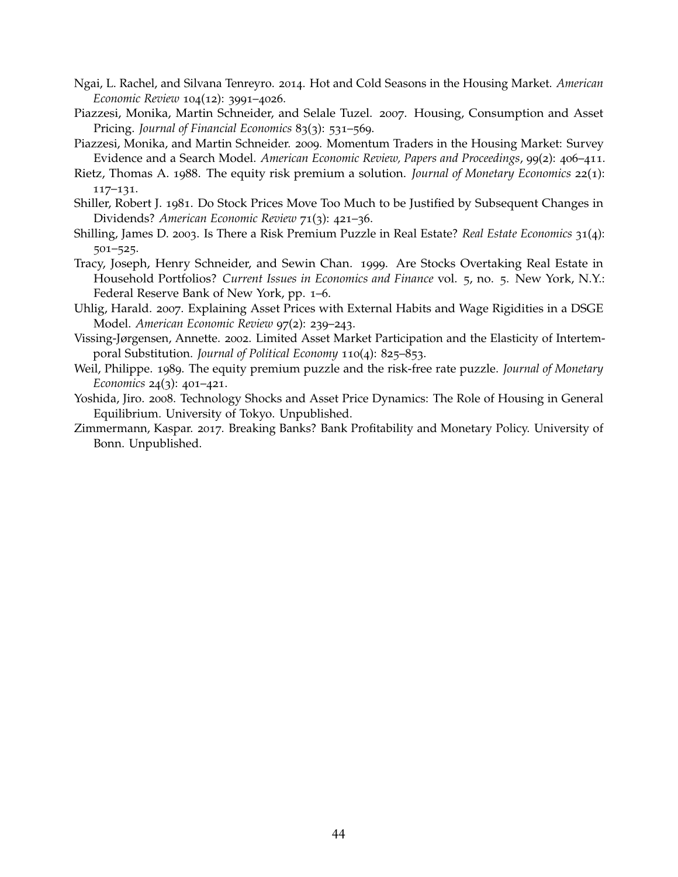- Ngai, L. Rachel, and Silvana Tenreyro. 2014. Hot and Cold Seasons in the Housing Market. *American Economic Review* 104(12): 3991–4026.
- Piazzesi, Monika, Martin Schneider, and Selale Tuzel. 2007. Housing, Consumption and Asset Pricing. *Journal of Financial Economics* 83(3): 531–569.
- Piazzesi, Monika, and Martin Schneider. 2009. Momentum Traders in the Housing Market: Survey Evidence and a Search Model. *American Economic Review, Papers and Proceedings*, 99(2): 406–411.
- Rietz, Thomas A. 1988. The equity risk premium a solution. *Journal of Monetary Economics* 22(1): 117–131.
- Shiller, Robert J. 1981. Do Stock Prices Move Too Much to be Justified by Subsequent Changes in Dividends? *American Economic Review* 71(3): 421–36.
- Shilling, James D. 2003. Is There a Risk Premium Puzzle in Real Estate? *Real Estate Economics* 31(4): 501–525.
- Tracy, Joseph, Henry Schneider, and Sewin Chan. 1999. Are Stocks Overtaking Real Estate in Household Portfolios? *Current Issues in Economics and Finance* vol. 5, no. 5. New York, N.Y.: Federal Reserve Bank of New York, pp. 1–6.
- Uhlig, Harald. 2007. Explaining Asset Prices with External Habits and Wage Rigidities in a DSGE Model. *American Economic Review* 97(2): 239–243.
- Vissing-Jørgensen, Annette. 2002. Limited Asset Market Participation and the Elasticity of Intertemporal Substitution. *Journal of Political Economy* 110(4): 825–853.
- Weil, Philippe. 1989. The equity premium puzzle and the risk-free rate puzzle. *Journal of Monetary Economics* 24(3): 401–421.
- Yoshida, Jiro. 2008. Technology Shocks and Asset Price Dynamics: The Role of Housing in General Equilibrium. University of Tokyo. Unpublished.
- Zimmermann, Kaspar. 2017. Breaking Banks? Bank Profitability and Monetary Policy. University of Bonn. Unpublished.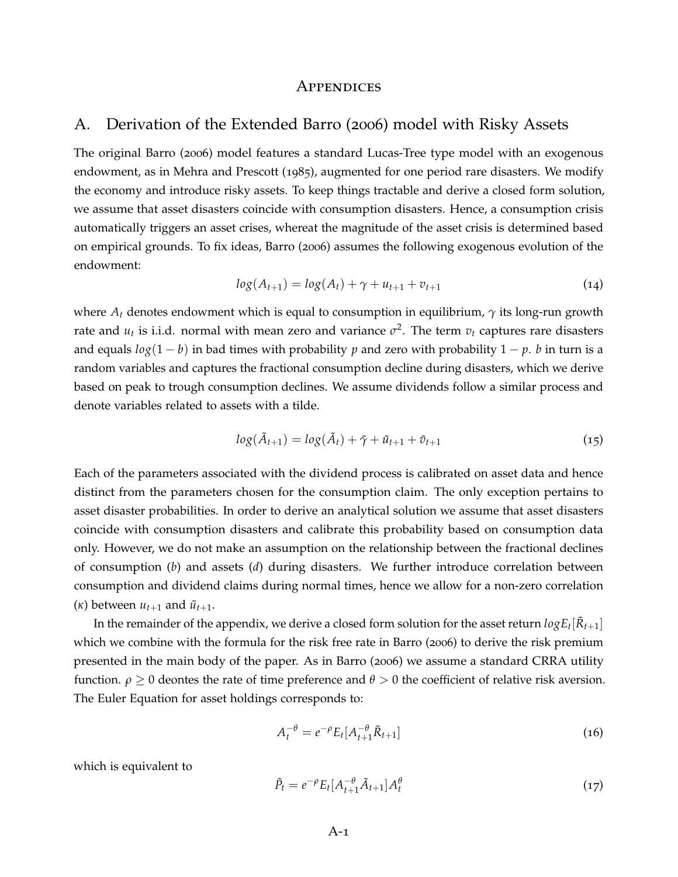#### **APPENDICES**

## A. Derivation of the Extended Barro (2006) model with Risky Assets

The original Barro (2006) model features a standard Lucas-Tree type model with an exogenous endowment, as in Mehra and Prescott (1985), augmented for one period rare disasters. We modify the economy and introduce risky assets. To keep things tractable and derive a closed form solution, we assume that asset disasters coincide with consumption disasters. Hence, a consumption crisis automatically triggers an asset crises, whereat the magnitude of the asset crisis is determined based on empirical grounds. To fix ideas, Barro (2006) assumes the following exogenous evolution of the endowment:

$$
log(A_{t+1}) = log(A_t) + \gamma + u_{t+1} + v_{t+1}
$$
\n(14)

where  $A_t$  denotes endowment which is equal to consumption in equilibrium,  $\gamma$  its long-run growth rate and  $u_t$  is i.i.d. normal with mean zero and variance  $\sigma^2$ . The term  $v_t$  captures rare disasters and equals  $log(1 - b)$  in bad times with probability *p* and zero with probability  $1 - p$ . *b* in turn is a random variables and captures the fractional consumption decline during disasters, which we derive based on peak to trough consumption declines. We assume dividends follow a similar process and denote variables related to assets with a tilde.

$$
log(\tilde{A}_{t+1}) = log(\tilde{A}_t) + \tilde{\gamma} + \tilde{u}_{t+1} + \tilde{v}_{t+1}
$$
\n
$$
(15)
$$

Each of the parameters associated with the dividend process is calibrated on asset data and hence distinct from the parameters chosen for the consumption claim. The only exception pertains to asset disaster probabilities. In order to derive an analytical solution we assume that asset disasters coincide with consumption disasters and calibrate this probability based on consumption data only. However, we do not make an assumption on the relationship between the fractional declines of consumption (*b*) and assets (*d*) during disasters. We further introduce correlation between consumption and dividend claims during normal times, hence we allow for a non-zero correlation  $(\kappa)$  between  $u_{t+1}$  and  $\tilde{u}_{t+1}$ .

In the remainder of the appendix, we derive a closed form solution for the asset return  $log E_t[\tilde{R}_{t+1}]$ which we combine with the formula for the risk free rate in Barro (2006) to derive the risk premium presented in the main body of the paper. As in Barro (2006) we assume a standard CRRA utility function. *ρ*  $\geq$  0 deontes the rate of time preference and *θ*  $>$  0 the coefficient of relative risk aversion. The Euler Equation for asset holdings corresponds to:

$$
A_t^{-\theta} = e^{-\rho} E_t [A_{t+1}^{-\theta} \tilde{R}_{t+1}]
$$
\n(16)

which is equivalent to

$$
\tilde{P}_t = e^{-\rho} E_t [A_{t+1}^{-\theta} \tilde{A}_{t+1}] A_t^{\theta} \tag{17}
$$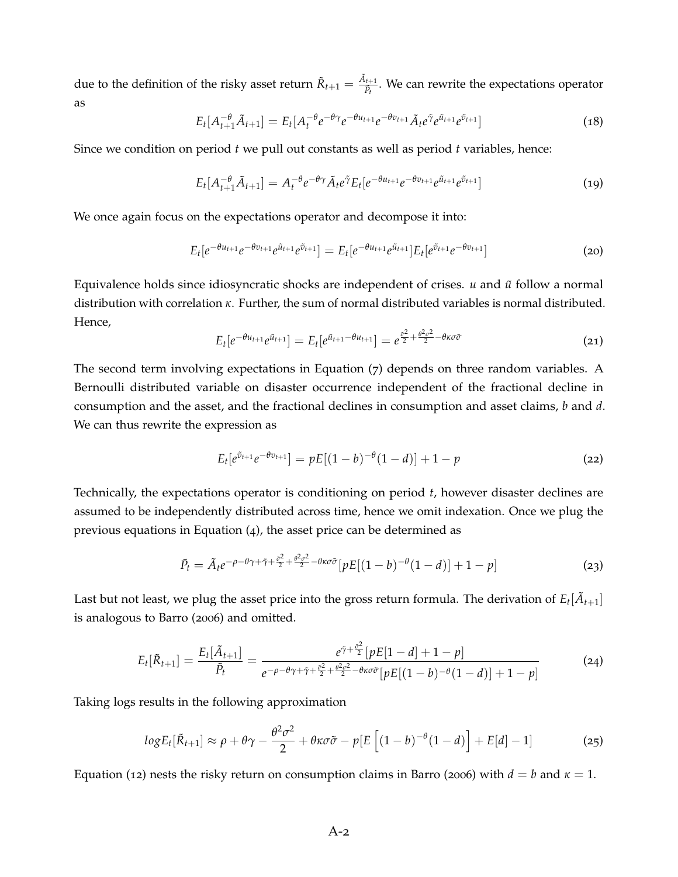due to the definition of the risky asset return  $\tilde{R}_{t+1} = \frac{\tilde{A}_{t+1}}{\tilde{P}_t}$ . We can rewrite the expectations operator as

$$
E_t[A_{t+1}^{-\theta}\tilde{A}_{t+1}] = E_t[A_t^{-\theta}e^{-\theta\gamma}e^{-\theta u_{t+1}}e^{-\theta v_{t+1}}\tilde{A}_t e^{\tilde{\gamma}}e^{\tilde{u}_{t+1}}e^{\tilde{v}_{t+1}}]
$$
(18)

Since we condition on period *t* we pull out constants as well as period *t* variables, hence:

$$
E_t[A_{t+1}^{-\theta}\tilde{A}_{t+1}] = A_t^{-\theta}e^{-\theta\gamma}\tilde{A}_t e^{\tilde{\gamma}}E_t[e^{-\theta u_{t+1}}e^{-\theta v_{t+1}}e^{\tilde{u}_{t+1}}e^{\tilde{v}_{t+1}}] \qquad (19)
$$

We once again focus on the expectations operator and decompose it into:

$$
E_t[e^{-\theta u_{t+1}}e^{-\theta v_{t+1}}e^{\tilde{u}_{t+1}}e^{\tilde{v}_{t+1}}] = E_t[e^{-\theta u_{t+1}}e^{\tilde{u}_{t+1}}]E_t[e^{\tilde{v}_{t+1}}e^{-\theta v_{t+1}}]
$$
(20)

Equivalence holds since idiosyncratic shocks are independent of crises. *u* and *u* follow a normal distribution with correlation *κ*. Further, the sum of normal distributed variables is normal distributed. Hence,

$$
E_t[e^{-\theta u_{t+1}}e^{\tilde{u}_{t+1}}] = E_t[e^{\tilde{u}_{t+1}-\theta u_{t+1}}] = e^{\frac{\tilde{\sigma}^2}{2} + \frac{\theta^2 \sigma^2}{2} - \theta \kappa \sigma \tilde{\sigma}}
$$
(21)

The second term involving expectations in Equation (7) depends on three random variables. A Bernoulli distributed variable on disaster occurrence independent of the fractional decline in consumption and the asset, and the fractional declines in consumption and asset claims, *b* and *d*. We can thus rewrite the expression as

$$
E_t[e^{\tilde{\sigma}_{t+1}}e^{-\theta v_{t+1}}] = pE[(1-b)^{-\theta}(1-d)] + 1 - p \tag{22}
$$

Technically, the expectations operator is conditioning on period *t*, however disaster declines are assumed to be independently distributed across time, hence we omit indexation. Once we plug the previous equations in Equation (4), the asset price can be determined as

$$
\tilde{P}_t = \tilde{A}_t e^{-\rho - \theta \gamma + \tilde{\gamma} + \frac{\tilde{\sigma}^2}{2} + \frac{\theta^2 \sigma^2}{2} - \theta \kappa \sigma \tilde{\sigma}} [pE[(1-b)^{-\theta}(1-d)] + 1 - p] \tag{23}
$$

Last but not least, we plug the asset price into the gross return formula. The derivation of  $E_t[\tilde{A}_{t+1}]$ is analogous to Barro (2006) and omitted.

$$
E_t[\tilde{R}_{t+1}] = \frac{E_t[\tilde{A}_{t+1}]}{\tilde{P}_t} = \frac{e^{\tilde{\gamma} + \frac{\tilde{\sigma}^2}{2}}[pE[1 - d] + 1 - p]}{e^{-\rho - \theta \gamma + \tilde{\gamma} + \frac{\tilde{\sigma}^2}{2} + \frac{\theta^2 \sigma^2}{2} - \theta \kappa \sigma \tilde{\sigma}}[pE[(1 - b)^{-\theta}(1 - d)] + 1 - p]} \tag{24}
$$

Taking logs results in the following approximation

$$
logE_t[\tilde{R}_{t+1}] \approx \rho + \theta\gamma - \frac{\theta^2\sigma^2}{2} + \theta\kappa\sigma\tilde{\sigma} - p[E\left[(1-b)^{-\theta}(1-d)\right] + E[d] - 1]
$$
 (25)

Equation (12) nests the risky return on consumption claims in Barro (2006) with  $d = b$  and  $\kappa = 1$ .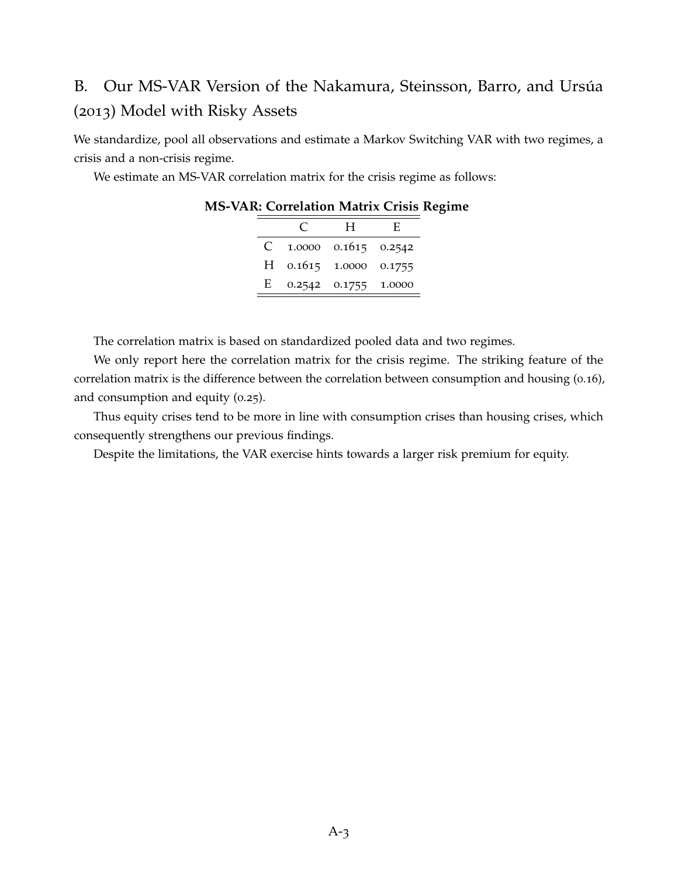# B. Our MS-VAR Version of the Nakamura, Steinsson, Barro, and Ursúa (2013) Model with Risky Assets

We standardize, pool all observations and estimate a Markov Switching VAR with two regimes, a crisis and a non-crisis regime.

We estimate an MS-VAR correlation matrix for the crisis regime as follows:

|    | H                        | E. |
|----|--------------------------|----|
|    | $C$ 1.0000 0.1615 0.2542 |    |
|    | H 0.1615 1.0000 0.1755   |    |
| Е. | 0.2542 0.1755 1.0000     |    |

## **MS-VAR: Correlation Matrix Crisis Regime**

The correlation matrix is based on standardized pooled data and two regimes.

We only report here the correlation matrix for the crisis regime. The striking feature of the correlation matrix is the difference between the correlation between consumption and housing (0.16), and consumption and equity (0.25).

Thus equity crises tend to be more in line with consumption crises than housing crises, which consequently strengthens our previous findings.

Despite the limitations, the VAR exercise hints towards a larger risk premium for equity.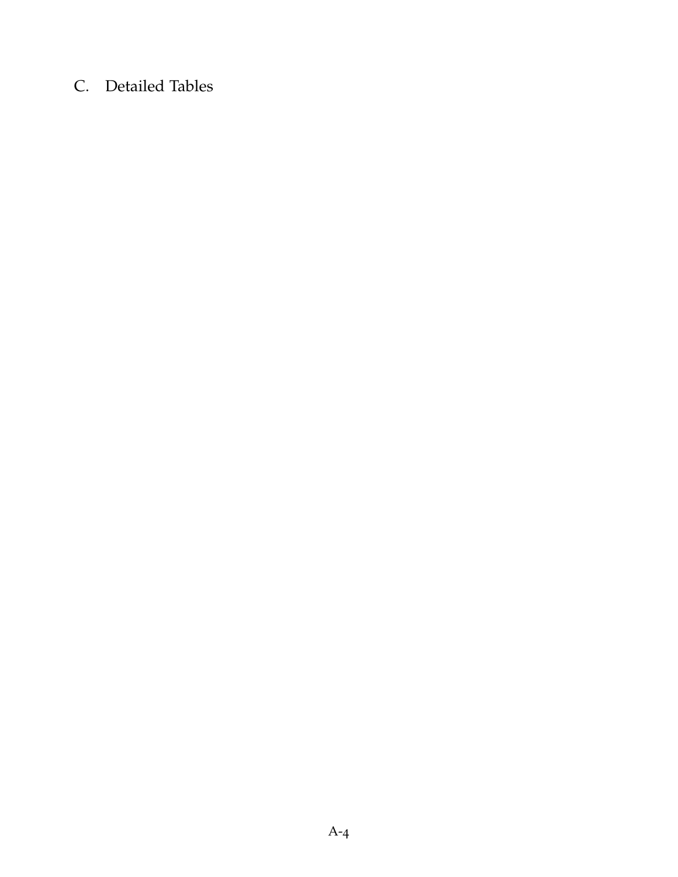# C. Detailed Tables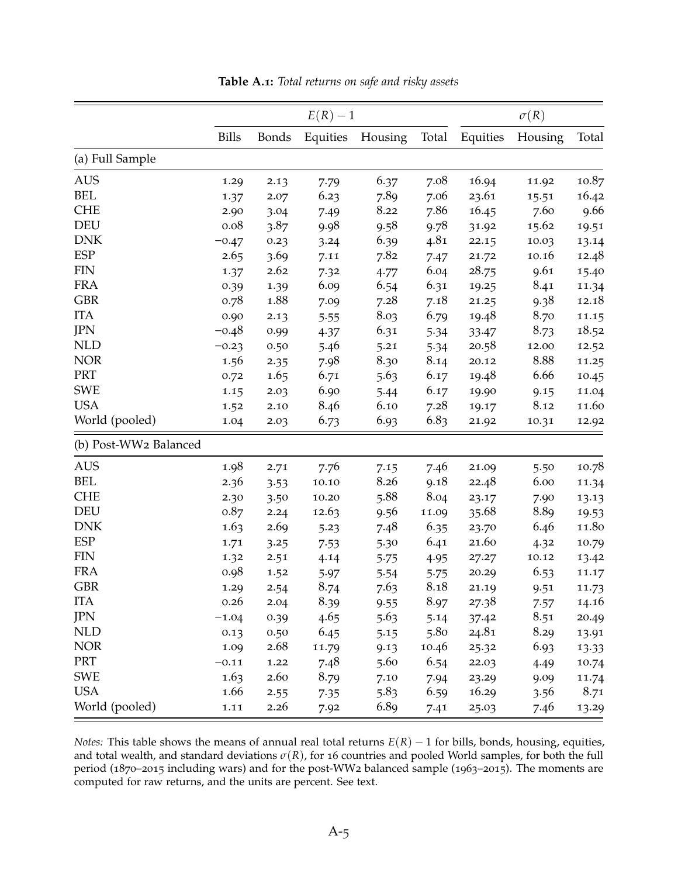<span id="page-50-0"></span>

|                       |              |              | $E(R)-1$ |         |       |          | $\sigma(R)$ |       |
|-----------------------|--------------|--------------|----------|---------|-------|----------|-------------|-------|
|                       | <b>Bills</b> | <b>Bonds</b> | Equities | Housing | Total | Equities | Housing     | Total |
| (a) Full Sample       |              |              |          |         |       |          |             |       |
| <b>AUS</b>            | 1.29         | 2.13         | 7.79     | 6.37    | 7.08  | 16.94    | 11.92       | 10.87 |
| <b>BEL</b>            | 1.37         | 2.07         | 6.23     | 7.89    | 7.06  | 23.61    | 15.51       | 16.42 |
| <b>CHE</b>            | 2.90         | 3.04         | 7.49     | 8.22    | 7.86  | 16.45    | 7.60        | 9.66  |
| <b>DEU</b>            | 0.08         | 3.87         | 9.98     | 9.58    | 9.78  | 31.92    | 15.62       | 19.51 |
| <b>DNK</b>            | $-0.47$      | 0.23         | 3.24     | 6.39    | 4.81  | 22.15    | 10.03       | 13.14 |
| <b>ESP</b>            | 2.65         | 3.69         | 7.11     | 7.82    | 7.47  | 21.72    | 10.16       | 12.48 |
| <b>FIN</b>            | 1.37         | 2.62         | 7.32     | 4.77    | 6.04  | 28.75    | 9.61        | 15.40 |
| <b>FRA</b>            | 0.39         | 1.39         | 6.09     | 6.54    | 6.31  | 19.25    | 8.41        | 11.34 |
| <b>GBR</b>            | 0.78         | 1.88         | 7.09     | 7.28    | 7.18  | 21.25    | 9.38        | 12.18 |
| <b>ITA</b>            | 0.90         | 2.13         | 5.55     | 8.03    | 6.79  | 19.48    | 8.70        | 11.15 |
| JPN                   | $-0.48$      | 0.99         | 4.37     | 6.31    | 5.34  | 33.47    | 8.73        | 18.52 |
| <b>NLD</b>            | $-0.23$      | 0.50         | 5.46     | 5.21    | 5.34  | 20.58    | 12.00       | 12.52 |
| <b>NOR</b>            | 1.56         | 2.35         | 7.98     | 8.30    | 8.14  | 20.12    | 8.88        | 11.25 |
| PRT                   | 0.72         | 1.65         | 6.71     | 5.63    | 6.17  | 19.48    | 6.66        | 10.45 |
| <b>SWE</b>            | 1.15         | 2.03         | 6.90     | 5.44    | 6.17  | 19.90    | 9.15        | 11.04 |
| <b>USA</b>            | 1.52         | 2.10         | 8.46     | 6.10    | 7.28  | 19.17    | 8.12        | 11.60 |
| World (pooled)        | 1.04         | 2.03         | 6.73     | 6.93    | 6.83  | 21.92    | 10.31       | 12.92 |
| (b) Post-WW2 Balanced |              |              |          |         |       |          |             |       |
| <b>AUS</b>            | 1.98         | 2.71         | 7.76     | 7.15    | 7.46  | 21.09    | 5.50        | 10.78 |
| <b>BEL</b>            | 2.36         | 3.53         | 10.10    | 8.26    | 9.18  | 22.48    | 6.00        | 11.34 |
| <b>CHE</b>            | 2.30         | 3.50         | 10.20    | 5.88    | 8.04  | 23.17    | 7.90        | 13.13 |
| <b>DEU</b>            | 0.87         | 2.24         | 12.63    | 9.56    | 11.09 | 35.68    | 8.89        | 19.53 |
| <b>DNK</b>            | 1.63         | 2.69         | 5.23     | 7.48    | 6.35  | 23.70    | 6.46        | 11.80 |
| <b>ESP</b>            | 1.71         | 3.25         | 7.53     | 5.30    | 6.41  | 21.60    | 4.32        | 10.79 |
| <b>FIN</b>            | 1.32         | 2.51         | 4.14     | 5.75    | 4.95  | 27.27    | 10.12       | 13.42 |
| <b>FRA</b>            | 0.98         | 1.52         | 5.97     | 5.54    | 5.75  | 20.29    | 6.53        | 11.17 |
| <b>GBR</b>            | 1.29         | 2.54         | 8.74     | 7.63    | 8.18  | 21.19    | 9.51        | 11.73 |
| <b>ITA</b>            | 0.26         | 2.04         | 8.39     | 9.55    | 8.97  | 27.38    | 7.57        | 14.16 |
| JPN                   | $-1.04$      | 0.39         | 4.65     | 5.63    | 5.14  | 37.42    | 8.51        | 20.49 |
| <b>NLD</b>            | 0.13         | 0.50         | 6.45     | 5.15    | 5.80  | 24.81    | 8.29        | 13.91 |
| <b>NOR</b>            | 1.09         | 2.68         | 11.79    | 9.13    | 10.46 | 25.32    | 6.93        | 13.33 |
| PRT                   | $-0.11$      | 1.22         | 7.48     | 5.60    | 6.54  | 22.03    | 4.49        | 10.74 |
| <b>SWE</b>            | 1.63         | 2.60         | 8.79     | 7.10    | 7.94  | 23.29    | 9.09        | 11.74 |
| <b>USA</b>            | 1.66         | 2.55         | 7.35     | 5.83    | 6.59  | 16.29    | 3.56        | 8.71  |
| World (pooled)        | 1.11         | 2.26         | 7.92     | 6.89    | 7.41  | 25.03    | 7.46        | 13.29 |

**Table A.1:** *Total returns on safe and risky assets*

*Notes*: This table shows the means of annual real total returns *E*(*R*) − 1 for bills, bonds, housing, equities, and total wealth, and standard deviations  $\sigma(R)$ , for 16 countries and pooled World samples, for both the full period (1870–2015 including wars) and for the post-WW2 balanced sample (1963–2015). The moments are computed for raw returns, and the units are percent. See text.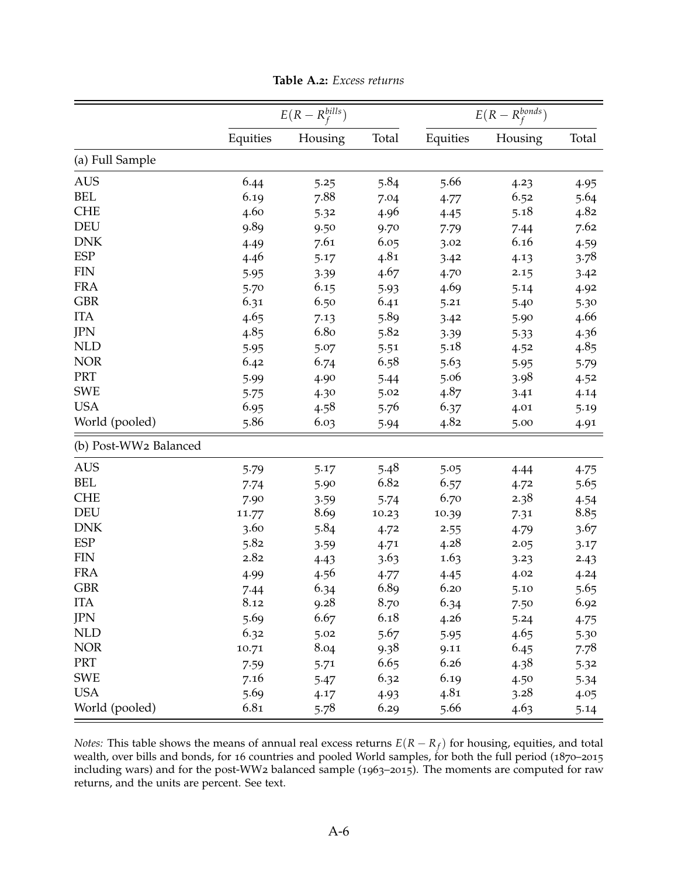<span id="page-51-0"></span>

|                       |          | $E(R - R_f^{bills})$ |       |          | $E(R - R_f^{bonds})$ |       |
|-----------------------|----------|----------------------|-------|----------|----------------------|-------|
|                       | Equities | Housing              | Total | Equities | Housing              | Total |
| (a) Full Sample       |          |                      |       |          |                      |       |
| <b>AUS</b>            | 6.44     | 5.25                 | 5.84  | 5.66     | 4.23                 | 4.95  |
| <b>BEL</b>            | 6.19     | 7.88                 | 7.04  | 4.77     | 6.52                 | 5.64  |
| <b>CHE</b>            | 4.60     | 5.32                 | 4.96  | 4.45     | 5.18                 | 4.82  |
| <b>DEU</b>            | 9.89     | 9.50                 | 9.70  | 7.79     | 7.44                 | 7.62  |
| <b>DNK</b>            | 4.49     | 7.61                 | 6.05  | 3.02     | 6.16                 | 4.59  |
| <b>ESP</b>            | 4.46     | 5.17                 | 4.81  | 3.42     | 4.13                 | 3.78  |
| <b>FIN</b>            | 5.95     | 3.39                 | 4.67  | 4.70     | 2.15                 | 3.42  |
| <b>FRA</b>            | 5.70     | 6.15                 | 5.93  | 4.69     | 5.14                 | 4.92  |
| <b>GBR</b>            | 6.31     | 6.50                 | 6.41  | 5.21     | 5.40                 | 5.30  |
| <b>ITA</b>            | 4.65     | 7.13                 | 5.89  | 3.42     | 5.90                 | 4.66  |
| <b>JPN</b>            | 4.85     | 6.80                 | 5.82  | 3.39     | 5.33                 | 4.36  |
| <b>NLD</b>            | 5.95     | 5.07                 | 5.51  | 5.18     | 4.52                 | 4.85  |
| <b>NOR</b>            | 6.42     | 6.74                 | 6.58  | 5.63     | 5.95                 | 5.79  |
| PRT                   | 5.99     | 4.90                 | 5.44  | 5.06     | 3.98                 | 4.52  |
| <b>SWE</b>            | 5.75     | 4.30                 | 5.02  | 4.87     | 3.41                 | 4.14  |
| <b>USA</b>            | 6.95     | 4.58                 | 5.76  | 6.37     | 4.01                 | 5.19  |
| World (pooled)        | 5.86     | 6.03                 | 5.94  | 4.82     | 5.00                 | 4.91  |
| (b) Post-WW2 Balanced |          |                      |       |          |                      |       |
| <b>AUS</b>            | 5.79     | 5.17                 | 5.48  | 5.05     | 4.44                 | 4.75  |
| <b>BEL</b>            | 7.74     | 5.90                 | 6.82  | 6.57     | 4.72                 | 5.65  |
| <b>CHE</b>            | 7.90     | 3.59                 | 5.74  | 6.70     | 2.38                 | 4.54  |
| <b>DEU</b>            | 11.77    | 8.69                 | 10.23 | 10.39    | 7.31                 | 8.85  |
| <b>DNK</b>            | 3.60     | 5.84                 | 4.72  | 2.55     | 4.79                 | 3.67  |
| <b>ESP</b>            | 5.82     | 3.59                 | 4.71  | 4.28     | 2.05                 | 3.17  |
| <b>FIN</b>            | 2.82     | 4.43                 | 3.63  | 1.63     | 3.23                 | 2.43  |
| <b>FRA</b>            | 4.99     | 4.56                 | 4.77  | 4.45     | 4.02                 | 4.24  |
| <b>GBR</b>            | 7.44     | 6.34                 | 6.89  | 6.20     | 5.10                 | 5.65  |
| <b>ITA</b>            | 8.12     | 9.28                 | 8.70  | 6.34     | 7.50                 | 6.92  |
| <b>JPN</b>            | 5.69     | 6.67                 | 6.18  | 4.26     | 5.24                 | 4.75  |
| <b>NLD</b>            | 6.32     | 5.02                 | 5.67  | 5.95     | 4.65                 | 5.30  |
| <b>NOR</b>            | 10.71    | 8.04                 | 9.38  | 9.11     | 6.45                 | 7.78  |
| PRT                   | 7.59     | 5.71                 | 6.65  | 6.26     | 4.38                 | 5.32  |
| <b>SWE</b>            | 7.16     | 5.47                 | 6.32  | 6.19     | 4.50                 | 5.34  |
| <b>USA</b>            | 5.69     | 4.17                 | 4.93  | 4.81     | 3.28                 | 4.05  |
| World (pooled)        | 6.81     | 5.78                 | 6.29  | 5.66     | 4.63                 | 5.14  |

**Table A.2:** *Excess returns*

*Notes:* This table shows the means of annual real excess returns *E*(*R* − *R<sup>f</sup>* ) for housing, equities, and total wealth, over bills and bonds, for 16 countries and pooled World samples, for both the full period (1870–2015 including wars) and for the post-WW2 balanced sample (1963–2015). The moments are computed for raw returns, and the units are percent. See text.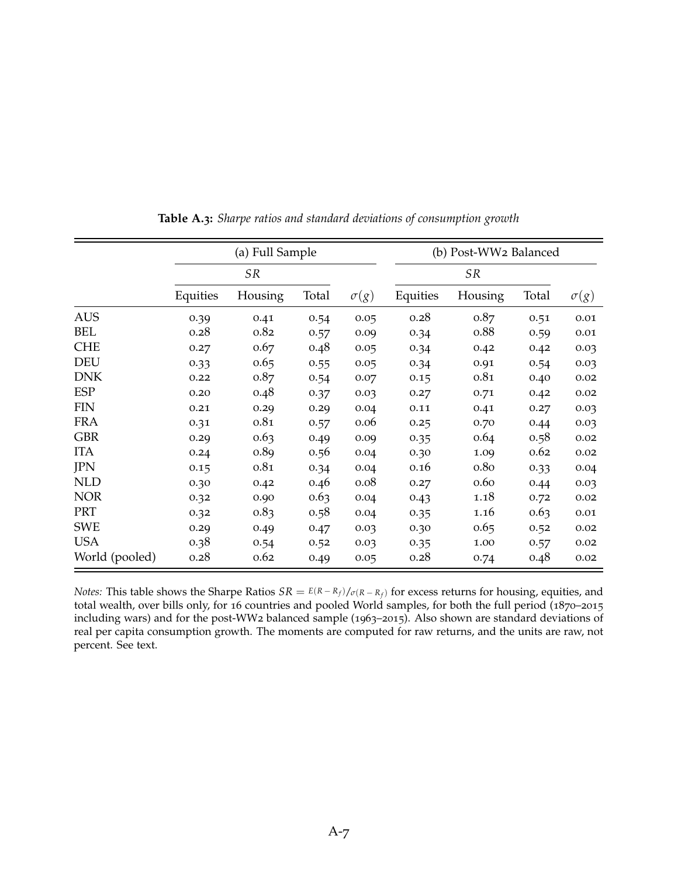<span id="page-52-0"></span>

|                | (a) Full Sample |           |       |             |          | (b) Post-WW2 Balanced |       |             |  |
|----------------|-----------------|-----------|-------|-------------|----------|-----------------------|-------|-------------|--|
|                |                 | <b>SR</b> |       |             |          | <b>SR</b>             |       |             |  |
|                | Equities        | Housing   | Total | $\sigma(g)$ | Equities | Housing               | Total | $\sigma(g)$ |  |
| <b>AUS</b>     | 0.39            | 0.41      | 0.54  | 0.05        | 0.28     | 0.87                  | 0.51  | $0.01\,$    |  |
| <b>BEL</b>     | 0.28            | 0.82      | 0.57  | 0.09        | 0.34     | 0.88                  | 0.59  | 0.01        |  |
| <b>CHE</b>     | 0.27            | 0.67      | 0.48  | 0.05        | 0.34     | 0.42                  | 0.42  | 0.03        |  |
| <b>DEU</b>     | 0.33            | 0.65      | 0.55  | 0.05        | 0.34     | 0.91                  | 0.54  | 0.03        |  |
| <b>DNK</b>     | 0.22            | 0.87      | 0.54  | 0.07        | 0.15     | 0.81                  | 0.40  | 0.02        |  |
| <b>ESP</b>     | 0.20            | 0.48      | 0.37  | 0.03        | 0.27     | 0.71                  | 0.42  | 0.02        |  |
| <b>FIN</b>     | 0.21            | 0.29      | 0.29  | 0.04        | 0.11     | 0.41                  | 0.27  | 0.03        |  |
| <b>FRA</b>     | 0.31            | 0.81      | 0.57  | 0.06        | 0.25     | 0.70                  | 0.44  | 0.03        |  |
| <b>GBR</b>     | 0.29            | 0.63      | 0.49  | 0.09        | 0.35     | 0.64                  | 0.58  | 0.02        |  |
| <b>ITA</b>     | 0.24            | 0.89      | 0.56  | 0.04        | 0.30     | 1.09                  | 0.62  | 0.02        |  |
| <b>JPN</b>     | 0.15            | 0.81      | 0.34  | 0.04        | 0.16     | 0.8 <sub>0</sub>      | 0.33  | 0.04        |  |
| <b>NLD</b>     | 0.30            | 0.42      | 0.46  | 0.08        | 0.27     | 0.60                  | 0.44  | 0.03        |  |
| <b>NOR</b>     | 0.32            | 0.90      | 0.63  | 0.04        | 0.43     | 1.18                  | 0.72  | 0.02        |  |
| <b>PRT</b>     | 0.32            | 0.83      | 0.58  | 0.04        | 0.35     | 1.16                  | 0.63  | $0.01\,$    |  |
| <b>SWE</b>     | 0.29            | 0.49      | 0.47  | 0.03        | 0.30     | 0.65                  | 0.52  | 0.02        |  |
| <b>USA</b>     | 0.38            | 0.54      | 0.52  | 0.03        | 0.35     | 1.00                  | 0.57  | 0.02        |  |
| World (pooled) | 0.28            | 0.62      | 0.49  | 0.05        | 0.28     | 0.74                  | 0.48  | 0.02        |  |

**Table A.3:** *Sharpe ratios and standard deviations of consumption growth*

*Notes:* This table shows the Sharpe Ratios  $SR = E(R - R_f)/\sigma(R - R_f)$  for excess returns for housing, equities, and total wealth, over bills only, for 16 countries and pooled World samples, for both the full period (1870–2015 including wars) and for the post-WW2 balanced sample (1963–2015). Also shown are standard deviations of real per capita consumption growth. The moments are computed for raw returns, and the units are raw, not percent. See text.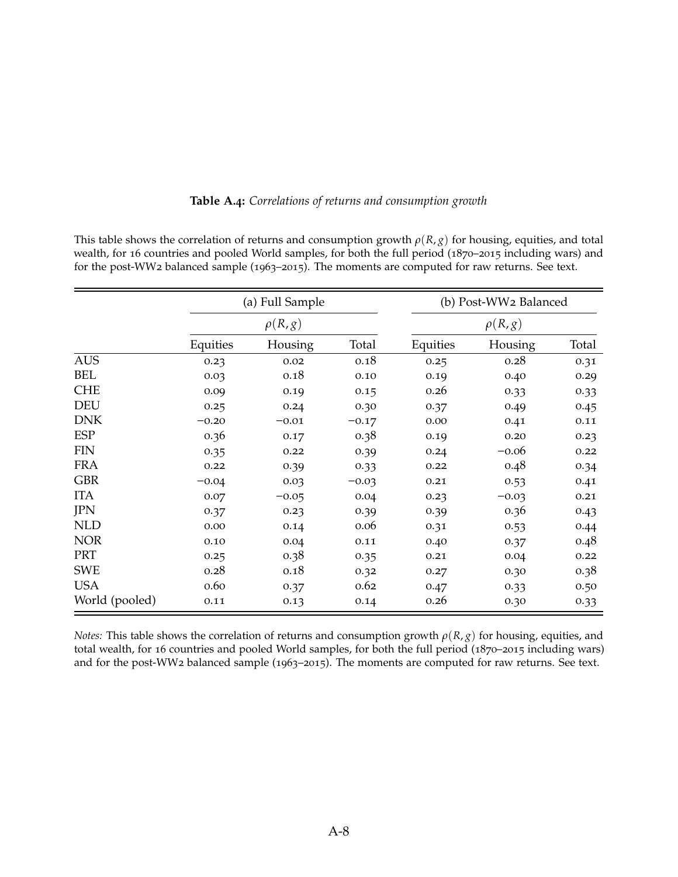|                |          | (a) Full Sample |         | (b) Post-WW2 Balanced |             |       |  |  |
|----------------|----------|-----------------|---------|-----------------------|-------------|-------|--|--|
|                |          | $\rho(R,g)$     |         |                       | $\rho(R,g)$ |       |  |  |
|                | Equities | Housing         | Total   | Equities              | Housing     | Total |  |  |
| <b>AUS</b>     | 0.23     | 0.02            | 0.18    | 0.25                  | 0.28        | 0.31  |  |  |
| <b>BEL</b>     | 0.03     | 0.18            | 0.10    | 0.19                  | 0.40        | 0.29  |  |  |
| <b>CHE</b>     | 0.09     | 0.19            | 0.15    | 0.26                  | 0.33        | 0.33  |  |  |
| <b>DEU</b>     | 0.25     | 0.24            | 0.30    | 0.37                  | 0.49        | 0.45  |  |  |
| <b>DNK</b>     | $-0.20$  | $-0.01$         | $-0.17$ | 0.00                  | 0.41        | 0.11  |  |  |
| <b>ESP</b>     | 0.36     | 0.17            | 0.38    | 0.19                  | 0.20        | 0.23  |  |  |
| <b>FIN</b>     | 0.35     | 0.22            | 0.39    | 0.24                  | $-0.06$     | 0.22  |  |  |
| <b>FRA</b>     | 0.22     | 0.39            | 0.33    | 0.22                  | 0.48        | 0.34  |  |  |
| <b>GBR</b>     | $-0.04$  | 0.03            | $-0.03$ | 0.21                  | 0.53        | 0.41  |  |  |
| <b>ITA</b>     | 0.07     | $-0.05$         | 0.04    | 0.23                  | $-0.03$     | 0.21  |  |  |
| <b>JPN</b>     | 0.37     | 0.23            | 0.39    | 0.39                  | 0.36        | 0.43  |  |  |
| <b>NLD</b>     | 0.00     | 0.14            | 0.06    | 0.31                  | 0.53        | 0.44  |  |  |
| <b>NOR</b>     | 0.10     | 0.04            | 0.11    | 0.40                  | 0.37        | 0.48  |  |  |
| <b>PRT</b>     | 0.25     | 0.38            | 0.35    | 0.21                  | 0.04        | 0.22  |  |  |
| <b>SWE</b>     | 0.28     | 0.18            | 0.32    | 0.27                  | 0.30        | 0.38  |  |  |
| <b>USA</b>     | 0.60     | 0.37            | 0.62    | 0.47                  | 0.33        | 0.50  |  |  |
| World (pooled) | 0.11     | 0.13            | 0.14    | 0.26                  | 0.30        | 0.33  |  |  |

#### **Table A.4:** *Correlations of returns and consumption growth*

<span id="page-53-0"></span>This table shows the correlation of returns and consumption growth  $\rho(R,g)$  for housing, equities, and total wealth, for 16 countries and pooled World samples, for both the full period (1870–2015 including wars) and for the post-WW2 balanced sample (1963–2015). The moments are computed for raw returns. See text.

*Notes:* This table shows the correlation of returns and consumption growth  $\rho(R, g)$  for housing, equities, and total wealth, for 16 countries and pooled World samples, for both the full period (1870–2015 including wars) and for the post-WW2 balanced sample (1963–2015). The moments are computed for raw returns. See text.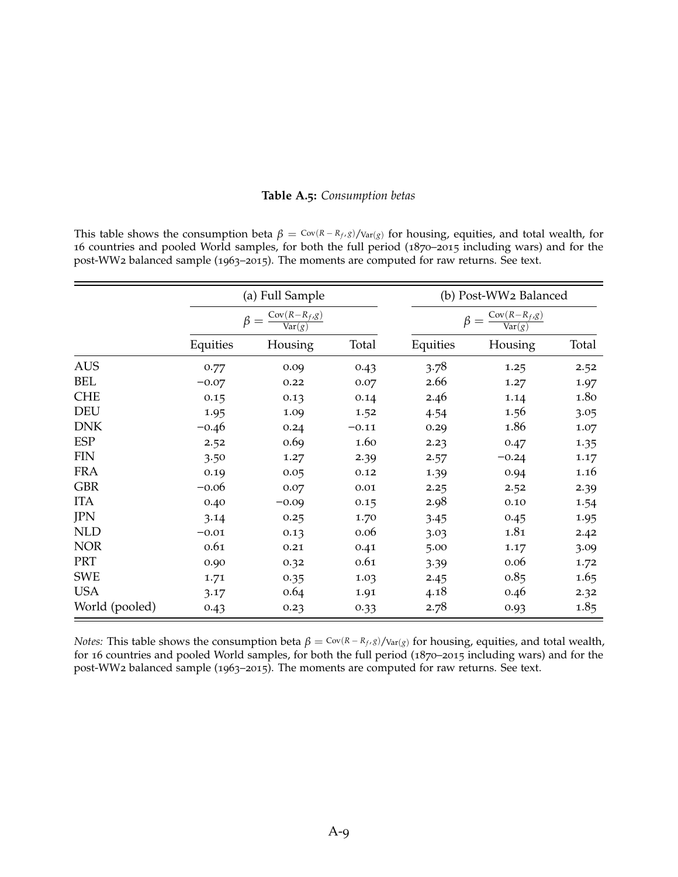#### **Table A.5:** *Consumption betas*

<span id="page-54-0"></span>This table shows the consumption beta  $\beta = \text{Cov}(R - R_f, g) / \text{Var}(g)$  for housing, equities, and total wealth, for 16 countries and pooled World samples, for both the full period (1870–2015 including wars) and for the post-WW2 balanced sample (1963–2015). The moments are computed for raw returns. See text.

|                |          | (a) Full Sample                                     |          |          | (b) Post-WW2 Balanced                               |       |  |  |
|----------------|----------|-----------------------------------------------------|----------|----------|-----------------------------------------------------|-------|--|--|
|                |          | $\beta = \frac{\text{Cov}(R-R_f,g)}{\text{Var}(g)}$ |          |          | $\beta = \frac{\text{Cov}(R-R_f,g)}{\text{Var}(g)}$ |       |  |  |
|                | Equities | Housing                                             | Total    | Equities | Housing                                             | Total |  |  |
| <b>AUS</b>     | 0.77     | 0.09                                                | 0.43     | 3.78     | 1.25                                                | 2.52  |  |  |
| <b>BEL</b>     | $-0.07$  | 0.22                                                | 0.07     | 2.66     | 1.27                                                | 1.97  |  |  |
| <b>CHE</b>     | 0.15     | 0.13                                                | 0.14     | 2.46     | 1.14                                                | 1.80  |  |  |
| <b>DEU</b>     | 1.95     | 1.09                                                | 1.52     | 4.54     | 1.56                                                | 3.05  |  |  |
| <b>DNK</b>     | $-0.46$  | 0.24                                                | $-0.11$  | 0.29     | 1.86                                                | 1.07  |  |  |
| <b>ESP</b>     | 2.52     | 0.69                                                | 1.60     | 2.23     | 0.47                                                | 1.35  |  |  |
| <b>FIN</b>     | 3.50     | 1.27                                                | 2.39     | 2.57     | $-0.24$                                             | 1.17  |  |  |
| <b>FRA</b>     | 0.19     | 0.05                                                | 0.12     | 1.39     | 0.94                                                | 1.16  |  |  |
| <b>GBR</b>     | $-0.06$  | 0.07                                                | $0.01\,$ | 2.25     | 2.52                                                | 2.39  |  |  |
| <b>ITA</b>     | 0.40     | $-0.09$                                             | 0.15     | 2.98     | 0.10                                                | 1.54  |  |  |
| <b>JPN</b>     | 3.14     | 0.25                                                | 1.70     | 3.45     | 0.45                                                | 1.95  |  |  |
| <b>NLD</b>     | $-0.01$  | 0.13                                                | 0.06     | 3.03     | 1.81                                                | 2.42  |  |  |
| <b>NOR</b>     | 0.61     | 0.21                                                | 0.41     | 5.00     | 1.17                                                | 3.09  |  |  |
| PRT            | 0.90     | 0.32                                                | 0.61     | 3.39     | 0.06                                                | 1.72  |  |  |
| <b>SWE</b>     | 1.71     | 0.35                                                | 1.03     | 2.45     | 0.85                                                | 1.65  |  |  |
| <b>USA</b>     | 3.17     | 0.64                                                | 1.91     | 4.18     | 0.46                                                | 2.32  |  |  |
| World (pooled) | 0.43     | 0.23                                                | 0.33     | 2.78     | 0.93                                                | 1.85  |  |  |

*Notes:* This table shows the consumption beta  $\beta = \frac{\text{Cov}(R - R_f, g)}{\text{Var}(g)}$  for housing, equities, and total wealth, for 16 countries and pooled World samples, for both the full period (1870–2015 including wars) and for the post-WW2 balanced sample (1963–2015). The moments are computed for raw returns. See text.